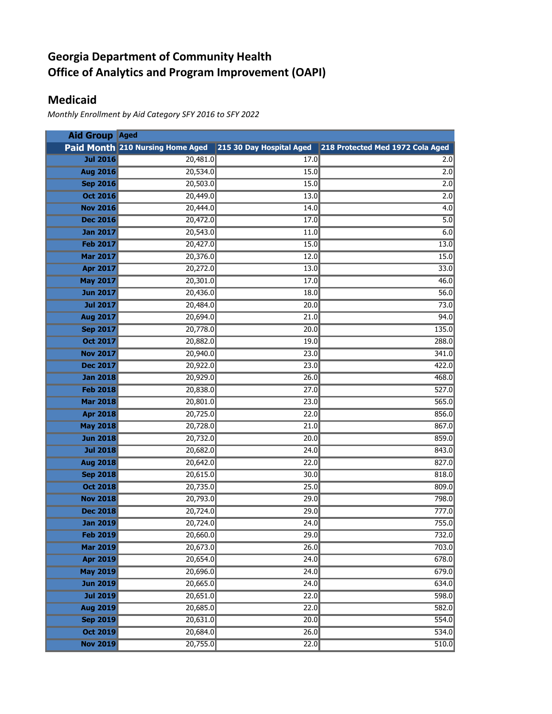## **Georgia Department of Community Health Office of Analytics and Program Improvement (OAPI)**

## **Medicaid**

*Monthly Enrollment by Aid Category SFY 2016 to SFY 2022*

| <b>Aid Group Aged</b> |                                  |                          |                                  |
|-----------------------|----------------------------------|--------------------------|----------------------------------|
|                       | Paid Month 210 Nursing Home Aged | 215 30 Day Hospital Aged | 218 Protected Med 1972 Cola Aged |
| <b>Jul 2016</b>       | 20,481.0                         | 17.0                     | 2.0                              |
| <b>Aug 2016</b>       | 20,534.0                         | 15.0                     | 2.0                              |
| <b>Sep 2016</b>       | 20,503.0                         | 15.0                     | 2.0                              |
| <b>Oct 2016</b>       | 20,449.0                         | 13.0                     | 2.0                              |
| <b>Nov 2016</b>       | 20,444.0                         | 14.0                     | 4.0                              |
| <b>Dec 2016</b>       | 20,472.0                         | 17.0                     | $\overline{5.0}$                 |
| <b>Jan 2017</b>       | 20,543.0                         | 11.0                     | 6.0                              |
| <b>Feb 2017</b>       | 20,427.0                         | 15.0                     | 13.0                             |
| <b>Mar 2017</b>       | 20,376.0                         | 12.0                     | 15.0                             |
| <b>Apr 2017</b>       | 20,272.0                         | 13.0                     | 33.0                             |
| <b>May 2017</b>       | 20,301.0                         | 17.0                     | 46.0                             |
| <b>Jun 2017</b>       | 20,436.0                         | 18.0                     | 56.0                             |
| <b>Jul 2017</b>       | 20,484.0                         | 20.0                     | 73.0                             |
| <b>Aug 2017</b>       | 20,694.0                         | 21.0                     | 94.0                             |
| <b>Sep 2017</b>       | 20,778.0                         | 20.0                     | 135.0                            |
| <b>Oct 2017</b>       | 20,882.0                         | 19.0                     | 288.0                            |
| <b>Nov 2017</b>       | 20,940.0                         | 23.0                     | 341.0                            |
| <b>Dec 2017</b>       | 20,922.0                         | 23.0                     | 422.0                            |
| <b>Jan 2018</b>       | 20,929.0                         | 26.0                     | 468.0                            |
| <b>Feb 2018</b>       | 20,838.0                         | 27.0                     | 527.0                            |
| <b>Mar 2018</b>       | 20,801.0                         | 23.0                     | 565.0                            |
| <b>Apr 2018</b>       | 20,725.0                         | 22.0                     | 856.0                            |
| <b>May 2018</b>       | 20,728.0                         | 21.0                     | 867.0                            |
| <b>Jun 2018</b>       | 20,732.0                         | 20.0                     | 859.0                            |
| <b>Jul 2018</b>       | 20,682.0                         | 24.0                     | 843.0                            |
| <b>Aug 2018</b>       | 20,642.0                         | 22.0                     | 827.0                            |
| <b>Sep 2018</b>       | 20,615.0                         | 30.0                     | 818.0                            |
| <b>Oct 2018</b>       | 20,735.0                         | 25.0                     | 809.0                            |
| <b>Nov 2018</b>       | 20,793.0                         | 29.0                     | 798.0                            |
| <b>Dec 2018</b>       | 20,724.0                         | 29.0                     | 777.0                            |
| <b>Jan 2019</b>       | 20,724.0                         | 24.0                     | 755.0                            |
| <b>Feb 2019</b>       | 20,660.0                         | 29.0                     | 732.0                            |
| <b>Mar 2019</b>       | 20,673.0                         | 26.0                     | 703.0                            |
| <b>Apr 2019</b>       | 20,654.0                         | 24.0                     | 678.0                            |
| <b>May 2019</b>       | 20,696.0                         | 24.0                     | 679.0                            |
| <b>Jun 2019</b>       | 20,665.0                         | 24.0                     | 634.0                            |
| <b>Jul 2019</b>       | 20,651.0                         | 22.0                     | 598.0                            |
| <b>Aug 2019</b>       | 20,685.0                         | 22.0                     | 582.0                            |
| <b>Sep 2019</b>       | 20,631.0                         | 20.0                     | 554.0                            |
| <b>Oct 2019</b>       | 20,684.0                         | 26.0                     | 534.0                            |
| <b>Nov 2019</b>       | 20,755.0                         | 22.0                     | 510.0                            |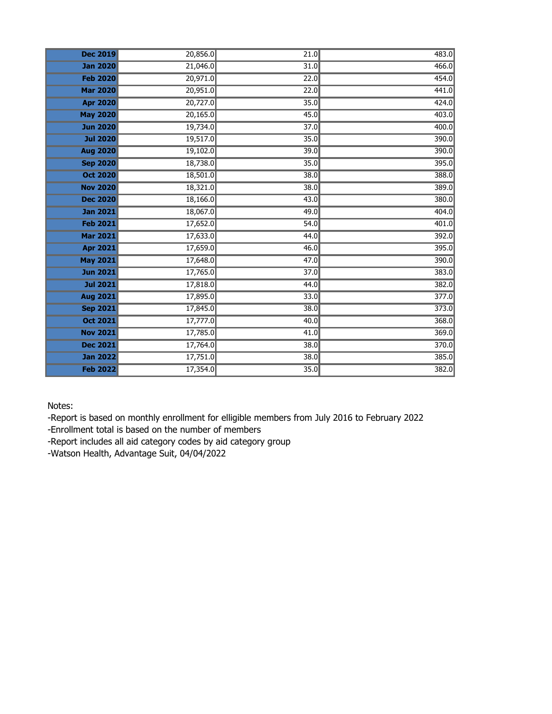| <b>Dec 2019</b> | 20,856.0 | 21.0              | 483.0 |
|-----------------|----------|-------------------|-------|
| <b>Jan 2020</b> | 21,046.0 | 31.0              | 466.0 |
| <b>Feb 2020</b> | 20,971.0 | 22.0              | 454.0 |
| <b>Mar 2020</b> | 20,951.0 | 22.0              | 441.0 |
| <b>Apr 2020</b> | 20,727.0 | 35.0              | 424.0 |
| <b>May 2020</b> | 20,165.0 | 45.0              | 403.0 |
| <b>Jun 2020</b> | 19,734.0 | 37.0              | 400.0 |
| <b>Jul 2020</b> | 19,517.0 | 35.0              | 390.0 |
| <b>Aug 2020</b> | 19,102.0 | 39.0              | 390.0 |
| <b>Sep 2020</b> | 18,738.0 | 35.0              | 395.0 |
| <b>Oct 2020</b> | 18,501.0 | 38.0              | 388.0 |
| <b>Nov 2020</b> | 18,321.0 | 38.0              | 389.0 |
| <b>Dec 2020</b> | 18,166.0 | 43.0              | 380.0 |
| <b>Jan 2021</b> | 18,067.0 | 49.0              | 404.0 |
| <b>Feb 2021</b> | 17,652.0 | 54.0              | 401.0 |
| <b>Mar 2021</b> | 17,633.0 | 44.0              | 392.0 |
| <b>Apr 2021</b> | 17,659.0 | 46.0              | 395.0 |
| <b>May 2021</b> | 17,648.0 | $\overline{47.0}$ | 390.0 |
| <b>Jun 2021</b> | 17,765.0 | 37.0              | 383.0 |
| <b>Jul 2021</b> | 17,818.0 | 44.0              | 382.0 |
| <b>Aug 2021</b> | 17,895.0 | 33.0              | 377.0 |
| <b>Sep 2021</b> | 17,845.0 | 38.0              | 373.0 |
| <b>Oct 2021</b> | 17,777.0 | 40.0              | 368.0 |
| <b>Nov 2021</b> | 17,785.0 | 41.0              | 369.0 |
| <b>Dec 2021</b> | 17,764.0 | 38.0              | 370.0 |
| <b>Jan 2022</b> | 17,751.0 | 38.0              | 385.0 |
| <b>Feb 2022</b> | 17,354.0 | 35.0              | 382.0 |

Notes:

-Report is based on monthly enrollment for elligible members from July 2016 to February 2022

-Enrollment total is based on the number of members

-Report includes all aid category codes by aid category group

-Watson Health, Advantage Suit, 04/04/2022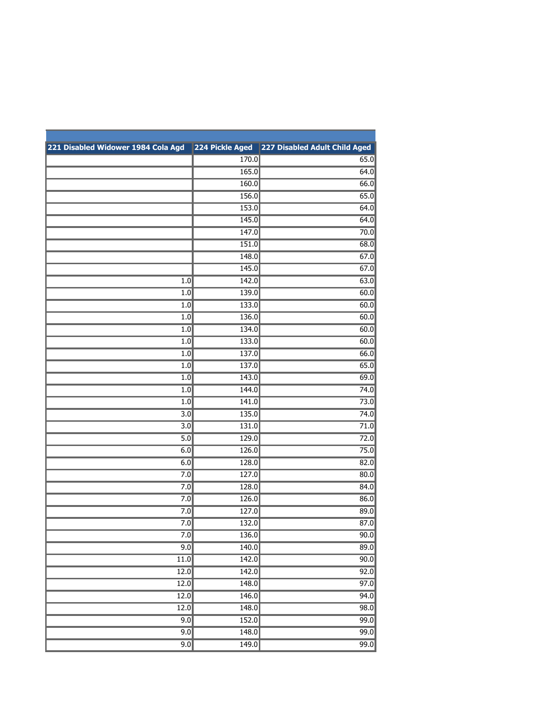| 221 Disabled Widower 1984 Cola Agd | 224 Pickle Aged | 227 Disabled Adult Child Aged |
|------------------------------------|-----------------|-------------------------------|
|                                    | 170.0           | 65.0                          |
|                                    | 165.0           | 64.0                          |
|                                    | 160.0           | 66.0                          |
|                                    | 156.0           | 65.0                          |
|                                    | 153.0           | 64.0                          |
|                                    | 145.0           | 64.0                          |
|                                    | 147.0           | 70.0                          |
|                                    | 151.0           | 68.0                          |
|                                    | 148.0           | 67.0                          |
|                                    | 145.0           | 67.0                          |
| 1.0                                | 142.0           | 63.0                          |
| 1.0                                | 139.0           | 60.0                          |
| 1.0                                | 133.0           | 60.0                          |
| 1.0                                | 136.0           | 60.0                          |
| 1.0                                | 134.0           | 60.0                          |
| 1.0                                | 133.0           | 60.0                          |
| 1.0                                | 137.0           | 66.0                          |
| 1.0                                | 137.0           | 65.0                          |
| 1.0                                | 143.0           | 69.0                          |
| 1.0                                | 144.0           | 74.0                          |
| 1.0                                | 141.0           | 73.0                          |
| $\overline{3.0}$                   | 135.0           | 74.0                          |
| $\overline{3.0}$                   | 131.0           | 71.0                          |
| $\overline{5.0}$                   | 129.0           | 72.0                          |
| 6.0                                | 126.0           | 75.0                          |
| 6.0                                | 128.0           | 82.0                          |
| 7.0                                | 127.0           | 80.0                          |
| 7.0                                | 128.0           | 84.0                          |
| 7.0                                | 126.0           | 86.0                          |
| 7.0                                | 127.0           | 89.0                          |
| $\overline{7.0}$                   | 132.0           | 87.0                          |
| 7.0                                | 136.0           | 90.0                          |
| 9.0                                | 140.0           | 89.0                          |
| $\overline{11.0}$                  | 142.0           | 90.0                          |
| 12.0                               | 142.0           | 92.0                          |
| 12.0                               | 148.0           | 97.0                          |
| 12.0                               | 146.0           | 94.0                          |
| 12.0                               | 148.0           | 98.0                          |
| 9.0                                | 152.0           | 99.0                          |
| 9.0                                | 148.0           | 99.0                          |
| 9.0                                | 149.0           | 99.0                          |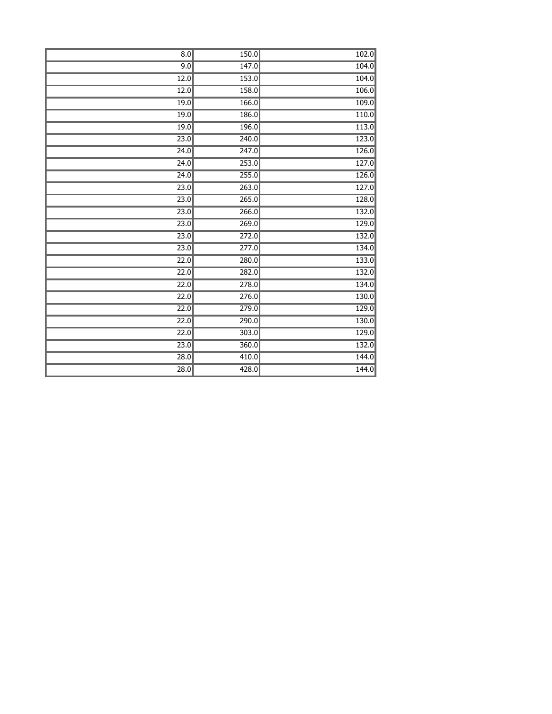| 8.0  | 150.0 | 102.0 |
|------|-------|-------|
| 9.0  | 147.0 | 104.0 |
| 12.0 | 153.0 | 104.0 |
| 12.0 | 158.0 | 106.0 |
| 19.0 | 166.0 | 109.0 |
| 19.0 | 186.0 | 110.0 |
| 19.0 | 196.0 | 113.0 |
| 23.0 | 240.0 | 123.0 |
| 24.0 | 247.0 | 126.0 |
| 24.0 | 253.0 | 127.0 |
| 24.0 | 255.0 | 126.0 |
| 23.0 | 263.0 | 127.0 |
| 23.0 | 265.0 | 128.0 |
| 23.0 | 266.0 | 132.0 |
| 23.0 | 269.0 | 129.0 |
| 23.0 | 272.0 | 132.0 |
| 23.0 | 277.0 | 134.0 |
| 22.0 | 280.0 | 133.0 |
| 22.0 | 282.0 | 132.0 |
| 22.0 | 278.0 | 134.0 |
| 22.0 | 276.0 | 130.0 |
| 22.0 | 279.0 | 129.0 |
| 22.0 | 290.0 | 130.0 |
| 22.0 | 303.0 | 129.0 |
| 23.0 | 360.0 | 132.0 |
| 28.0 | 410.0 | 144.0 |
| 28.0 | 428.0 | 144.0 |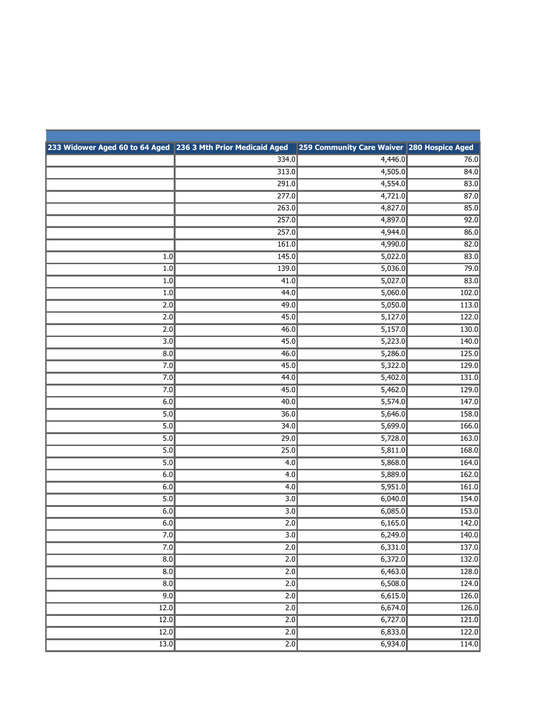| 233 Widower Aged 60 to 64 Aged 236 3 Mth Prior Medicaid Aged |                  | 259 Community Care Waiver 280 Hospice Aged |       |
|--------------------------------------------------------------|------------------|--------------------------------------------|-------|
|                                                              | 334.0            | 4,446.0                                    | 76.0  |
|                                                              | 313.0            | 4,505.0                                    | 84.0  |
|                                                              | 291.0            | 4,554.0                                    | 83.0  |
|                                                              | 277.0            | 4,721.0                                    | 87.0  |
|                                                              | 263.0            | 4,827.0                                    | 85.0  |
|                                                              | 257.0            | 4,897.0                                    | 92.0  |
|                                                              | 257.0            | 4,944.0                                    | 86.0  |
|                                                              | 161.0            | 4,990.0                                    | 82.0  |
| 1.0                                                          | 145.0            | 5,022.0                                    | 83.0  |
| $\overline{1.0}$                                             | 139.0            | 5,036.0                                    | 79.0  |
| 1.0                                                          | 41.0             | 5,027.0                                    | 83.0  |
| 1.0                                                          | 44.0             | 5,060.0                                    | 102.0 |
| 2.0                                                          | 49.0             | 5,050.0                                    | 113.0 |
| 2.0                                                          | 45.0             | 5,127.0                                    | 122.0 |
| 2.0                                                          | 46.0             | 5,157.0                                    | 130.0 |
| 3.0                                                          | 45.0             | 5,223.0                                    | 140.0 |
| 8.0                                                          | 46.0             | 5,286.0                                    | 125.0 |
| 7.0                                                          | 45.0             | 5,322.0                                    | 129.0 |
| 7.0                                                          | 44.0             | 5,402.0                                    | 131.0 |
| 7.0                                                          | 45.0             | 5,462.0                                    | 129.0 |
| 6.0                                                          | 40.0             | 5,574.0                                    | 147.0 |
| 5.0                                                          | 36.0             | 5,646.0                                    | 158.0 |
| 5.0                                                          | 34.0             | 5,699.0                                    | 166.0 |
| 5.0                                                          | 29.0             | 5,728.0                                    | 163.0 |
| 5.0                                                          | 25.0             | 5,811.0                                    | 168.0 |
| 5.0                                                          | 4.0              | 5,868.0                                    | 164.0 |
| 6.0                                                          | 4.0              | 5,889.0                                    | 162.0 |
| 6.0                                                          | 4.0              | 5,951.0                                    | 161.0 |
| 5.0                                                          | 3.0              | 6,040.0                                    | 154.0 |
| 6.0                                                          | $\overline{3.0}$ | 6,085.0                                    | 153.0 |
| 6.0                                                          | 2.0              | 6,165.0                                    | 142.0 |
| 7.0                                                          | $\overline{3.0}$ | 6,249.0                                    | 140.0 |
| 7.0                                                          | 2.0              | 6,331.0                                    | 137.0 |
| $\overline{8.0}$                                             | 2.0              | 6,372.0                                    | 132.0 |
| $\overline{8.0}$                                             | $\overline{2.0}$ | 6,463.0                                    | 128.0 |
| 8.0                                                          | 2.0              | 6,508.0                                    | 124.0 |
| 9.0                                                          | 2.0              | 6,615.0                                    | 126.0 |
| 12.0                                                         | 2.0              | 6,674.0                                    | 126.0 |
| 12.0                                                         | 2.0              | 6,727.0                                    | 121.0 |
| 12.0                                                         | 2.0              | 6,833.0                                    | 122.0 |
| $\overline{13.0}$                                            | $\overline{2.0}$ | 6,934.0                                    | 114.0 |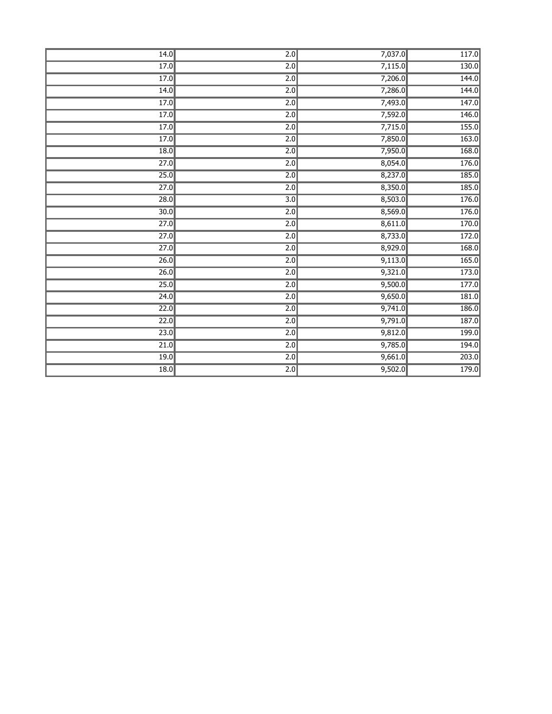| 14.0              | $\overline{2.0}$ | 7,037.0 | 117.0 |
|-------------------|------------------|---------|-------|
| 17.0              | 2.0              | 7,115.0 | 130.0 |
| 17.0              | 2.0              | 7,206.0 | 144.0 |
| 14.0              | 2.0              | 7,286.0 | 144.0 |
| 17.0              | 2.0              | 7,493.0 | 147.0 |
| 17.0              | 2.0              | 7,592.0 | 146.0 |
| 17.0              | 2.0              | 7,715.0 | 155.0 |
| 17.0              | $\overline{2.0}$ | 7,850.0 | 163.0 |
| 18.0              | 2.0              | 7,950.0 | 168.0 |
| 27.0              | 2.0              | 8,054.0 | 176.0 |
| 25.0              | $\overline{2.0}$ | 8,237.0 | 185.0 |
| 27.0              | $\overline{2.0}$ | 8,350.0 | 185.0 |
| 28.0              | $\overline{3.0}$ | 8,503.0 | 176.0 |
| $\overline{30.0}$ | 2.0              | 8,569.0 | 176.0 |
| 27.0              | 2.0              | 8,611.0 | 170.0 |
| $\overline{27.0}$ | $\overline{2.0}$ | 8,733.0 | 172.0 |
| $\overline{27.0}$ | 2.0              | 8,929.0 | 168.0 |
| 26.0              | $\overline{2.0}$ | 9,113.0 | 165.0 |
| 26.0              | 2.0              | 9,321.0 | 173.0 |
| 25.0              | $\overline{2.0}$ | 9,500.0 | 177.0 |
| 24.0              | 2.0              | 9,650.0 | 181.0 |
| 22.0              | 2.0              | 9,741.0 | 186.0 |
| $\overline{22.0}$ | 2.0              | 9,791.0 | 187.0 |
| 23.0              | $\overline{2.0}$ | 9,812.0 | 199.0 |
| $\overline{21.0}$ | 2.0              | 9,785.0 | 194.0 |
| 19.0              | 2.0              | 9,661.0 | 203.0 |
| 18.0              | $\overline{2.0}$ | 9,502.0 | 179.0 |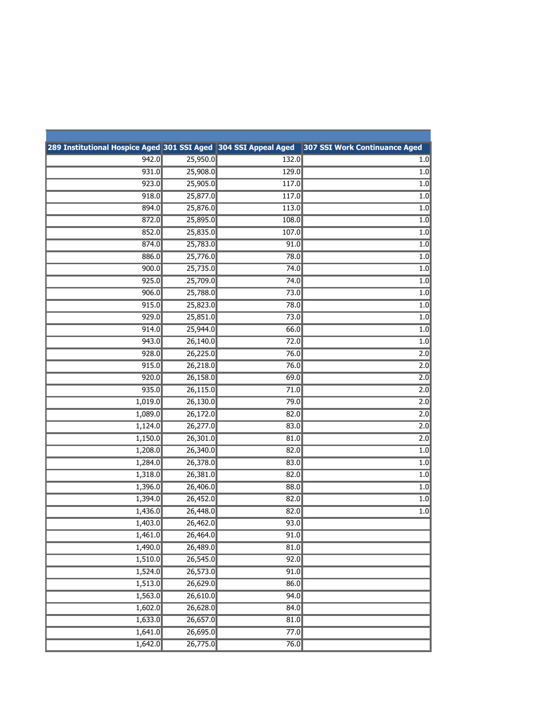| 289 Institutional Hospice Aged 301 SSI Aged 304 SSI Appeal Aged |                       |       | 307 SSI Work Continuance Aged |
|-----------------------------------------------------------------|-----------------------|-------|-------------------------------|
| 942.0                                                           | 25,950.0              | 132.0 | $1.0\,$                       |
| 931.0                                                           | 25,908.0              | 129.0 | $1.0\,$                       |
| 923.0                                                           | 25,905.0              | 117.0 | 1.0                           |
| 918.0                                                           | 25,877.0              | 117.0 | $1.0\,$                       |
| 894.0                                                           | 25,876.0              | 113.0 | 1.0                           |
| 872.0                                                           | 25,895.0              | 108.0 | $1.0\,$                       |
| 852.0                                                           | 25,835.0              | 107.0 | $1.0\,$                       |
| 874.0                                                           | 25,783.0              | 91.0  | $1.0\,$                       |
| 886.0                                                           | 25,776.0              | 78.0  | $\overline{1.0}$              |
| 900.0                                                           | 25,735.0              | 74.0  | 1.0                           |
| 925.0                                                           | 25,709.0              | 74.0  | $1.0$                         |
| 906.0                                                           | 25,788.0              | 73.0  | $1.0\,$                       |
| 915.0                                                           | 25,823.0              | 78.0  | 1.0                           |
| 929.0                                                           | 25,851.0              | 73.0  | 1.0                           |
| 914.0                                                           | 25,944.0              | 66.0  | $1.0\,$                       |
| 943.0                                                           | 26,140.0              | 72.0  | 1.0                           |
| 928.0                                                           | 26,225.0              | 76.0  | 2.0                           |
| 915.0                                                           | 26,218.0              | 76.0  | 2.0                           |
| 920.0                                                           | 26,158.0              | 69.0  | 2.0                           |
| 935.0                                                           | 26,115.0              | 71.0  | 2.0                           |
| 1,019.0                                                         | 26,130.0              | 79.0  | 2.0                           |
| 1,089.0                                                         | 26,172.0              | 82.0  | 2.0                           |
| 1,124.0                                                         | 26,277.0              | 83.0  | 2.0                           |
| 1,150.0                                                         | 26,301.0              | 81.0  | 2.0                           |
| 1,208.0                                                         | 26,340.0              | 82.0  | $1.0\,$                       |
| 1,284.0                                                         | 26,378.0              | 83.0  | $1.0$                         |
| 1,318.0                                                         | 26,381.0              | 82.0  | $1.0\,$                       |
| 1,396.0                                                         | 26,406.0              | 88.0  | 1.0                           |
| 1,394.0                                                         | 26,452.0              | 82.0  | $1.0\,$                       |
| 1,436.0                                                         | 26,448.0              | 82.0  | $1.0\,$                       |
| 1,403.0                                                         | 26,462.0              | 93.0  |                               |
| 1,461.0                                                         | $\overline{26,464.0}$ | 91.0  |                               |
| 1,490.0                                                         | 26,489.0              | 81.0  |                               |
| 1,510.0                                                         | 26,545.0              | 92.0  |                               |
| 1,524.0                                                         | 26,573.0              | 91.0  |                               |
| 1,513.0                                                         | 26,629.0              | 86.0  |                               |
| 1,563.0                                                         | 26,610.0              | 94.0  |                               |
| 1,602.0                                                         | 26,628.0              | 84.0  |                               |
| 1,633.0                                                         | 26,657.0              | 81.0  |                               |
| 1,641.0                                                         | 26,695.0              | 77.0  |                               |
| 1,642.0                                                         | 26,775.0              | 76.0  |                               |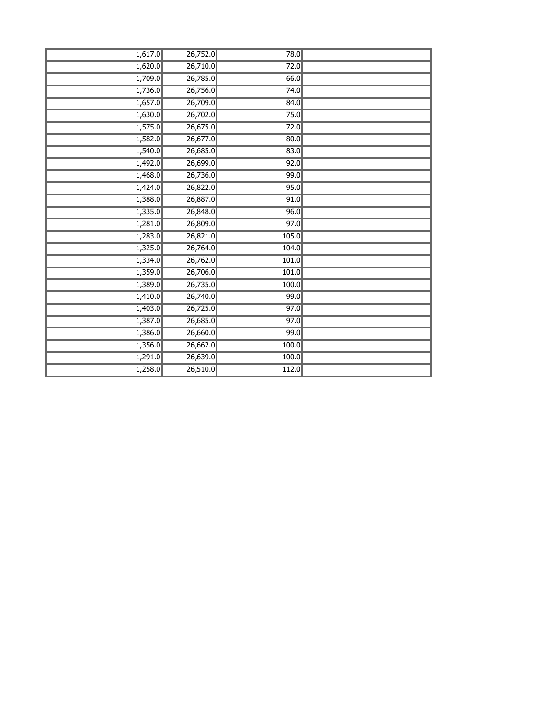| 1,617.0 | 26,752.0 | 78.0  |  |
|---------|----------|-------|--|
| 1,620.0 | 26,710.0 | 72.0  |  |
| 1,709.0 | 26,785.0 | 66.0  |  |
| 1,736.0 | 26,756.0 | 74.0  |  |
| 1,657.0 | 26,709.0 | 84.0  |  |
| 1,630.0 | 26,702.0 | 75.0  |  |
| 1,575.0 | 26,675.0 | 72.0  |  |
| 1,582.0 | 26,677.0 | 80.0  |  |
| 1,540.0 | 26,685.0 | 83.0  |  |
| 1,492.0 | 26,699.0 | 92.0  |  |
| 1,468.0 | 26,736.0 | 99.0  |  |
| 1,424.0 | 26,822.0 | 95.0  |  |
| 1,388.0 | 26,887.0 | 91.0  |  |
| 1,335.0 | 26,848.0 | 96.0  |  |
| 1,281.0 | 26,809.0 | 97.0  |  |
| 1,283.0 | 26,821.0 | 105.0 |  |
| 1,325.0 | 26,764.0 | 104.0 |  |
| 1,334.0 | 26,762.0 | 101.0 |  |
| 1,359.0 | 26,706.0 | 101.0 |  |
| 1,389.0 | 26,735.0 | 100.0 |  |
| 1,410.0 | 26,740.0 | 99.0  |  |
| 1,403.0 | 26,725.0 | 97.0  |  |
| 1,387.0 | 26,685.0 | 97.0  |  |
| 1,386.0 | 26,660.0 | 99.0  |  |
| 1,356.0 | 26,662.0 | 100.0 |  |
| 1,291.0 | 26,639.0 | 100.0 |  |
| 1,258.0 | 26,510.0 | 112.0 |  |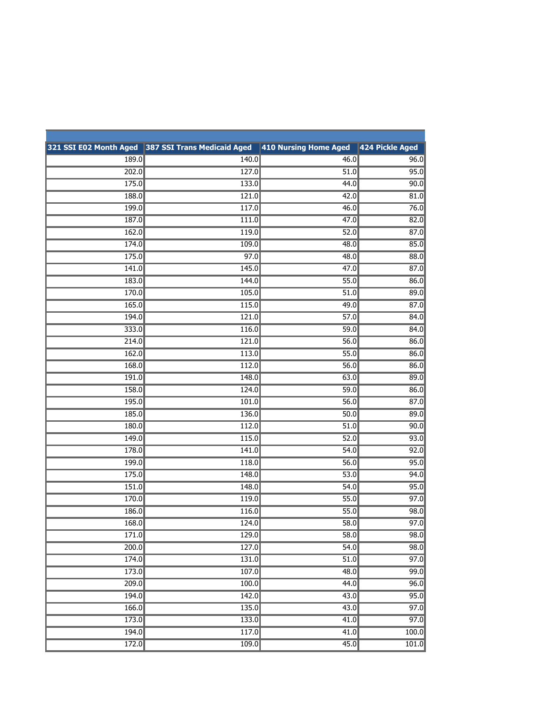|       | 321 SSI E02 Month Aged 387 SSI Trans Medicaid Aged | 410 Nursing Home Aged | 424 Pickle Aged   |
|-------|----------------------------------------------------|-----------------------|-------------------|
| 189.0 | 140.0                                              | 46.0                  | 96.0              |
| 202.0 | 127.0                                              | 51.0                  | 95.0              |
| 175.0 | 133.0                                              | 44.0                  | 90.0              |
| 188.0 | 121.0                                              | 42.0                  | 81.0              |
| 199.0 | 117.0                                              | 46.0                  | 76.0              |
| 187.0 | 111.0                                              | 47.0                  | 82.0              |
| 162.0 | 119.0                                              | 52.0                  | 87.0              |
| 174.0 | 109.0                                              | 48.0                  | 85.0              |
| 175.0 | 97.0                                               | 48.0                  | 88.0              |
| 141.0 | 145.0                                              | 47.0                  | 87.0              |
| 183.0 | 144.0                                              | 55.0                  | 86.0              |
| 170.0 | 105.0                                              | 51.0                  | 89.0              |
| 165.0 | 115.0                                              | 49.0                  | 87.0              |
| 194.0 | 121.0                                              | 57.0                  | 84.0              |
| 333.0 | 116.0                                              | 59.0                  | 84.0              |
| 214.0 | 121.0                                              | 56.0                  | 86.0              |
| 162.0 | 113.0                                              | 55.0                  | 86.0              |
| 168.0 | 112.0                                              | 56.0                  | 86.0              |
| 191.0 | 148.0                                              | 63.0                  | 89.0              |
| 158.0 | 124.0                                              | 59.0                  | 86.0              |
| 195.0 | 101.0                                              | 56.0                  | 87.0              |
| 185.0 | 136.0                                              | 50.0                  | 89.0              |
| 180.0 | 112.0                                              | 51.0                  | 90.0              |
| 149.0 | 115.0                                              | 52.0                  | 93.0              |
| 178.0 | 141.0                                              | 54.0                  | 92.0              |
| 199.0 | 118.0                                              | 56.0                  | 95.0              |
| 175.0 | 148.0                                              | 53.0                  | 94.0              |
| 151.0 | 148.0                                              | 54.0                  | 95.0              |
| 170.0 | 119.0                                              | 55.0                  | 97.0              |
| 186.0 | 116.0                                              | 55.0                  | 98.0              |
| 168.0 | 124.0                                              | 58.0                  | 97.0              |
| 171.0 | 129.0                                              | 58.0                  | 98.0              |
| 200.0 | 127.0                                              | 54.0                  | 98.0              |
| 174.0 | 131.0                                              | 51.0                  | 97.0              |
| 173.0 | 107.0                                              | 48.0                  | 99.0              |
| 209.0 | 100.0                                              | 44.0                  | 96.0              |
| 194.0 | 142.0                                              | 43.0                  | 95.0              |
| 166.0 | 135.0                                              | 43.0                  | 97.0              |
| 173.0 | 133.0                                              | 41.0                  | $\overline{97.0}$ |
| 194.0 | 117.0                                              | 41.0                  | 100.0             |
| 172.0 | 109.0                                              | 45.0                  | 101.0             |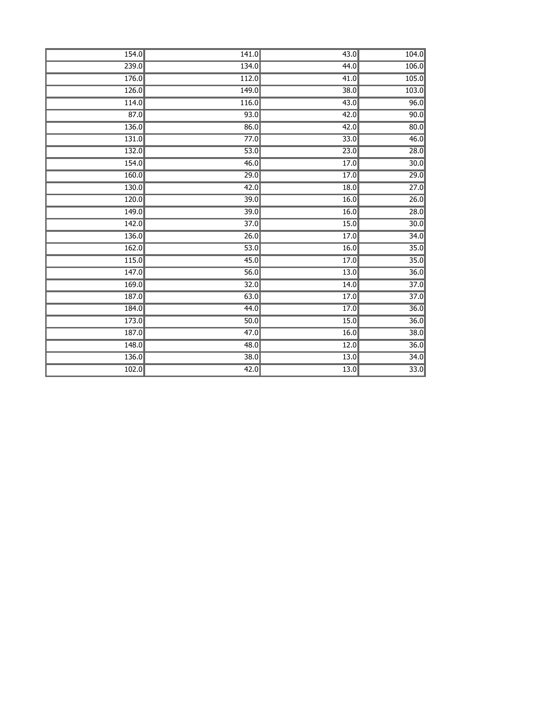| 154.0 | 141.0             | $\overline{43.0}$ | 104.0             |
|-------|-------------------|-------------------|-------------------|
| 239.0 | 134.0             | 44.0              | 106.0             |
| 176.0 | 112.0             | $\overline{41.0}$ | 105.0             |
| 126.0 | 149.0             | 38.0              | 103.0             |
| 114.0 | 116.0             | 43.0              | 96.0              |
| 87.0  | $\overline{93.0}$ | 42.0              | 90.0              |
| 136.0 | 86.0              | 42.0              | 80.0              |
| 131.0 | 77.0              | 33.0              | 46.0              |
| 132.0 | $\overline{53.0}$ | 23.0              | 28.0              |
| 154.0 | 46.0              | $\overline{17.0}$ | 30.0              |
| 160.0 | 29.0              | 17.0              | 29.0              |
| 130.0 | 42.0              | 18.0              | 27.0              |
| 120.0 | 39.0              | 16.0              | 26.0              |
| 149.0 | 39.0              | 16.0              | 28.0              |
| 142.0 | 37.0              | 15.0              | 30.0              |
| 136.0 | $\overline{26.0}$ | 17.0              | 34.0              |
| 162.0 | 53.0              | 16.0              | $\overline{35.0}$ |
| 115.0 | 45.0              | 17.0              | 35.0              |
| 147.0 | $\overline{56.0}$ | 13.0              | 36.0              |
| 169.0 | 32.0              | 14.0              | 37.0              |
| 187.0 | 63.0              | 17.0              | 37.0              |
| 184.0 | 44.0              | 17.0              | 36.0              |
| 173.0 | 50.0              | 15.0              | 36.0              |
| 187.0 | $\overline{47.0}$ | 16.0              | 38.0              |
| 148.0 | 48.0              | 12.0              | 36.0              |
| 136.0 | 38.0              | $\overline{13.0}$ | 34.0              |
| 102.0 | $\overline{42.0}$ | 13.0              | $\overline{33.0}$ |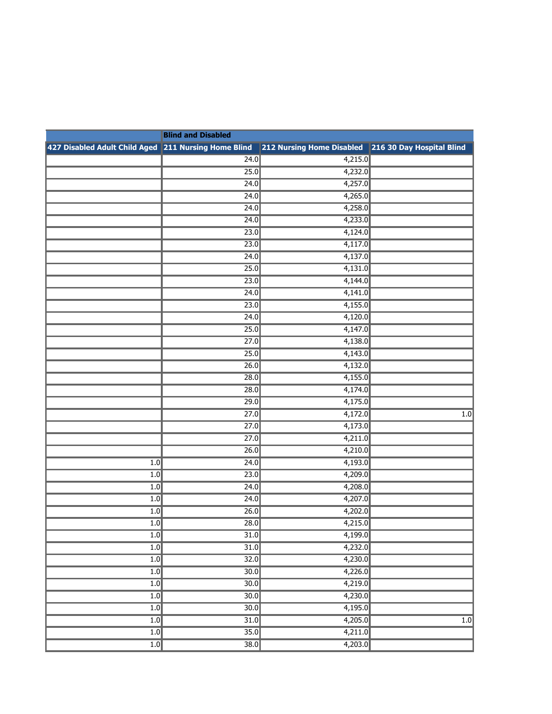|                                                      | <b>Blind and Disabled</b> |                                                     |                  |  |
|------------------------------------------------------|---------------------------|-----------------------------------------------------|------------------|--|
| 427 Disabled Adult Child Aged 211 Nursing Home Blind |                           | 212 Nursing Home Disabled 216 30 Day Hospital Blind |                  |  |
|                                                      | 24.0                      | 4,215.0                                             |                  |  |
|                                                      | 25.0                      | 4,232.0                                             |                  |  |
|                                                      | 24.0                      | 4,257.0                                             |                  |  |
|                                                      | 24.0                      | 4,265.0                                             |                  |  |
|                                                      | 24.0                      | 4,258.0                                             |                  |  |
|                                                      | 24.0                      | 4,233.0                                             |                  |  |
|                                                      | 23.0                      | 4,124.0                                             |                  |  |
|                                                      | 23.0                      | 4,117.0                                             |                  |  |
|                                                      | 24.0                      | 4,137.0                                             |                  |  |
|                                                      | 25.0                      | 4,131.0                                             |                  |  |
|                                                      | 23.0                      | 4,144.0                                             |                  |  |
|                                                      | 24.0                      | 4,141.0                                             |                  |  |
|                                                      | 23.0                      | 4,155.0                                             |                  |  |
|                                                      | 24.0                      | 4,120.0                                             |                  |  |
|                                                      | 25.0                      | 4,147.0                                             |                  |  |
|                                                      | 27.0                      | 4,138.0                                             |                  |  |
|                                                      | 25.0                      | 4,143.0                                             |                  |  |
|                                                      | 26.0                      | 4,132.0                                             |                  |  |
|                                                      | $\overline{28.0}$         | 4,155.0                                             |                  |  |
|                                                      | 28.0                      | 4,174.0                                             |                  |  |
|                                                      | 29.0                      | 4,175.0                                             |                  |  |
|                                                      | 27.0                      | 4,172.0                                             | $\overline{1.0}$ |  |
|                                                      | 27.0                      | 4,173.0                                             |                  |  |
|                                                      | 27.0                      | 4,211.0                                             |                  |  |
|                                                      | 26.0                      | 4,210.0                                             |                  |  |
| $\overline{1.0}$                                     | 24.0                      | 4,193.0                                             |                  |  |
| 1.0                                                  | 23.0                      | 4,209.0                                             |                  |  |
| 1.0                                                  | 24.0                      | 4,208.0                                             |                  |  |
| 1.0                                                  | 24.0                      | 4,207.0                                             |                  |  |
| 1.0                                                  | 26.0                      | 4,202.0                                             |                  |  |
| 1.0                                                  | 28.0                      | 4,215.0                                             |                  |  |
| 1.0                                                  | $\overline{31.0}$         | 4,199.0                                             |                  |  |
| $\overline{1.0}$                                     | 31.0                      | 4,232.0                                             |                  |  |
| 1.0                                                  | 32.0                      | 4,230.0                                             |                  |  |
| $\overline{1.0}$                                     | 30.0                      | 4,226.0                                             |                  |  |
| $\overline{1.0}$                                     | $\overline{30.0}$         | 4,219.0                                             |                  |  |
| 1.0                                                  | $\overline{30.0}$         | 4,230.0                                             |                  |  |
| $\overline{1.0}$                                     | $\overline{30.0}$         | 4,195.0                                             |                  |  |
| $\overline{1.0}$                                     | 31.0                      | 4,205.0                                             | 1.0              |  |
| 1.0                                                  | 35.0                      | 4,211.0                                             |                  |  |
| 1.0                                                  | $\overline{38.0}$         | 4,203.0                                             |                  |  |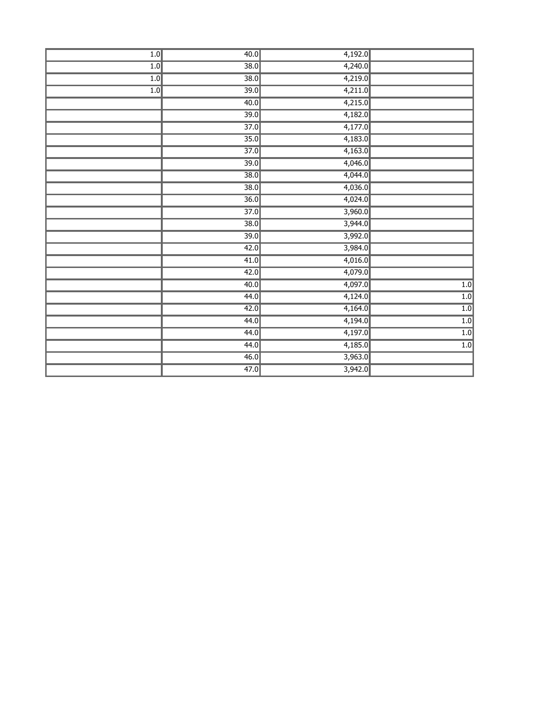| 1.0 | 40.0              | 4,192.0 |                  |
|-----|-------------------|---------|------------------|
| 1.0 | $\overline{38.0}$ | 4,240.0 |                  |
| 1.0 | 38.0              | 4,219.0 |                  |
| 1.0 | $\overline{39.0}$ | 4,211.0 |                  |
|     | 40.0              | 4,215.0 |                  |
|     | $\overline{39.0}$ | 4,182.0 |                  |
|     | $\overline{37.0}$ | 4,177.0 |                  |
|     | 35.0              | 4,183.0 |                  |
|     | $\overline{37.0}$ | 4,163.0 |                  |
|     | $\overline{39.0}$ | 4,046.0 |                  |
|     | 38.0              | 4,044.0 |                  |
|     | 38.0              | 4,036.0 |                  |
|     | 36.0              | 4,024.0 |                  |
|     | $\overline{37.0}$ | 3,960.0 |                  |
|     | 38.0              | 3,944.0 |                  |
|     | $\overline{39.0}$ | 3,992.0 |                  |
|     | 42.0              | 3,984.0 |                  |
|     | 41.0              | 4,016.0 |                  |
|     | 42.0              | 4,079.0 |                  |
|     | 40.0              | 4,097.0 | 1.0              |
|     | 44.0              | 4,124.0 | 1.0              |
|     | 42.0              | 4,164.0 | 1.0              |
|     | 44.0              | 4,194.0 | 1.0              |
|     | 44.0              | 4,197.0 | 1.0              |
|     | 44.0              | 4,185.0 | $\overline{1.0}$ |
|     | 46.0              | 3,963.0 |                  |
|     | 47.0              | 3,942.0 |                  |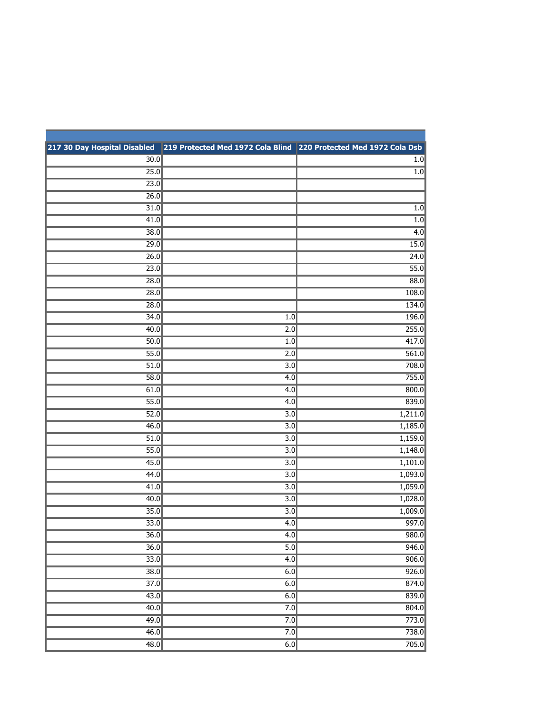|                   | 217 30 Day Hospital Disabled 219 Protected Med 1972 Cola Blind 220 Protected Med 1972 Cola Dsb |         |
|-------------------|------------------------------------------------------------------------------------------------|---------|
| $\overline{30.0}$ |                                                                                                | $1.0$   |
| 25.0              |                                                                                                | $1.0$   |
| 23.0              |                                                                                                |         |
| 26.0              |                                                                                                |         |
| 31.0              |                                                                                                | $1.0$   |
| 41.0              |                                                                                                | 1.0     |
| 38.0              |                                                                                                | 4.0     |
| 29.0              |                                                                                                | 15.0    |
| 26.0              |                                                                                                | 24.0    |
| 23.0              |                                                                                                | 55.0    |
| 28.0              |                                                                                                | 88.0    |
| 28.0              |                                                                                                | 108.0   |
| 28.0              |                                                                                                | 134.0   |
| 34.0              | 1.0                                                                                            | 196.0   |
| 40.0              | 2.0                                                                                            | 255.0   |
| 50.0              | 1.0                                                                                            | 417.0   |
| 55.0              | 2.0                                                                                            | 561.0   |
| 51.0              | $\overline{3.0}$                                                                               | 708.0   |
| 58.0              | 4.0                                                                                            | 755.0   |
| 61.0              | 4.0                                                                                            | 800.0   |
| 55.0              | 4.0                                                                                            | 839.0   |
| 52.0              | $\overline{3.0}$                                                                               | 1,211.0 |
| 46.0              | 3.0                                                                                            | 1,185.0 |
| 51.0              | 3.0                                                                                            | 1,159.0 |
| 55.0              | $\overline{3.0}$                                                                               | 1,148.0 |
| 45.0              | $\overline{3.0}$                                                                               | 1,101.0 |
| 44.0              | 3.0                                                                                            | 1,093.0 |
| 41.0              | 3.0                                                                                            | 1,059.0 |
| 40.0              | $\overline{3.0}$                                                                               | 1,028.0 |
| 35.0              | $\overline{3.0}$                                                                               | 1,009.0 |
| 33.0              | 4.0                                                                                            | 997.0   |
| 36.0              | 4.0                                                                                            | 980.0   |
| 36.0              | 5.0                                                                                            | 946.0   |
| $\overline{33.0}$ | 4.0                                                                                            | 906.0   |
| 38.0              | 6.0                                                                                            | 926.0   |
| $\overline{37.0}$ | 6.0                                                                                            | 874.0   |
| 43.0              | 6.0                                                                                            | 839.0   |
| 40.0              | 7.0                                                                                            | 804.0   |
| 49.0              | 7.0                                                                                            | 773.0   |
| 46.0              | 7.0                                                                                            | 738.0   |
| 48.0              | 6.0                                                                                            | 705.0   |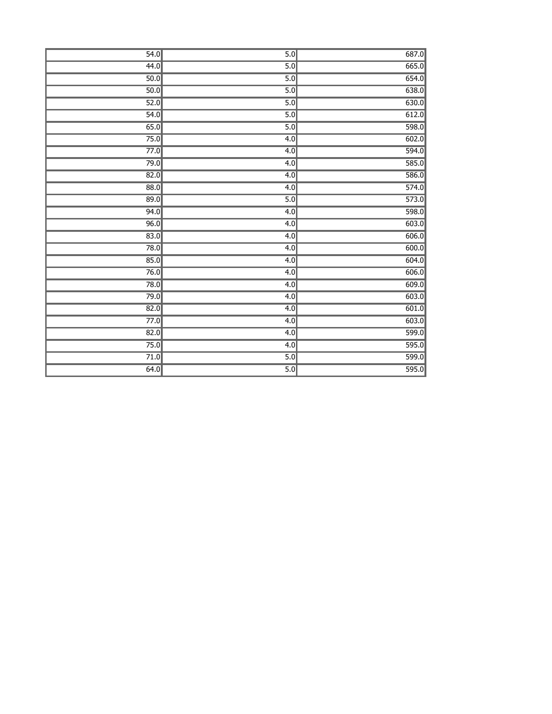| 54.0              | 5.0              | 687.0 |
|-------------------|------------------|-------|
| 44.0              | 5.0              | 665.0 |
| 50.0              | 5.0              | 654.0 |
| 50.0              | 5.0              | 638.0 |
| 52.0              | $\overline{5.0}$ | 630.0 |
| 54.0              | 5.0              | 612.0 |
| 65.0              | 5.0              | 598.0 |
| 75.0              | 4.0              | 602.0 |
| 77.0              | 4.0              | 594.0 |
| 79.0              | 4.0              | 585.0 |
| 82.0              | $\overline{4.0}$ | 586.0 |
| 88.0              | 4.0              | 574.0 |
| 89.0              | 5.0              | 573.0 |
| 94.0              | 4.0              | 598.0 |
| 96.0              | 4.0              | 603.0 |
| $\overline{83.0}$ | 4.0              | 606.0 |
| 78.0              | 4.0              | 600.0 |
| 85.0              | 4.0              | 604.0 |
| 76.0              | 4.0              | 606.0 |
| 78.0              | 4.0              | 609.0 |
| 79.0              | 4.0              | 603.0 |
| 82.0              | $\overline{4.0}$ | 601.0 |
| 77.0              | 4.0              | 603.0 |
| 82.0              | 4.0              | 599.0 |
| 75.0              | 4.0              | 595.0 |
| 71.0              | 5.0              | 599.0 |
| 64.0              | 5.0              | 595.0 |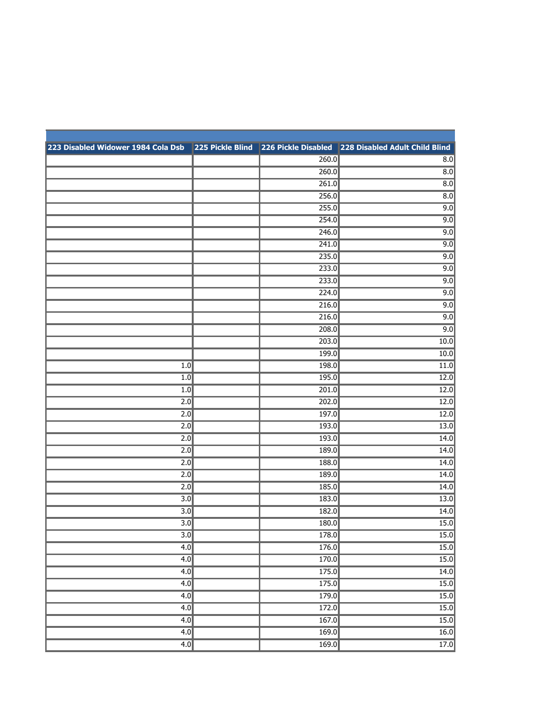| 223 Disabled Widower 1984 Cola Dsb 225 Pickle Blind 226 Pickle Disabled 228 Disabled Adult Child Blind |       |                   |
|--------------------------------------------------------------------------------------------------------|-------|-------------------|
|                                                                                                        | 260.0 | 8.0               |
|                                                                                                        | 260.0 | $\overline{8.0}$  |
|                                                                                                        | 261.0 | 8.0               |
|                                                                                                        | 256.0 | 8.0               |
|                                                                                                        | 255.0 | 9.0               |
|                                                                                                        | 254.0 | 9.0               |
|                                                                                                        | 246.0 | 9.0               |
|                                                                                                        | 241.0 | 9.0               |
|                                                                                                        | 235.0 | 9.0               |
|                                                                                                        | 233.0 | 9.0               |
|                                                                                                        | 233.0 | 9.0               |
|                                                                                                        | 224.0 | 9.0               |
|                                                                                                        | 216.0 | 9.0               |
|                                                                                                        | 216.0 | 9.0               |
|                                                                                                        | 208.0 | 9.0               |
|                                                                                                        | 203.0 | 10.0              |
|                                                                                                        | 199.0 | 10.0              |
| 1.0                                                                                                    | 198.0 | 11.0              |
| 1.0                                                                                                    | 195.0 | 12.0              |
| 1.0                                                                                                    | 201.0 | 12.0              |
| 2.0                                                                                                    | 202.0 | 12.0              |
| 2.0                                                                                                    | 197.0 | 12.0              |
| 2.0                                                                                                    | 193.0 | 13.0              |
| 2.0                                                                                                    | 193.0 | 14.0              |
| 2.0                                                                                                    | 189.0 | 14.0              |
| 2.0                                                                                                    | 188.0 | 14.0              |
| 2.0                                                                                                    | 189.0 | 14.0              |
| $\overline{2.0}$                                                                                       | 185.0 | 14.0              |
| 3.0                                                                                                    | 183.0 | 13.0              |
| 3.0                                                                                                    | 182.0 | 14.0              |
| 3.0                                                                                                    | 180.0 | 15.0              |
| 3.0                                                                                                    | 178.0 | 15.0              |
| 4.0                                                                                                    | 176.0 | 15.0              |
| 4.0                                                                                                    | 170.0 | 15.0              |
| 4.0                                                                                                    | 175.0 | 14.0              |
| 4.0                                                                                                    | 175.0 | 15.0              |
| 4.0                                                                                                    | 179.0 | 15.0              |
| 4.0                                                                                                    | 172.0 | $\overline{15.0}$ |
| 4.0                                                                                                    | 167.0 | 15.0              |
| 4.0                                                                                                    | 169.0 | 16.0              |
| 4.0                                                                                                    | 169.0 | $\overline{17.0}$ |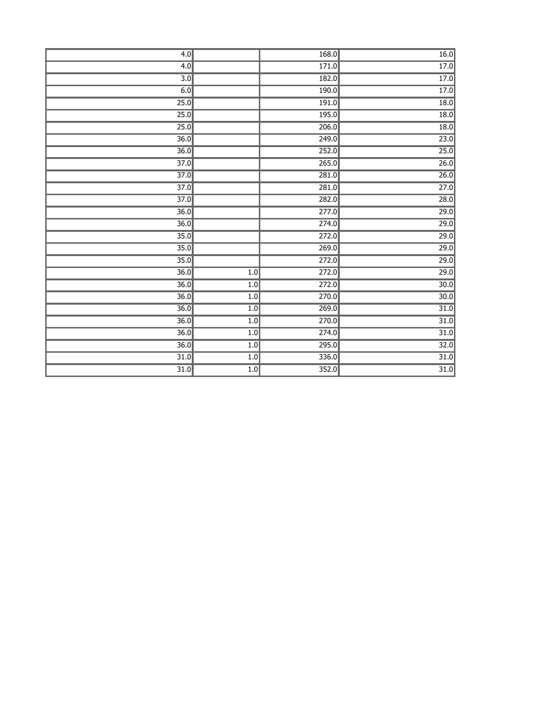| 4.0               |     | 168.0              | 16.0              |
|-------------------|-----|--------------------|-------------------|
| 4.0               |     | 171.0              | 17.0              |
| $\overline{3.0}$  |     | 182.0              | 17.0              |
| 6.0               |     | 190.0              | 17.0              |
| 25.0              |     | 191.0              | 18.0              |
| 25.0              |     | 195.0              | $\overline{18.0}$ |
| 25.0              |     | 206.0              | 18.0              |
| 36.0              |     | 249.0              | 23.0              |
| $\overline{36.0}$ |     | 252.0              | 25.0              |
| $\overline{37.0}$ |     | 265.0              | $\overline{26.0}$ |
| 37.0              |     | $\overline{281.0}$ | 26.0              |
| 37.0              |     | 281.0              | 27.0              |
| $\overline{37.0}$ |     | 282.0              | 28.0              |
| 36.0              |     | 277.0              | 29.0              |
| $\overline{36.0}$ |     | $\overline{274.0}$ | 29.0              |
| 35.0              |     | 272.0              | 29.0              |
| $\overline{35.0}$ |     | 269.0              | 29.0              |
| 35.0              |     | $\overline{272.0}$ | 29.0              |
| 36.0              | 1.0 | 272.0              | 29.0              |
| $\overline{36.0}$ | 1.0 | 272.0              | $\overline{30.0}$ |
| 36.0              | 1.0 | 270.0              | $\overline{30.0}$ |
| $\overline{36.0}$ | 1.0 | 269.0              | 31.0              |
| $\overline{36.0}$ | 1.0 | 270.0              | $\overline{31.0}$ |
| 36.0              | 1.0 | $\overline{274.0}$ | $\overline{31.0}$ |
| $\overline{36.0}$ | 1.0 | 295.0              | $\overline{32.0}$ |
| $\overline{31.0}$ | 1.0 | 336.0              | $\overline{31.0}$ |
| 31.0              | 1.0 | 352.0              | $\overline{31.0}$ |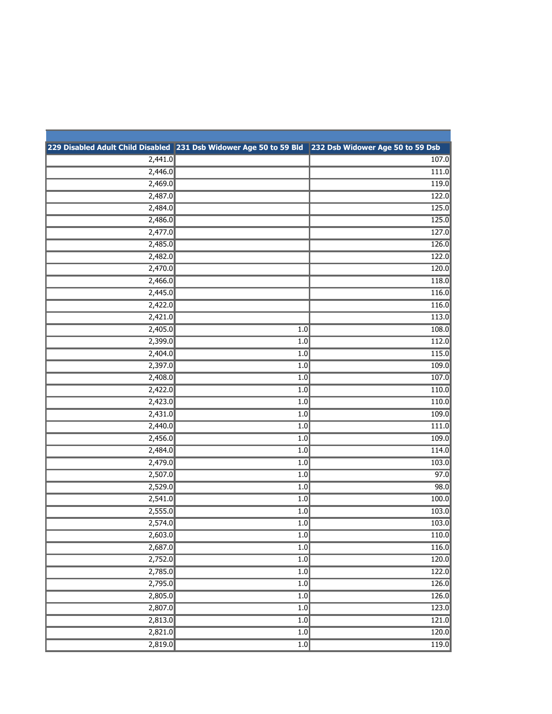|         | 229 Disabled Adult Child Disabled 231 Dsb Widower Age 50 to 59 Bld 232 Dsb Widower Age 50 to 59 Dsb |       |
|---------|-----------------------------------------------------------------------------------------------------|-------|
| 2,441.0 |                                                                                                     | 107.0 |
| 2,446.0 |                                                                                                     | 111.0 |
| 2,469.0 |                                                                                                     | 119.0 |
| 2,487.0 |                                                                                                     | 122.0 |
| 2,484.0 |                                                                                                     | 125.0 |
| 2,486.0 |                                                                                                     | 125.0 |
| 2,477.0 |                                                                                                     | 127.0 |
| 2,485.0 |                                                                                                     | 126.0 |
| 2,482.0 |                                                                                                     | 122.0 |
| 2,470.0 |                                                                                                     | 120.0 |
| 2,466.0 |                                                                                                     | 118.0 |
| 2,445.0 |                                                                                                     | 116.0 |
| 2,422.0 |                                                                                                     | 116.0 |
| 2,421.0 |                                                                                                     | 113.0 |
| 2,405.0 | 1.0                                                                                                 | 108.0 |
| 2,399.0 | 1.0                                                                                                 | 112.0 |
| 2,404.0 | 1.0                                                                                                 | 115.0 |
| 2,397.0 | 1.0                                                                                                 | 109.0 |
| 2,408.0 | 1.0                                                                                                 | 107.0 |
| 2,422.0 | 1.0                                                                                                 | 110.0 |
| 2,423.0 | 1.0                                                                                                 | 110.0 |
| 2,431.0 | 1.0                                                                                                 | 109.0 |
| 2,440.0 | 1.0                                                                                                 | 111.0 |
| 2,456.0 | 1.0                                                                                                 | 109.0 |
| 2,484.0 | 1.0                                                                                                 | 114.0 |
| 2,479.0 | 1.0                                                                                                 | 103.0 |
| 2,507.0 | 1.0                                                                                                 | 97.0  |
| 2,529.0 | 1.0                                                                                                 | 98.0  |
| 2,541.0 | 1.0                                                                                                 | 100.0 |
| 2,555.0 | 1.0                                                                                                 | 103.0 |
| 2,574.0 | 1.0                                                                                                 | 103.0 |
| 2,603.0 | 1.0                                                                                                 | 110.0 |
| 2,687.0 | $\overline{1.0}$                                                                                    | 116.0 |
| 2,752.0 | $\overline{1.0}$                                                                                    | 120.0 |
| 2,785.0 | $\overline{1.0}$                                                                                    | 122.0 |
| 2,795.0 | $\overline{1.0}$                                                                                    | 126.0 |
| 2,805.0 | 1.0                                                                                                 | 126.0 |
| 2,807.0 | $\overline{1.0}$                                                                                    | 123.0 |
| 2,813.0 | $\overline{1.0}$                                                                                    | 121.0 |
| 2,821.0 | $\overline{1.0}$                                                                                    | 120.0 |
| 2,819.0 | 1.0                                                                                                 | 119.0 |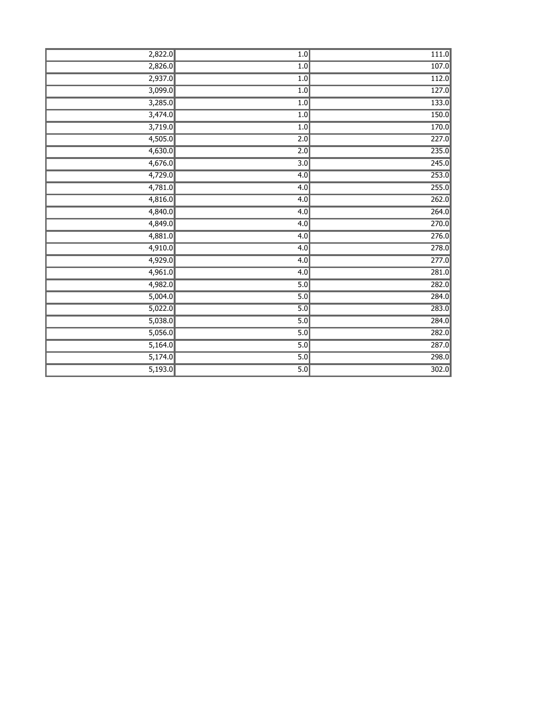| 2,822.0 | $\overline{1.0}$ | 111.0 |
|---------|------------------|-------|
| 2,826.0 | 1.0              | 107.0 |
| 2,937.0 | 1.0              | 112.0 |
| 3,099.0 | 1.0              | 127.0 |
| 3,285.0 | 1.0              | 133.0 |
| 3,474.0 | 1.0              | 150.0 |
| 3,719.0 | 1.0              | 170.0 |
| 4,505.0 | $\overline{2.0}$ | 227.0 |
| 4,630.0 | $\overline{2.0}$ | 235.0 |
| 4,676.0 | 3.0              | 245.0 |
| 4,729.0 | 4.0              | 253.0 |
| 4,781.0 | 4.0              | 255.0 |
| 4,816.0 | 4.0              | 262.0 |
| 4,840.0 | 4.0              | 264.0 |
| 4,849.0 | 4.0              | 270.0 |
| 4,881.0 | 4.0              | 276.0 |
| 4,910.0 | 4.0              | 278.0 |
| 4,929.0 | 4.0              | 277.0 |
| 4,961.0 | 4.0              | 281.0 |
| 4,982.0 | 5.0              | 282.0 |
| 5,004.0 | 5.0              | 284.0 |
| 5,022.0 | 5.0              | 283.0 |
| 5,038.0 | 5.0              | 284.0 |
| 5,056.0 | 5.0              | 282.0 |
| 5,164.0 | 5.0              | 287.0 |
| 5,174.0 | 5.0              | 298.0 |
| 5,193.0 | $\overline{5.0}$ | 302.0 |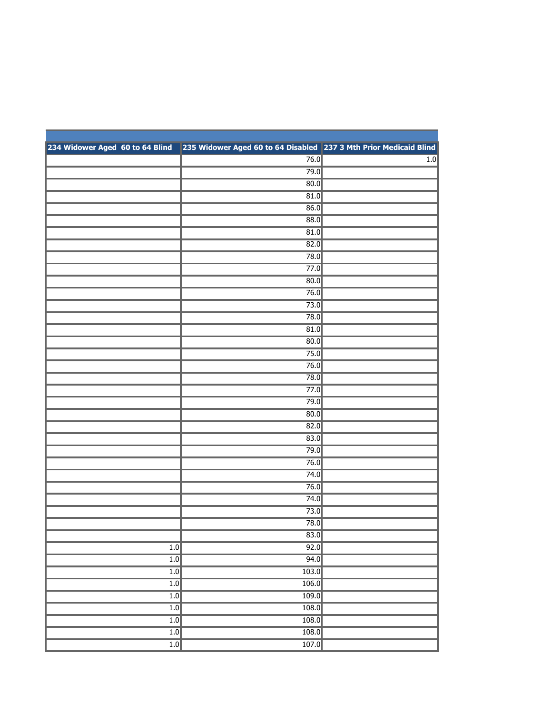|                  | 234 Widower Aged 60 to 64 Blind 235 Widower Aged 60 to 64 Disabled 237 3 Mth Prior Medicaid Blind |                  |
|------------------|---------------------------------------------------------------------------------------------------|------------------|
|                  | 76.0                                                                                              | $\overline{1.0}$ |
|                  | 79.0                                                                                              |                  |
|                  | 80.0                                                                                              |                  |
|                  | 81.0                                                                                              |                  |
|                  | 86.0                                                                                              |                  |
|                  | 88.0                                                                                              |                  |
|                  | 81.0                                                                                              |                  |
|                  | $\overline{82.0}$                                                                                 |                  |
|                  | 78.0                                                                                              |                  |
|                  | 77.0                                                                                              |                  |
|                  | 80.0                                                                                              |                  |
|                  | 76.0                                                                                              |                  |
|                  | 73.0                                                                                              |                  |
|                  | 78.0                                                                                              |                  |
|                  | 81.0                                                                                              |                  |
|                  | 80.0                                                                                              |                  |
|                  | 75.0                                                                                              |                  |
|                  | 76.0                                                                                              |                  |
|                  | 78.0                                                                                              |                  |
|                  | 77.0                                                                                              |                  |
|                  | 79.0                                                                                              |                  |
|                  | $\overline{80.0}$                                                                                 |                  |
|                  | 82.0                                                                                              |                  |
|                  | 83.0                                                                                              |                  |
|                  | 79.0                                                                                              |                  |
|                  | 76.0                                                                                              |                  |
|                  | 74.0                                                                                              |                  |
|                  | 76.0                                                                                              |                  |
|                  | 74.0                                                                                              |                  |
|                  | 73.0                                                                                              |                  |
|                  | 78.0                                                                                              |                  |
|                  | 83.0                                                                                              |                  |
| 1.0              | 92.0                                                                                              |                  |
| $\overline{1.0}$ | 94.0                                                                                              |                  |
| 1.0              | 103.0                                                                                             |                  |
| 1.0              | 106.0                                                                                             |                  |
| 1.0              | 109.0                                                                                             |                  |
| 1.0<br>1.0       | 108.0<br>108.0                                                                                    |                  |
| $\overline{1.0}$ | 108.0                                                                                             |                  |
|                  |                                                                                                   |                  |
| 1.0              | 107.0                                                                                             |                  |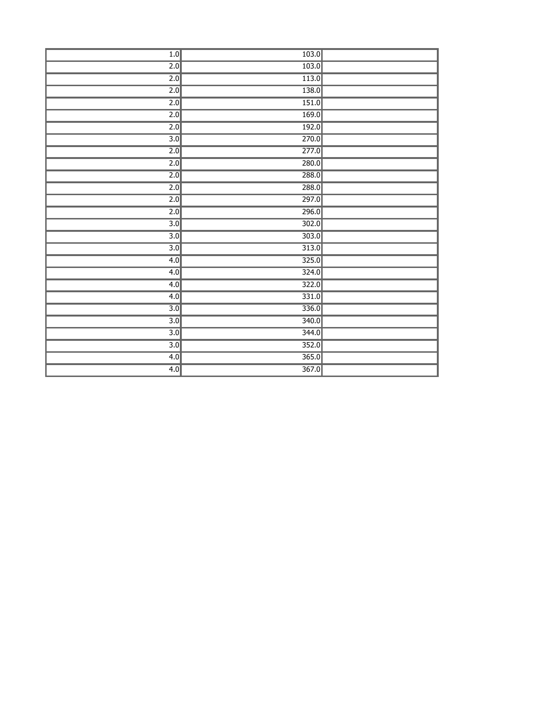| 1.0              | 103.0           |  |
|------------------|-----------------|--|
| $\overline{2.0}$ | 103.0           |  |
| 2.0              | 113.0           |  |
| $\overline{2.0}$ | 138.0           |  |
| $\overline{2.0}$ | 151.0           |  |
| $\overline{2.0}$ | 169.0           |  |
| $\overline{2.0}$ | 192.0           |  |
| $\overline{3.0}$ | 270.0           |  |
| $\overline{2.0}$ | 277.0           |  |
| $\overline{2.0}$ | 280.0           |  |
| 2.0              | 288.0           |  |
| $\overline{2.0}$ | 288.0           |  |
| $\overline{2.0}$ | 297.0           |  |
| $\overline{2.0}$ | 296.0           |  |
| $\overline{3.0}$ | 302.0           |  |
| $\overline{3.0}$ | 303.0           |  |
| $\overline{3.0}$ | 313.0           |  |
| 4.0              | 325.0           |  |
| 4.0              | 324.0           |  |
| 4.0              | 322.0           |  |
| 4.0              | 331.0           |  |
| $\overline{3.0}$ | 336.0           |  |
| $\overline{3.0}$ | $\boxed{340.0}$ |  |
| $\overline{3.0}$ | 344.0           |  |
| $\overline{3.0}$ | 352.0           |  |
| 4.0              | 365.0           |  |
| 4.0              | 367.0           |  |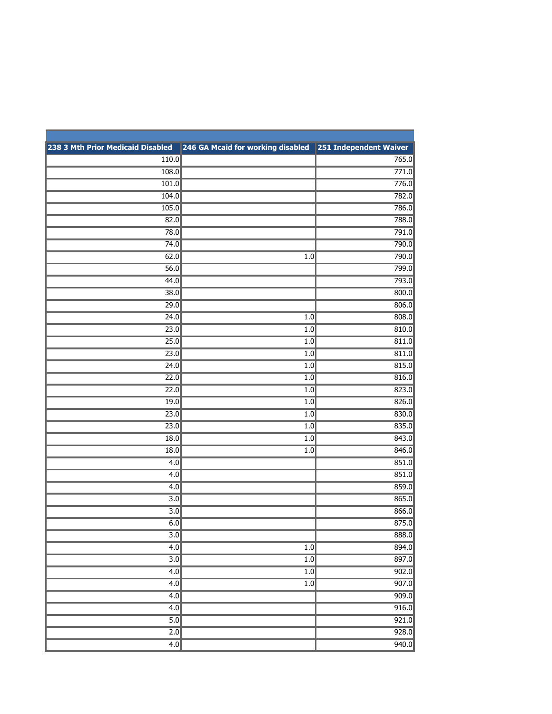| 238 3 Mth Prior Medicaid Disabled | 246 GA Mcaid for working disabled 251 Independent Waiver |       |
|-----------------------------------|----------------------------------------------------------|-------|
| 110.0                             |                                                          | 765.0 |
| 108.0                             |                                                          | 771.0 |
| 101.0                             |                                                          | 776.0 |
| 104.0                             |                                                          | 782.0 |
| 105.0                             |                                                          | 786.0 |
| 82.0                              |                                                          | 788.0 |
| 78.0                              |                                                          | 791.0 |
| 74.0                              |                                                          | 790.0 |
| 62.0                              | 1.0                                                      | 790.0 |
| 56.0                              |                                                          | 799.0 |
| 44.0                              |                                                          | 793.0 |
| 38.0                              |                                                          | 800.0 |
| 29.0                              |                                                          | 806.0 |
| 24.0                              | 1.0                                                      | 808.0 |
| $\overline{23.0}$                 | 1.0                                                      | 810.0 |
| 25.0                              | 1.0                                                      | 811.0 |
| 23.0                              | 1.0                                                      | 811.0 |
| 24.0                              | 1.0                                                      | 815.0 |
| 22.0                              | $\overline{1.0}$                                         | 816.0 |
| 22.0                              | 1.0                                                      | 823.0 |
| 19.0                              | 1.0                                                      | 826.0 |
| 23.0                              | 1.0                                                      | 830.0 |
| 23.0                              | 1.0                                                      | 835.0 |
| 18.0                              | 1.0                                                      | 843.0 |
| 18.0                              | 1.0                                                      | 846.0 |
| 4.0                               |                                                          | 851.0 |
| 4.0                               |                                                          | 851.0 |
| 4.0                               |                                                          | 859.0 |
| 3.0                               |                                                          | 865.0 |
| 3.0                               |                                                          | 866.0 |
| 6.0                               |                                                          | 875.0 |
| $\overline{3.0}$                  |                                                          | 888.0 |
| 4.0                               | 1.0                                                      | 894.0 |
| $\overline{3.0}$                  | 1.0                                                      | 897.0 |
| 4.0                               | $\overline{1.0}$                                         | 902.0 |
| 4.0                               | $\overline{1.0}$                                         | 907.0 |
| 4.0                               |                                                          | 909.0 |
| 4.0                               |                                                          | 916.0 |
| 5.0                               |                                                          | 921.0 |
| $\overline{2.0}$                  |                                                          | 928.0 |
| 4.0                               |                                                          | 940.0 |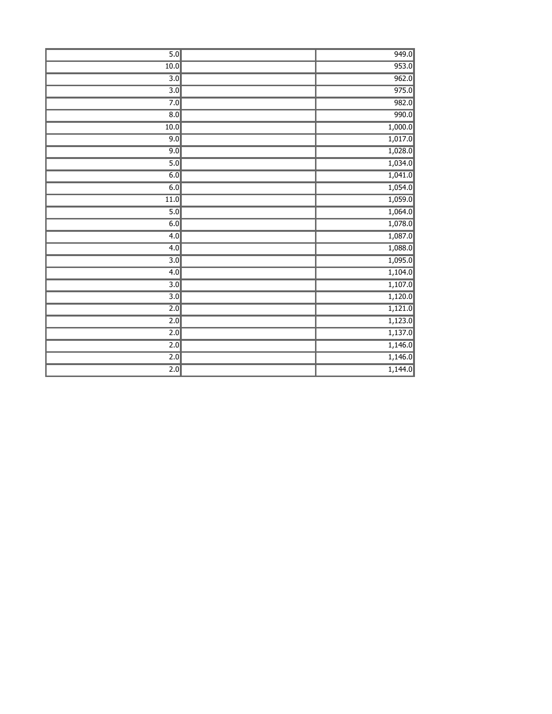| 5.0               | 949.0   |
|-------------------|---------|
| 10.0              | 953.0   |
| $\overline{3.0}$  | 962.0   |
| $\overline{3.0}$  | 975.0   |
| 7.0               | 982.0   |
| $\overline{8.0}$  | 990.0   |
| 10.0              | 1,000.0 |
| 9.0               | 1,017.0 |
| 9.0               | 1,028.0 |
| 5.0               | 1,034.0 |
| 6.0               | 1,041.0 |
| 6.0               | 1,054.0 |
| $\overline{11.0}$ | 1,059.0 |
| 5.0               | 1,064.0 |
| 6.0               | 1,078.0 |
| 4.0               | 1,087.0 |
| 4.0               | 1,088.0 |
| $\overline{3.0}$  | 1,095.0 |
| 4.0               | 1,104.0 |
| $\overline{3.0}$  | 1,107.0 |
| $\overline{3.0}$  | 1,120.0 |
| $\overline{2.0}$  | 1,121.0 |
| $\overline{2.0}$  | 1,123.0 |
| $\overline{2.0}$  | 1,137.0 |
| $\overline{2.0}$  | 1,146.0 |
| $\overline{2.0}$  | 1,146.0 |
| $\overline{2.0}$  | 1,144.0 |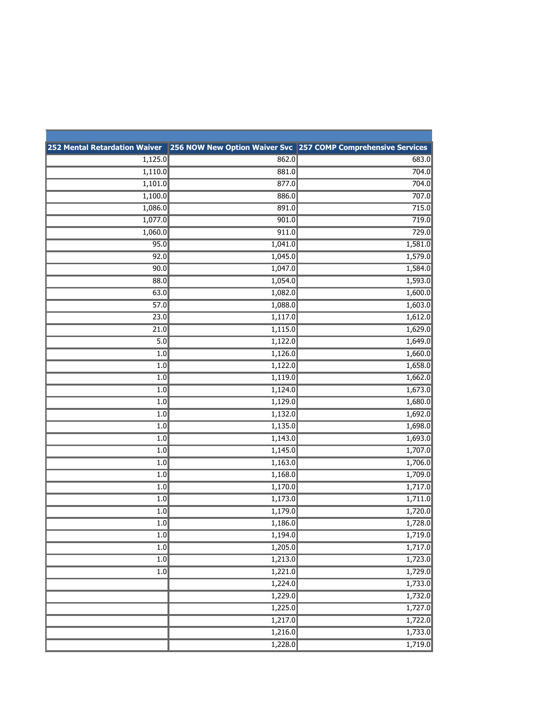|                  |         | 252 Mental Retardation Waiver 256 NOW New Option Waiver Svc 257 COMP Comprehensive Services |
|------------------|---------|---------------------------------------------------------------------------------------------|
| 1,125.0          | 862.0   | 683.0                                                                                       |
| 1,110.0          | 881.0   | 704.0                                                                                       |
| 1,101.0          | 877.0   | 704.0                                                                                       |
| 1,100.0          | 886.0   | 707.0                                                                                       |
| 1,086.0          | 891.0   | 715.0                                                                                       |
| 1,077.0          | 901.0   | 719.0                                                                                       |
| 1,060.0          | 911.0   | 729.0                                                                                       |
| 95.0             | 1,041.0 | 1,581.0                                                                                     |
| 92.0             | 1,045.0 | 1,579.0                                                                                     |
| 90.0             | 1,047.0 | 1,584.0                                                                                     |
| 88.0             | 1,054.0 | 1,593.0                                                                                     |
| 63.0             | 1,082.0 | 1,600.0                                                                                     |
| 57.0             | 1,088.0 | 1,603.0                                                                                     |
| 23.0             | 1,117.0 | 1,612.0                                                                                     |
| 21.0             | 1,115.0 | 1,629.0                                                                                     |
| 5.0              | 1,122.0 | 1,649.0                                                                                     |
| 1.0              | 1,126.0 | 1,660.0                                                                                     |
| 1.0              | 1,122.0 | 1,658.0                                                                                     |
| 1.0              | 1,119.0 | 1,662.0                                                                                     |
| 1.0              | 1,124.0 | 1,673.0                                                                                     |
| 1.0              | 1,129.0 | 1,680.0                                                                                     |
| 1.0              | 1,132.0 | 1,692.0                                                                                     |
| 1.0              | 1,135.0 | 1,698.0                                                                                     |
| 1.0              | 1,143.0 | 1,693.0                                                                                     |
| 1.0              | 1,145.0 | 1,707.0                                                                                     |
| 1.0              | 1,163.0 | 1,706.0                                                                                     |
| 1.0              | 1,168.0 | 1,709.0                                                                                     |
| 1.0              | 1,170.0 | 1,717.0                                                                                     |
| 1.0              | 1,173.0 | 1,711.0                                                                                     |
| 1.0              | 1,179.0 | 1,720.0                                                                                     |
| $1.0$            | 1,186.0 | 1,728.0                                                                                     |
| 1.0              | 1,194.0 | 1,719.0                                                                                     |
| 1.0              | 1,205.0 | 1,717.0                                                                                     |
| $\overline{1.0}$ | 1,213.0 | 1,723.0                                                                                     |
| 1.0              | 1,221.0 | 1,729.0                                                                                     |
|                  | 1,224.0 | 1,733.0                                                                                     |
|                  | 1,229.0 | 1,732.0                                                                                     |
|                  | 1,225.0 | 1,727.0                                                                                     |
|                  | 1,217.0 | 1,722.0                                                                                     |
|                  | 1,216.0 | 1,733.0                                                                                     |
|                  | 1,228.0 | 1,719.0                                                                                     |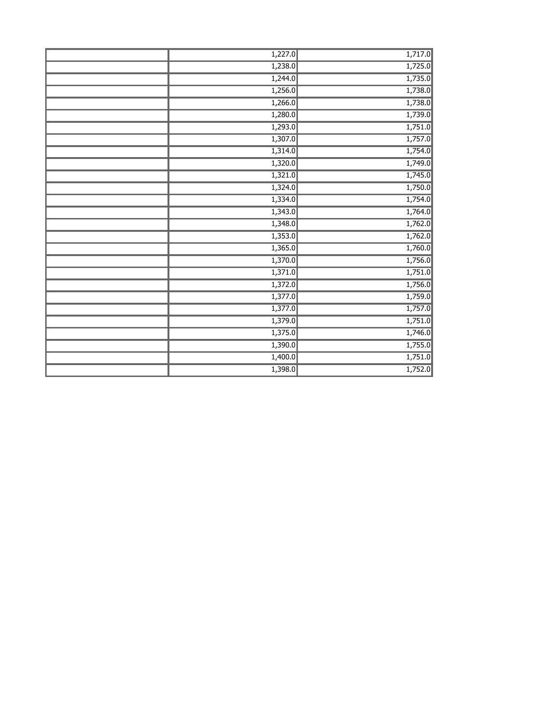| 1,227.0 | 1,717.0 |
|---------|---------|
| 1,238.0 | 1,725.0 |
| 1,244.0 | 1,735.0 |
| 1,256.0 | 1,738.0 |
| 1,266.0 | 1,738.0 |
| 1,280.0 | 1,739.0 |
| 1,293.0 | 1,751.0 |
| 1,307.0 | 1,757.0 |
| 1,314.0 | 1,754.0 |
| 1,320.0 | 1,749.0 |
| 1,321.0 | 1,745.0 |
| 1,324.0 | 1,750.0 |
| 1,334.0 | 1,754.0 |
| 1,343.0 | 1,764.0 |
| 1,348.0 | 1,762.0 |
| 1,353.0 | 1,762.0 |
| 1,365.0 | 1,760.0 |
| 1,370.0 | 1,756.0 |
| 1,371.0 | 1,751.0 |
| 1,372.0 | 1,756.0 |
| 1,377.0 | 1,759.0 |
| 1,377.0 | 1,757.0 |
| 1,379.0 | 1,751.0 |
| 1,375.0 | 1,746.0 |
| 1,390.0 | 1,755.0 |
| 1,400.0 | 1,751.0 |
| 1,398.0 | 1,752.0 |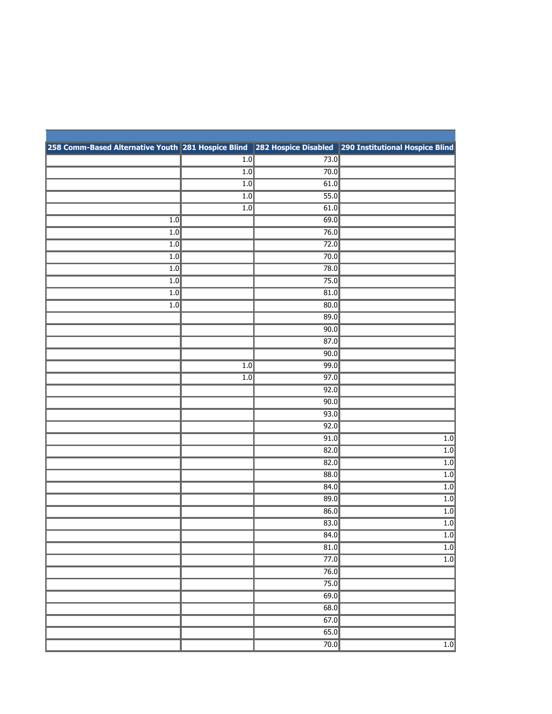| 258 Comm-Based Alternative Youth 281 Hospice Blind 282 Hospice Disabled 290 Institutional Hospice Blind |                  |              |                                      |
|---------------------------------------------------------------------------------------------------------|------------------|--------------|--------------------------------------|
|                                                                                                         | 1.0              | 73.0         |                                      |
|                                                                                                         | $\overline{1.0}$ | 70.0         |                                      |
|                                                                                                         | 1.0              | 61.0         |                                      |
|                                                                                                         | 1.0              | 55.0         |                                      |
|                                                                                                         | 1.0              | 61.0         |                                      |
| 1.0                                                                                                     |                  | 69.0         |                                      |
| 1.0                                                                                                     |                  | 76.0         |                                      |
| 1.0                                                                                                     |                  | 72.0         |                                      |
| $\overline{1.0}$                                                                                        |                  | 70.0         |                                      |
| 1.0                                                                                                     |                  | 78.0         |                                      |
| 1.0                                                                                                     |                  | 75.0         |                                      |
| 1.0                                                                                                     |                  | 81.0         |                                      |
| 1.0                                                                                                     |                  | 80.0         |                                      |
|                                                                                                         |                  | 89.0         |                                      |
|                                                                                                         |                  | 90.0         |                                      |
|                                                                                                         |                  | 87.0         |                                      |
|                                                                                                         |                  | 90.0         |                                      |
|                                                                                                         | 1.0              | 99.0         |                                      |
|                                                                                                         | $\overline{1.0}$ | 97.0         |                                      |
|                                                                                                         |                  | 92.0         |                                      |
|                                                                                                         |                  | 90.0<br>93.0 |                                      |
|                                                                                                         |                  |              |                                      |
|                                                                                                         |                  | 92.0         |                                      |
|                                                                                                         |                  | 91.0         | $\overline{1.0}$                     |
|                                                                                                         |                  | 82.0         | $\overline{1.0}$                     |
|                                                                                                         |                  | 82.0<br>88.0 | $\overline{1.0}$                     |
|                                                                                                         |                  |              | $\overline{1.0}$                     |
|                                                                                                         |                  | 84.0<br>89.0 | $\overline{1.0}$                     |
|                                                                                                         |                  | 86.0         | 1.0                                  |
|                                                                                                         |                  |              | 1.0                                  |
|                                                                                                         |                  | 83.0<br>84.0 | $\overline{1.0}$<br>$\overline{1.0}$ |
|                                                                                                         |                  |              | 1.0                                  |
|                                                                                                         |                  | 81.0         | $\overline{1.0}$                     |
|                                                                                                         |                  | 77.0         |                                      |
|                                                                                                         |                  | 76.0<br>75.0 |                                      |
|                                                                                                         |                  |              |                                      |
|                                                                                                         |                  | 69.0         |                                      |
|                                                                                                         |                  | 68.0<br>67.0 |                                      |
|                                                                                                         |                  | 65.0         |                                      |
|                                                                                                         |                  |              |                                      |
|                                                                                                         |                  | 70.0         | $\overline{1.0}$                     |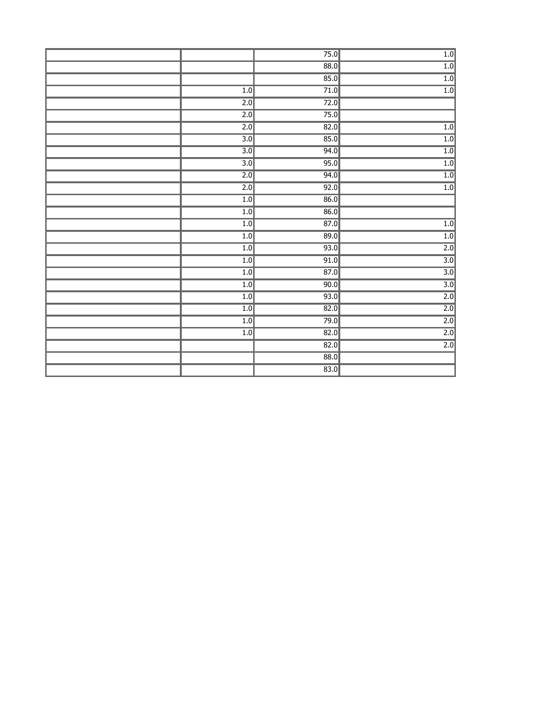|                  | 75.0              | 1.0              |
|------------------|-------------------|------------------|
|                  | 88.0              | $\overline{1.0}$ |
|                  | 85.0              | 1.0              |
| 1.0              | 71.0              | 1.0              |
| $\overline{2.0}$ | 72.0              |                  |
| $\overline{2.0}$ | 75.0              |                  |
| $\overline{2.0}$ | 82.0              | 1.0              |
| $\overline{3.0}$ | 85.0              | 1.0              |
| $\overline{3.0}$ | 94.0              | 1.0              |
| $\overline{3.0}$ | 95.0              | 1.0              |
| $\overline{2.0}$ | 94.0              | $\overline{1.0}$ |
| 2.0              | 92.0              | 1.0              |
| 1.0              | 86.0              |                  |
| 1.0              | 86.0              |                  |
| 1.0              | 87.0              | 1.0              |
| 1.0              | 89.0              | 1.0              |
| 1.0              | 93.0              | $\overline{2.0}$ |
| 1.0              | 91.0              | $\overline{3.0}$ |
| 1.0              | $\overline{87.0}$ | $\overline{3.0}$ |
| 1.0              | 90.0              | $\overline{3.0}$ |
| 1.0              | 93.0              | $\overline{2.0}$ |
| 1.0              | 82.0              | 2.0              |
| 1.0              | 79.0              | $\overline{2.0}$ |
| $\overline{1.0}$ | 82.0              | $\overline{2.0}$ |
|                  | 82.0              | $\overline{2.0}$ |
|                  | 88.0              |                  |
|                  | 83.0              |                  |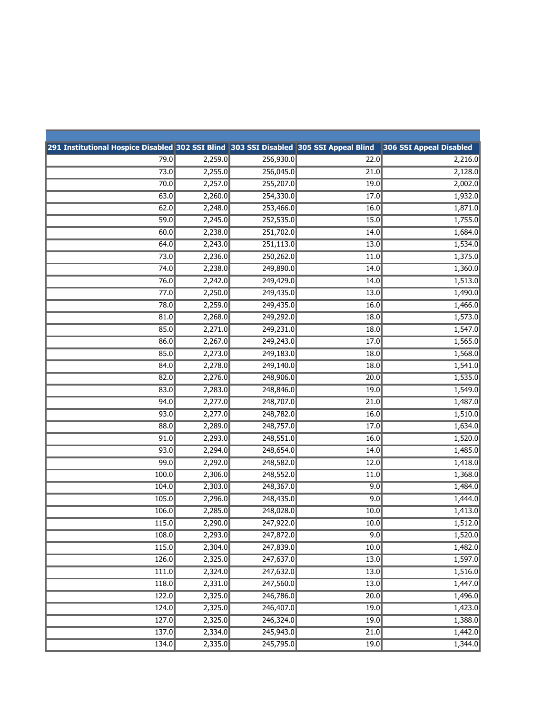| 291 Institutional Hospice Disabled 302 SSI Blind 303 SSI Disabled 305 SSI Appeal Blind |         |           |      | 306 SSI Appeal Disabled |
|----------------------------------------------------------------------------------------|---------|-----------|------|-------------------------|
| 79.0                                                                                   | 2,259.0 | 256,930.0 | 22.0 | 2,216.0                 |
| 73.0                                                                                   | 2,255.0 | 256,045.0 | 21.0 | 2,128.0                 |
| 70.0                                                                                   | 2,257.0 | 255,207.0 | 19.0 | 2,002.0                 |
| 63.0                                                                                   | 2,260.0 | 254,330.0 | 17.0 | 1,932.0                 |
| 62.0                                                                                   | 2,248.0 | 253,466.0 | 16.0 | 1,871.0                 |
| 59.0                                                                                   | 2,245.0 | 252,535.0 | 15.0 | 1,755.0                 |
| 60.0                                                                                   | 2,238.0 | 251,702.0 | 14.0 | 1,684.0                 |
| 64.0                                                                                   | 2,243.0 | 251,113.0 | 13.0 | 1,534.0                 |
| 73.0                                                                                   | 2,236.0 | 250,262.0 | 11.0 | 1,375.0                 |
| 74.0                                                                                   | 2,238.0 | 249,890.0 | 14.0 | 1,360.0                 |
| 76.0                                                                                   | 2,242.0 | 249,429.0 | 14.0 | 1,513.0                 |
| 77.0                                                                                   | 2,250.0 | 249,435.0 | 13.0 | 1,490.0                 |
| 78.0                                                                                   | 2,259.0 | 249,435.0 | 16.0 | 1,466.0                 |
| 81.0                                                                                   | 2,268.0 | 249,292.0 | 18.0 | 1,573.0                 |
| 85.0                                                                                   | 2,271.0 | 249,231.0 | 18.0 | 1,547.0                 |
| 86.0                                                                                   | 2,267.0 | 249,243.0 | 17.0 | 1,565.0                 |
| 85.0                                                                                   | 2,273.0 | 249,183.0 | 18.0 | 1,568.0                 |
| 84.0                                                                                   | 2,278.0 | 249,140.0 | 18.0 | 1,541.0                 |
| 82.0                                                                                   | 2,276.0 | 248,906.0 | 20.0 | 1,535.0                 |
| 83.0                                                                                   | 2,283.0 | 248,846.0 | 19.0 | 1,549.0                 |
| 94.0                                                                                   | 2,277.0 | 248,707.0 | 21.0 | 1,487.0                 |
| 93.0                                                                                   | 2,277.0 | 248,782.0 | 16.0 | 1,510.0                 |
| 88.0                                                                                   | 2,289.0 | 248,757.0 | 17.0 | 1,634.0                 |
| 91.0                                                                                   | 2,293.0 | 248,551.0 | 16.0 | 1,520.0                 |
| 93.0                                                                                   | 2,294.0 | 248,654.0 | 14.0 | 1,485.0                 |
| 99.0                                                                                   | 2,292.0 | 248,582.0 | 12.0 | 1,418.0                 |
| 100.0                                                                                  | 2,306.0 | 248,552.0 | 11.0 | 1,368.0                 |
| 104.0                                                                                  | 2,303.0 | 248,367.0 | 9.0  | 1,484.0                 |
| 105.0                                                                                  | 2,296.0 | 248,435.0 | 9.0  | 1,444.0                 |
| 106.0                                                                                  | 2,285.0 | 248,028.0 | 10.0 | 1,413.0                 |
| 115.0                                                                                  | 2,290.0 | 247,922.0 | 10.0 | 1,512.0                 |
| 108.0                                                                                  | 2,293.0 | 247,872.0 | 9.0  | 1,520.0                 |
| 115.0                                                                                  | 2,304.0 | 247,839.0 | 10.0 | 1,482.0                 |
| 126.0                                                                                  | 2,325.0 | 247,637.0 | 13.0 | 1,597.0                 |
| 111.0                                                                                  | 2,324.0 | 247,632.0 | 13.0 | 1,516.0                 |
| 118.0                                                                                  | 2,331.0 | 247,560.0 | 13.0 | 1,447.0                 |
| 122.0                                                                                  | 2,325.0 | 246,786.0 | 20.0 | 1,496.0                 |
| 124.0                                                                                  | 2,325.0 | 246,407.0 | 19.0 | 1,423.0                 |
| 127.0                                                                                  | 2,325.0 | 246,324.0 | 19.0 | 1,388.0                 |
| 137.0                                                                                  | 2,334.0 | 245,943.0 | 21.0 | 1,442.0                 |
| 134.0                                                                                  | 2,335.0 | 245,795.0 | 19.0 | 1,344.0                 |
|                                                                                        |         |           |      |                         |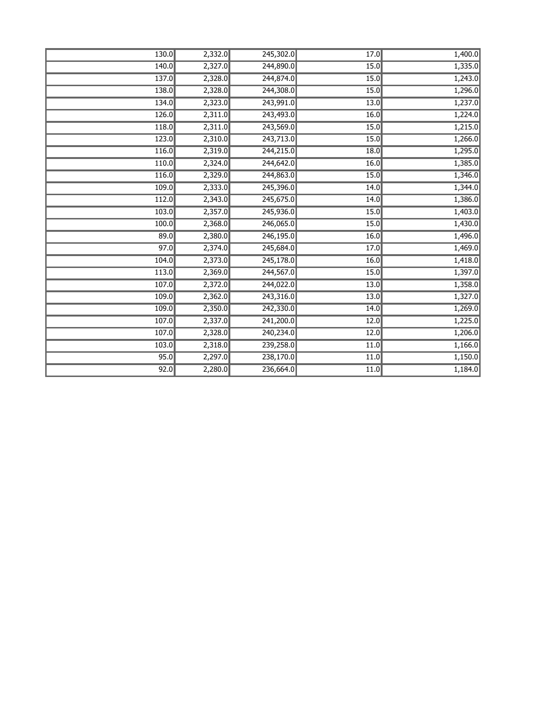| 130.0 | 2,332.0 | 245,302.0 | 17.0 | 1,400.0 |
|-------|---------|-----------|------|---------|
| 140.0 | 2,327.0 | 244,890.0 | 15.0 | 1,335.0 |
| 137.0 | 2,328.0 | 244,874.0 | 15.0 | 1,243.0 |
| 138.0 | 2,328.0 | 244,308.0 | 15.0 | 1,296.0 |
| 134.0 | 2,323.0 | 243,991.0 | 13.0 | 1,237.0 |
| 126.0 | 2,311.0 | 243,493.0 | 16.0 | 1,224.0 |
| 118.0 | 2,311.0 | 243,569.0 | 15.0 | 1,215.0 |
| 123.0 | 2,310.0 | 243,713.0 | 15.0 | 1,266.0 |
| 116.0 | 2,319.0 | 244,215.0 | 18.0 | 1,295.0 |
| 110.0 | 2,324.0 | 244,642.0 | 16.0 | 1,385.0 |
| 116.0 | 2,329.0 | 244,863.0 | 15.0 | 1,346.0 |
| 109.0 | 2,333.0 | 245,396.0 | 14.0 | 1,344.0 |
| 112.0 | 2,343.0 | 245,675.0 | 14.0 | 1,386.0 |
| 103.0 | 2,357.0 | 245,936.0 | 15.0 | 1,403.0 |
| 100.0 | 2,368.0 | 246,065.0 | 15.0 | 1,430.0 |
| 89.0  | 2,380.0 | 246,195.0 | 16.0 | 1,496.0 |
| 97.0  | 2,374.0 | 245,684.0 | 17.0 | 1,469.0 |
| 104.0 | 2,373.0 | 245,178.0 | 16.0 | 1,418.0 |
| 113.0 | 2,369.0 | 244,567.0 | 15.0 | 1,397.0 |
| 107.0 | 2,372.0 | 244,022.0 | 13.0 | 1,358.0 |
| 109.0 | 2,362.0 | 243,316.0 | 13.0 | 1,327.0 |
| 109.0 | 2,350.0 | 242,330.0 | 14.0 | 1,269.0 |
| 107.0 | 2,337.0 | 241,200.0 | 12.0 | 1,225.0 |
| 107.0 | 2,328.0 | 240,234.0 | 12.0 | 1,206.0 |
| 103.0 | 2,318.0 | 239,258.0 | 11.0 | 1,166.0 |
| 95.0  | 2,297.0 | 238,170.0 | 11.0 | 1,150.0 |
| 92.0  | 2,280.0 | 236,664.0 | 11.0 | 1,184.0 |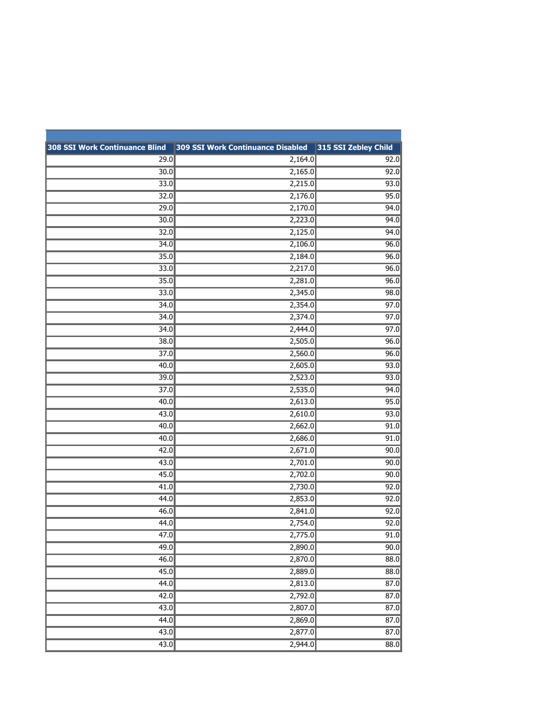| 308 SSI Work Continuance Blind | 309 SSI Work Continuance Disabled | 315 SSI Zebley Child |
|--------------------------------|-----------------------------------|----------------------|
| 29.0                           | 2,164.0                           | 92.0                 |
| 30.0                           | 2,165.0                           | 92.0                 |
| 33.0                           | 2,215.0                           | 93.0                 |
| 32.0                           | 2,176.0                           | 95.0                 |
| 29.0                           | 2,170.0                           | 94.0                 |
| 30.0                           | 2,223.0                           | 94.0                 |
| 32.0                           | 2,125.0                           | 94.0                 |
| 34.0                           | 2,106.0                           | 96.0                 |
| 35.0                           | 2,184.0                           | 96.0                 |
| 33.0                           | 2,217.0                           | 96.0                 |
| 35.0                           | 2,281.0                           | 96.0                 |
| 33.0                           | 2,345.0                           | 98.0                 |
| 34.0                           | 2,354.0                           | 97.0                 |
| 34.0                           | 2,374.0                           | 97.0                 |
| 34.0                           | 2,444.0                           | 97.0                 |
| 38.0                           | 2,505.0                           | 96.0                 |
| 37.0                           | 2,560.0                           | 96.0                 |
| 40.0                           | 2,605.0                           | 93.0                 |
| 39.0                           | 2,523.0                           | 93.0                 |
| 37.0                           | 2,535.0                           | 94.0                 |
| 40.0                           | 2,613.0                           | 95.0                 |
| 43.0                           | 2,610.0                           | 93.0                 |
| 40.0                           | 2,662.0                           | 91.0                 |
| 40.0                           | 2,686.0                           | 91.0                 |
| 42.0                           | 2,671.0                           | 90.0                 |
| 43.0                           | 2,701.0                           | 90.0                 |
| 45.0                           | 2,702.0                           | 90.0                 |
| 41.0                           | 2,730.0                           | 92.0                 |
| 44.0                           | 2,853.0                           | 92.0                 |
| 46.0                           | 2,841.0                           | 92.0                 |
| 44.0                           | 2,754.0                           | 92.0                 |
| 47.0                           | 2,775.0                           | 91.0                 |
| 49.0                           | 2,890.0                           | 90.0                 |
| 46.0                           | 2,870.0                           | 88.0                 |
| 45.0                           | 2,889.0                           | 88.0                 |
| 44.0                           | 2,813.0                           | 87.0                 |
| 42.0                           | 2,792.0                           | 87.0                 |
| 43.0                           | 2,807.0                           | 87.0                 |
| 44.0                           | 2,869.0                           | 87.0                 |
| 43.0                           | 2,877.0                           | 87.0                 |
| 43.0                           | 2,944.0                           | 88.0                 |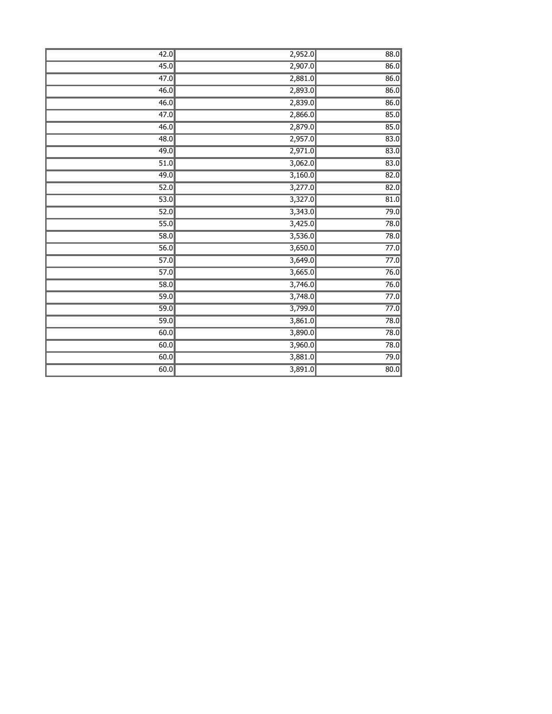| 42.0              | 2,952.0 | 88.0              |
|-------------------|---------|-------------------|
| 45.0              | 2,907.0 | 86.0              |
| $\overline{47.0}$ | 2,881.0 | 86.0              |
| 46.0              | 2,893.0 | 86.0              |
| 46.0              | 2,839.0 | 86.0              |
| $\overline{47.0}$ | 2,866.0 | 85.0              |
| 46.0              | 2,879.0 | 85.0              |
| 48.0              | 2,957.0 | 83.0              |
| 49.0              | 2,971.0 | 83.0              |
| 51.0              | 3,062.0 | 83.0              |
| 49.0              | 3,160.0 | 82.0              |
| 52.0              | 3,277.0 | 82.0              |
| 53.0              | 3,327.0 | 81.0              |
| 52.0              | 3,343.0 | 79.0              |
| 55.0              | 3,425.0 | 78.0              |
| 58.0              | 3,536.0 | 78.0              |
| 56.0              | 3,650.0 | 77.0              |
| $\overline{57.0}$ | 3,649.0 | 77.0              |
| 57.0              | 3,665.0 | 76.0              |
| 58.0              | 3,746.0 | 76.0              |
| 59.0              | 3,748.0 | 77.0              |
| 59.0              | 3,799.0 | 77.0              |
| $\overline{59.0}$ | 3,861.0 | 78.0              |
| 60.0              | 3,890.0 | 78.0              |
| 60.0              | 3,960.0 | 78.0              |
| 60.0              | 3,881.0 | 79.0              |
| 60.0              | 3,891.0 | $\overline{80.0}$ |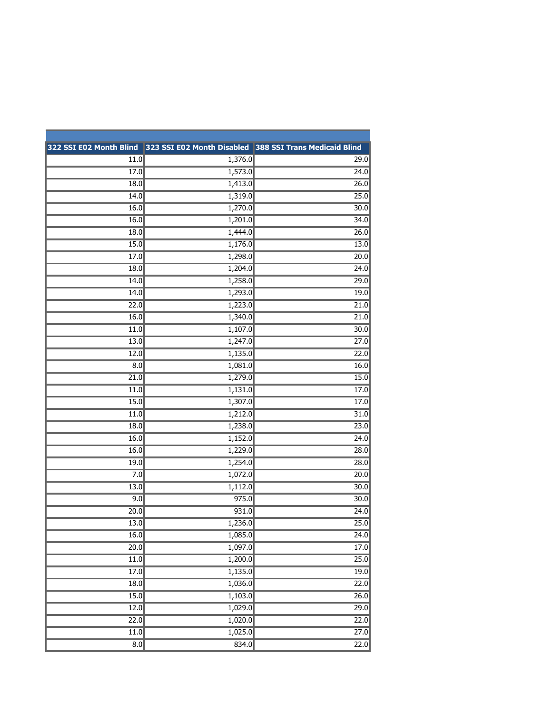|                   | 322 SSI E02 Month Blind 323 SSI E02 Month Disabled 388 SSI Trans Medicaid Blind |                   |
|-------------------|---------------------------------------------------------------------------------|-------------------|
| 11.0              | 1,376.0                                                                         | 29.0              |
| 17.0              | 1,573.0                                                                         | 24.0              |
| 18.0              | 1,413.0                                                                         | 26.0              |
| 14.0              | 1,319.0                                                                         | 25.0              |
| 16.0              | 1,270.0                                                                         | 30.0              |
| 16.0              | 1,201.0                                                                         | 34.0              |
| 18.0              | 1,444.0                                                                         | 26.0              |
| 15.0              | 1,176.0                                                                         | 13.0              |
| 17.0              | 1,298.0                                                                         | 20.0              |
| 18.0              | 1,204.0                                                                         | 24.0              |
| 14.0              | 1,258.0                                                                         | 29.0              |
| 14.0              | 1,293.0                                                                         | 19.0              |
| 22.0              | 1,223.0                                                                         | 21.0              |
| 16.0              | 1,340.0                                                                         | 21.0              |
| 11.0              | 1,107.0                                                                         | 30.0              |
| 13.0              | 1,247.0                                                                         | 27.0              |
| 12.0              | 1,135.0                                                                         | 22.0              |
| 8.0               | 1,081.0                                                                         | 16.0              |
| 21.0              | 1,279.0                                                                         | 15.0              |
| 11.0              | 1,131.0                                                                         | 17.0              |
| 15.0              | 1,307.0                                                                         | 17.0              |
| 11.0              | 1,212.0                                                                         | 31.0              |
| 18.0              | 1,238.0                                                                         | 23.0              |
| 16.0              | 1,152.0                                                                         | 24.0              |
| 16.0              | 1,229.0                                                                         | 28.0              |
| 19.0              | 1,254.0                                                                         | 28.0              |
| 7.0               | 1,072.0                                                                         | 20.0              |
| 13.0              | 1,112.0                                                                         | 30.0              |
| 9.0               | 975.0                                                                           | 30.0              |
| 20.0              | 931.0                                                                           | 24.0              |
| 13.0              | 1,236.0                                                                         | $\overline{25.0}$ |
| 16.0              | 1,085.0                                                                         | 24.0              |
| 20.0              | 1,097.0                                                                         | 17.0              |
| $\overline{11.0}$ | 1,200.0                                                                         | $\overline{25.0}$ |
| 17.0              | 1,135.0                                                                         | 19.0              |
| $\overline{18.0}$ | 1,036.0                                                                         | 22.0              |
| 15.0              | 1,103.0                                                                         | 26.0              |
| 12.0              | 1,029.0                                                                         | 29.0              |
| 22.0              | 1,020.0                                                                         | 22.0              |
| $\overline{11.0}$ | 1,025.0                                                                         | 27.0              |
| $\overline{8.0}$  | 834.0                                                                           | 22.0              |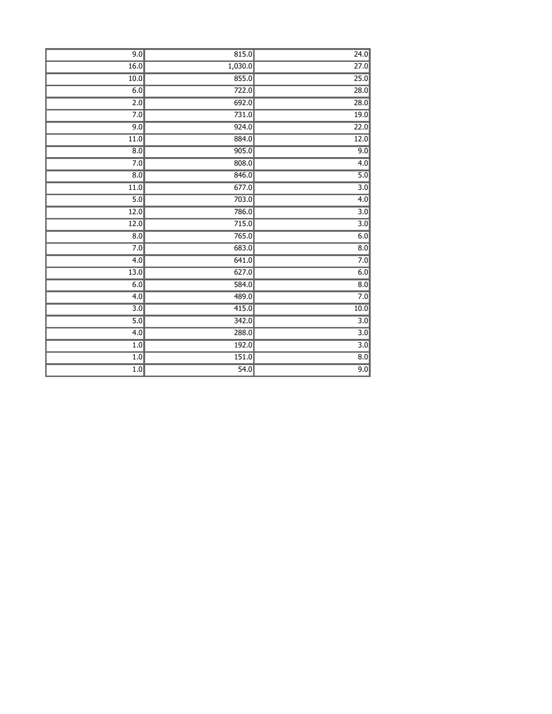| 9.0               | 815.0   | 24.0              |
|-------------------|---------|-------------------|
| 16.0              | 1,030.0 | $\overline{27.0}$ |
| 10.0              | 855.0   | 25.0              |
| 6.0               | 722.0   | 28.0              |
| $\overline{2.0}$  | 692.0   | 28.0              |
| $\overline{7.0}$  | 731.0   | 19.0              |
| 9.0               | 924.0   | 22.0              |
| 11.0              | 884.0   | 12.0              |
| $\overline{8.0}$  | 905.0   | 9.0               |
| 7.0               | 808.0   | 4.0               |
| $\overline{8.0}$  | 846.0   | $\overline{5.0}$  |
| $\overline{11.0}$ | 677.0   | $\overline{3.0}$  |
| $\overline{5.0}$  | 703.0   | 4.0               |
| 12.0              | 786.0   | $\overline{3.0}$  |
| 12.0              | 715.0   | $\overline{3.0}$  |
| $\overline{8.0}$  | 765.0   | 6.0               |
| 7.0               | 683.0   | $\overline{8.0}$  |
| 4.0               | 641.0   | 7.0               |
| $\overline{13.0}$ | 627.0   | $\overline{6.0}$  |
| 6.0               | 584.0   | $\overline{8.0}$  |
| $\overline{4.0}$  | 489.0   | 7.0               |
| $\overline{3.0}$  | 415.0   | $\overline{10.0}$ |
| 5.0               | 342.0   | 3.0               |
| 4.0               | 288.0   | $\overline{3.0}$  |
| 1.0               | 192.0   | $\overline{3.0}$  |
| 1.0               | 151.0   | $\overline{8.0}$  |
| 1.0               | 54.0    | 9.0               |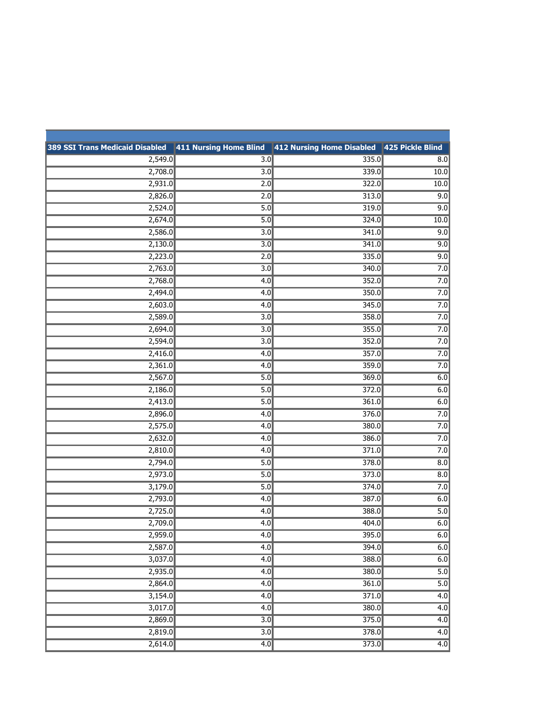| 389 SSI Trans Medicaid Disabled   411 Nursing Home Blind   412 Nursing Home Disabled   425 Pickle Blind |                  |       |                  |
|---------------------------------------------------------------------------------------------------------|------------------|-------|------------------|
| 2,549.0                                                                                                 | $\overline{3.0}$ | 335.0 | 8.0              |
| 2,708.0                                                                                                 | $\overline{3.0}$ | 339.0 | 10.0             |
| 2,931.0                                                                                                 | $\overline{2.0}$ | 322.0 | 10.0             |
| 2,826.0                                                                                                 | 2.0              | 313.0 | 9.0              |
| 2,524.0                                                                                                 | 5.0              | 319.0 | 9.0              |
| 2,674.0                                                                                                 | 5.0              | 324.0 | 10.0             |
| 2,586.0                                                                                                 | $\overline{3.0}$ | 341.0 | 9.0              |
| 2,130.0                                                                                                 | $\overline{3.0}$ | 341.0 | 9.0              |
| 2,223.0                                                                                                 | 2.0              | 335.0 | 9.0              |
| 2,763.0                                                                                                 | 3.0              | 340.0 | 7.0              |
| 2,768.0                                                                                                 | 4.0              | 352.0 | 7.0              |
| 2,494.0                                                                                                 | 4.0              | 350.0 | 7.0              |
| 2,603.0                                                                                                 | $\overline{4.0}$ | 345.0 | 7.0              |
| 2,589.0                                                                                                 | 3.0              | 358.0 | 7.0              |
| 2,694.0                                                                                                 | $\overline{3.0}$ | 355.0 | 7.0              |
| 2,594.0                                                                                                 | 3.0              | 352.0 | 7.0              |
| 2,416.0                                                                                                 | 4.0              | 357.0 | 7.0              |
| 2,361.0                                                                                                 | $\overline{4.0}$ | 359.0 | 7.0              |
| 2,567.0                                                                                                 | 5.0              | 369.0 | 6.0              |
| 2,186.0                                                                                                 | 5.0              | 372.0 | 6.0              |
| 2,413.0                                                                                                 | $\overline{5.0}$ | 361.0 | 6.0              |
| 2,896.0                                                                                                 | 4.0              | 376.0 | 7.0              |
| 2,575.0                                                                                                 | 4.0              | 380.0 | 7.0              |
| 2,632.0                                                                                                 | $\overline{4.0}$ | 386.0 | 7.0              |
| 2,810.0                                                                                                 | $\overline{4.0}$ | 371.0 | 7.0              |
| 2,794.0                                                                                                 | $\overline{5.0}$ | 378.0 | 8.0              |
| 2,973.0                                                                                                 | 5.0              | 373.0 | 8.0              |
| 3,179.0                                                                                                 | 5.0              | 374.0 | 7.0              |
| 2,793.0                                                                                                 | 4.0              | 387.0 | 6.0              |
| 2,725.0                                                                                                 | 4.0              | 388.0 | $\overline{5.0}$ |
| 2,709.0                                                                                                 | 4.0              | 404.0 | 6.0              |
| 2,959.0                                                                                                 | 4.0              | 395.0 | 6.0              |
| 2,587.0                                                                                                 | 4.0              | 394.0 | 6.0              |
| 3,037.0                                                                                                 | 4.0              | 388.0 | 6.0              |
| 2,935.0                                                                                                 | 4.0              | 380.0 | $\overline{5.0}$ |
| 2,864.0                                                                                                 | 4.0              | 361.0 | $\overline{5.0}$ |
| 3,154.0                                                                                                 | 4.0              | 371.0 | $\overline{4.0}$ |
| 3,017.0                                                                                                 | 4.0              | 380.0 | 4.0              |
| 2,869.0                                                                                                 | $\overline{3.0}$ | 375.0 | 4.0              |
| 2,819.0                                                                                                 | $\overline{3.0}$ | 378.0 | 4.0              |
| 2,614.0                                                                                                 | 4.0              | 373.0 | $\overline{4.0}$ |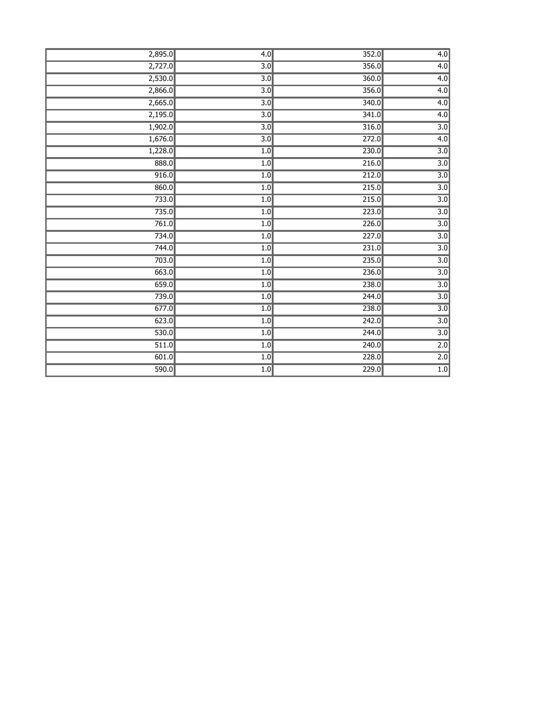| 2,895.0 | 4.0              | 352.0              | $\overline{4.0}$ |
|---------|------------------|--------------------|------------------|
| 2,727.0 | 3.0              | 356.0              | 4.0              |
| 2,530.0 | $\overline{3.0}$ | 360.0              | $\overline{4.0}$ |
| 2,866.0 | $\overline{3.0}$ | 356.0              | $\overline{4.0}$ |
| 2,665.0 | $\overline{3.0}$ | 340.0              | $\overline{4.0}$ |
| 2,195.0 | 3.0              | 341.0              | $\overline{4.0}$ |
| 1,902.0 | $\overline{3.0}$ | 316.0              | $\overline{3.0}$ |
| 1,676.0 | $\overline{3.0}$ | 272.0              | $\overline{4.0}$ |
| 1,228.0 | 1.0              | 230.0              | $\overline{3.0}$ |
| 888.0   | 1.0              | 216.0              | $\overline{3.0}$ |
| 916.0   | 1.0              | 212.0              | $\overline{3.0}$ |
| 860.0   | $\overline{1.0}$ | 215.0              | $\overline{3.0}$ |
| 733.0   | 1.0              | 215.0              | $\overline{3.0}$ |
| 735.0   | 1.0              | 223.0              | $\overline{3.0}$ |
| 761.0   | 1.0              | 226.0              | $\overline{3.0}$ |
| 734.0   | 1.0              | $\overline{227.0}$ | $\overline{3.0}$ |
| 744.0   | 1.0              | 231.0              | $\overline{3.0}$ |
| 703.0   | 1.0              | 235.0              | $\overline{3.0}$ |
| 663.0   | 1.0              | 236.0              | $\overline{3.0}$ |
| 659.0   | 1.0              | 238.0              | $\overline{3.0}$ |
| 739.0   | 1.0              | 244.0              | $\overline{3.0}$ |
| 677.0   | 1.0              | 238.0              | $\overline{3.0}$ |
| 623.0   | 1.0              | $\overline{242.0}$ | $\overline{3.0}$ |
| 530.0   | $\overline{1.0}$ | 244.0              | $\overline{3.0}$ |
| 511.0   | 1.0              | $\overline{240.0}$ | $\overline{2.0}$ |
| 601.0   | 1.0              | 228.0              | 2.0              |
| 590.0   | 1.0              | 229.0              | 1.0              |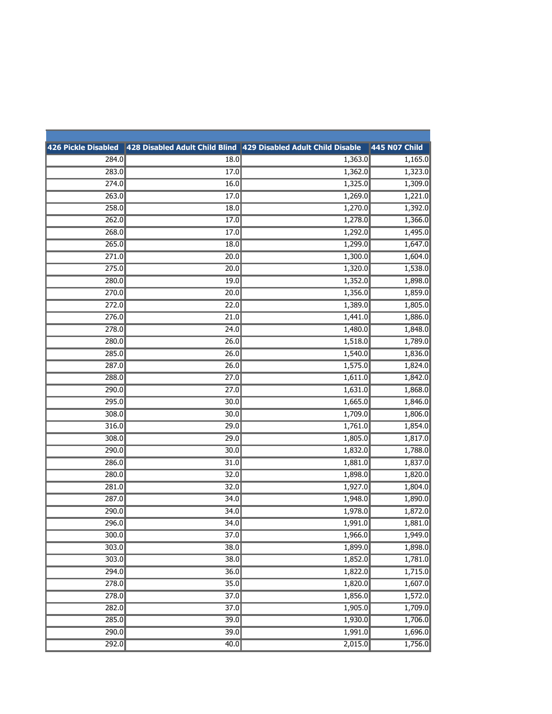|       |                   | 426 Pickle Disabled 428 Disabled Adult Child Blind 429 Disabled Adult Child Disable | <b>445 N07 Child</b> |
|-------|-------------------|-------------------------------------------------------------------------------------|----------------------|
| 284.0 | 18.0              | 1,363.0                                                                             | 1,165.0              |
| 283.0 | 17.0              | 1,362.0                                                                             | 1,323.0              |
| 274.0 | 16.0              | 1,325.0                                                                             | 1,309.0              |
| 263.0 | 17.0              | 1,269.0                                                                             | 1,221.0              |
| 258.0 | 18.0              | 1,270.0                                                                             | 1,392.0              |
| 262.0 | 17.0              | 1,278.0                                                                             | 1,366.0              |
| 268.0 | 17.0              | 1,292.0                                                                             | 1,495.0              |
| 265.0 | 18.0              | 1,299.0                                                                             | 1,647.0              |
| 271.0 | 20.0              | 1,300.0                                                                             | 1,604.0              |
| 275.0 | 20.0              | 1,320.0                                                                             | 1,538.0              |
| 280.0 | 19.0              | 1,352.0                                                                             | 1,898.0              |
| 270.0 | 20.0              | 1,356.0                                                                             | 1,859.0              |
| 272.0 | 22.0              | 1,389.0                                                                             | 1,805.0              |
| 276.0 | 21.0              | 1,441.0                                                                             | 1,886.0              |
| 278.0 | 24.0              | 1,480.0                                                                             | 1,848.0              |
| 280.0 | 26.0              | 1,518.0                                                                             | 1,789.0              |
| 285.0 | 26.0              | 1,540.0                                                                             | 1,836.0              |
| 287.0 | 26.0              | 1,575.0                                                                             | 1,824.0              |
| 288.0 | 27.0              | 1,611.0                                                                             | 1,842.0              |
| 290.0 | 27.0              | 1,631.0                                                                             | 1,868.0              |
| 295.0 | 30.0              | 1,665.0                                                                             | 1,846.0              |
| 308.0 | 30.0              | 1,709.0                                                                             | 1,806.0              |
| 316.0 | 29.0              | 1,761.0                                                                             | 1,854.0              |
| 308.0 | 29.0              | 1,805.0                                                                             | 1,817.0              |
| 290.0 | 30.0              | 1,832.0                                                                             | 1,788.0              |
| 286.0 | 31.0              | 1,881.0                                                                             | 1,837.0              |
| 280.0 | 32.0              | 1,898.0                                                                             | 1,820.0              |
| 281.0 | 32.0              | 1,927.0                                                                             | 1,804.0              |
| 287.0 | 34.0              | 1,948.0                                                                             | 1,890.0              |
| 290.0 | 34.0              | 1,978.0                                                                             | 1,872.0              |
| 296.0 | 34.0              | 1,991.0                                                                             | 1,881.0              |
| 300.0 | $\overline{37.0}$ | 1,966.0                                                                             | 1,949.0              |
| 303.0 | 38.0              | 1,899.0                                                                             | 1,898.0              |
| 303.0 | 38.0              | 1,852.0                                                                             | 1,781.0              |
| 294.0 | 36.0              | 1,822.0                                                                             | 1,715.0              |
| 278.0 | 35.0              | 1,820.0                                                                             | 1,607.0              |
| 278.0 | 37.0              | 1,856.0                                                                             | 1,572.0              |
| 282.0 | 37.0              | 1,905.0                                                                             | 1,709.0              |
| 285.0 | 39.0              | 1,930.0                                                                             | 1,706.0              |
| 290.0 | 39.0              | 1,991.0                                                                             | 1,696.0              |
| 292.0 | 40.0              | 2,015.0                                                                             | 1,756.0              |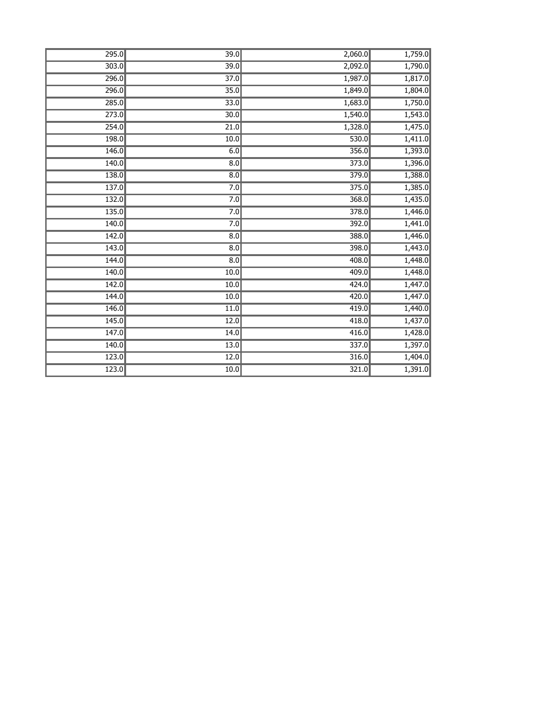| 295.0              | 39.0              | 2,060.0 | 1,759.0 |
|--------------------|-------------------|---------|---------|
| 303.0              | 39.0              | 2,092.0 | 1,790.0 |
| 296.0              | $\overline{37.0}$ | 1,987.0 | 1,817.0 |
| 296.0              | 35.0              | 1,849.0 | 1,804.0 |
| 285.0              | 33.0              | 1,683.0 | 1,750.0 |
| $\overline{273.0}$ | 30.0              | 1,540.0 | 1,543.0 |
| 254.0              | $\overline{21.0}$ | 1,328.0 | 1,475.0 |
| 198.0              | 10.0              | 530.0   | 1,411.0 |
| 146.0              | 6.0               | 356.0   | 1,393.0 |
| 140.0              | $\overline{8.0}$  | 373.0   | 1,396.0 |
| 138.0              | $\overline{8.0}$  | 379.0   | 1,388.0 |
| 137.0              | 7.0               | 375.0   | 1,385.0 |
| 132.0              | 7.0               | 368.0   | 1,435.0 |
| 135.0              | 7.0               | 378.0   | 1,446.0 |
| 140.0              | 7.0               | 392.0   | 1,441.0 |
| 142.0              | $\overline{8.0}$  | 388.0   | 1,446.0 |
| 143.0              | $\overline{8.0}$  | 398.0   | 1,443.0 |
| 144.0              | $\overline{8.0}$  | 408.0   | 1,448.0 |
| 140.0              | 10.0              | 409.0   | 1,448.0 |
| 142.0              | $\overline{10.0}$ | 424.0   | 1,447.0 |
| 144.0              | 10.0              | 420.0   | 1,447.0 |
| 146.0              | 11.0              | 419.0   | 1,440.0 |
| 145.0              | 12.0              | 418.0   | 1,437.0 |
| 147.0              | 14.0              | 416.0   | 1,428.0 |
| 140.0              | 13.0              | 337.0   | 1,397.0 |
| 123.0              | 12.0              | 316.0   | 1,404.0 |
| 123.0              | 10.0              | 321.0   | 1,391.0 |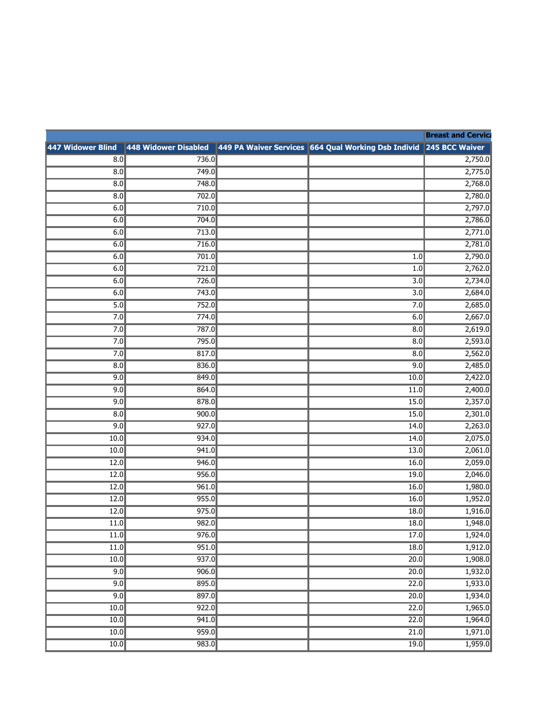|                                                                                                                                                                                                                                                                                                                                                                                                                 | 47 Widower Blind 1448 Widower Disabled 1449 PA Waiver Services 1664 Qual Working Dsb Individ 245 BCC Waiver 20                            |                                                                                             |
|-----------------------------------------------------------------------------------------------------------------------------------------------------------------------------------------------------------------------------------------------------------------------------------------------------------------------------------------------------------------------------------------------------------------|-------------------------------------------------------------------------------------------------------------------------------------------|---------------------------------------------------------------------------------------------|
|                                                                                                                                                                                                                                                                                                                                                                                                                 |                                                                                                                                           |                                                                                             |
|                                                                                                                                                                                                                                                                                                                                                                                                                 |                                                                                                                                           |                                                                                             |
|                                                                                                                                                                                                                                                                                                                                                                                                                 |                                                                                                                                           |                                                                                             |
|                                                                                                                                                                                                                                                                                                                                                                                                                 |                                                                                                                                           |                                                                                             |
|                                                                                                                                                                                                                                                                                                                                                                                                                 |                                                                                                                                           |                                                                                             |
|                                                                                                                                                                                                                                                                                                                                                                                                                 |                                                                                                                                           |                                                                                             |
|                                                                                                                                                                                                                                                                                                                                                                                                                 |                                                                                                                                           |                                                                                             |
|                                                                                                                                                                                                                                                                                                                                                                                                                 |                                                                                                                                           |                                                                                             |
|                                                                                                                                                                                                                                                                                                                                                                                                                 |                                                                                                                                           |                                                                                             |
|                                                                                                                                                                                                                                                                                                                                                                                                                 |                                                                                                                                           |                                                                                             |
|                                                                                                                                                                                                                                                                                                                                                                                                                 |                                                                                                                                           |                                                                                             |
|                                                                                                                                                                                                                                                                                                                                                                                                                 |                                                                                                                                           |                                                                                             |
|                                                                                                                                                                                                                                                                                                                                                                                                                 |                                                                                                                                           |                                                                                             |
|                                                                                                                                                                                                                                                                                                                                                                                                                 |                                                                                                                                           |                                                                                             |
|                                                                                                                                                                                                                                                                                                                                                                                                                 |                                                                                                                                           |                                                                                             |
|                                                                                                                                                                                                                                                                                                                                                                                                                 |                                                                                                                                           |                                                                                             |
|                                                                                                                                                                                                                                                                                                                                                                                                                 |                                                                                                                                           |                                                                                             |
|                                                                                                                                                                                                                                                                                                                                                                                                                 |                                                                                                                                           |                                                                                             |
|                                                                                                                                                                                                                                                                                                                                                                                                                 |                                                                                                                                           |                                                                                             |
|                                                                                                                                                                                                                                                                                                                                                                                                                 |                                                                                                                                           |                                                                                             |
|                                                                                                                                                                                                                                                                                                                                                                                                                 |                                                                                                                                           |                                                                                             |
|                                                                                                                                                                                                                                                                                                                                                                                                                 |                                                                                                                                           |                                                                                             |
|                                                                                                                                                                                                                                                                                                                                                                                                                 |                                                                                                                                           |                                                                                             |
|                                                                                                                                                                                                                                                                                                                                                                                                                 |                                                                                                                                           |                                                                                             |
|                                                                                                                                                                                                                                                                                                                                                                                                                 |                                                                                                                                           |                                                                                             |
|                                                                                                                                                                                                                                                                                                                                                                                                                 |                                                                                                                                           |                                                                                             |
|                                                                                                                                                                                                                                                                                                                                                                                                                 |                                                                                                                                           |                                                                                             |
|                                                                                                                                                                                                                                                                                                                                                                                                                 |                                                                                                                                           |                                                                                             |
|                                                                                                                                                                                                                                                                                                                                                                                                                 |                                                                                                                                           |                                                                                             |
|                                                                                                                                                                                                                                                                                                                                                                                                                 |                                                                                                                                           | $\frac{18.0}{1.912.0}$<br><u> 1980 - Andrea Stadt Britain, amerikansk politik (d. 1980)</u> |
|                                                                                                                                                                                                                                                                                                                                                                                                                 | $\frac{10.0}{20.0}$ $\frac{937.0}{20.0}$ $\frac{20.0}{1.908.0}$                                                                           |                                                                                             |
|                                                                                                                                                                                                                                                                                                                                                                                                                 | and the control of the control of the control of the control of the control of the control of the control of the                          | $\frac{1}{200}$ 1932.0                                                                      |
|                                                                                                                                                                                                                                                                                                                                                                                                                 | <u> La componenta de la componenta de la componenta de la componenta de la componenta de la componenta de la compo</u>                    | $\overline{22.0}$ 1,933.0                                                                   |
|                                                                                                                                                                                                                                                                                                                                                                                                                 | $\begin{array}{ c c c c c }\n \hline\n & 9.0 & 897.0 & 22.0 & 1,934.0 \\ \hline\n & 10.0 & 922.0 & 22.0 & 1,965.0 \\ \hline\n\end{array}$ |                                                                                             |
|                                                                                                                                                                                                                                                                                                                                                                                                                 |                                                                                                                                           |                                                                                             |
| $\begin{array}{c c c c c c c c c} \hline \multicolumn{3}{c c }{\multicolumn{3}{c c }{\multicolumn{3}{c c }{\multicolumn{3}{c c }{\multicolumn{3}{c c }{\multicolumn{3}{c c }{\multicolumn{3}{c c }{\multicolumn{3}{c c }{\multicolumn{3}{c c }{\multicolumn{3}{c c }{\multicolumn{3}{c c }{\multicolumn{3}{c c }{\multicolumn{3}{c c }{\multicolumn{3}{c c }{\multicolumn{3}{c c }{\multicolumn{3}{c c }{\mult$ |                                                                                                                                           | 22.0 1,964.0<br>21.0 1,971.0<br>19.0 1,959.0                                                |
|                                                                                                                                                                                                                                                                                                                                                                                                                 |                                                                                                                                           |                                                                                             |
| $\frac{100}{100}$ 083.0<br>$\frac{10.0}{20.0}$                                                                                                                                                                                                                                                                                                                                                                  |                                                                                                                                           |                                                                                             |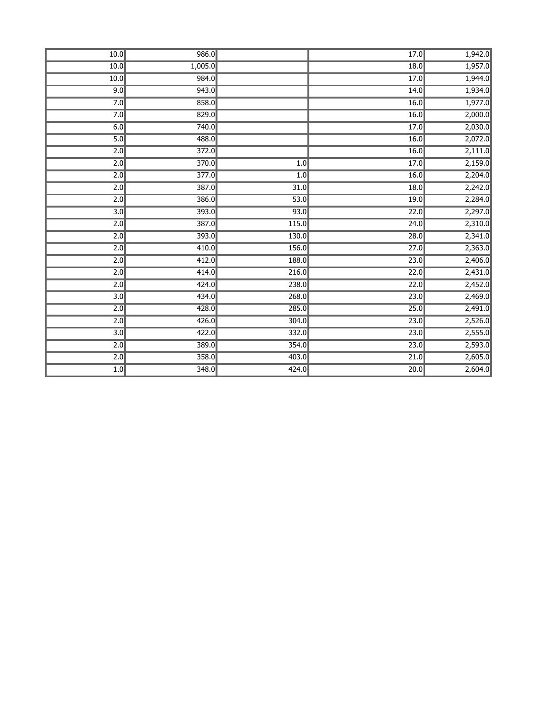| 10.0             | 986.0   |       | 17.0              | 1,942.0 |
|------------------|---------|-------|-------------------|---------|
| 10.0             | 1,005.0 |       | 18.0              | 1,957.0 |
| 10.0             | 984.0   |       | 17.0              | 1,944.0 |
| 9.0              | 943.0   |       | 14.0              | 1,934.0 |
| 7.0              | 858.0   |       | 16.0              | 1,977.0 |
| 7.0              | 829.0   |       | 16.0              | 2,000.0 |
| 6.0              | 740.0   |       | 17.0              | 2,030.0 |
| 5.0              | 488.0   |       | 16.0              | 2,072.0 |
| $\overline{2.0}$ | 372.0   |       | 16.0              | 2,111.0 |
| 2.0              | 370.0   | 1.0   | 17.0              | 2,159.0 |
| $\overline{2.0}$ | 377.0   | 1.0   | 16.0              | 2,204.0 |
| $\overline{2.0}$ | 387.0   | 31.0  | 18.0              | 2,242.0 |
| 2.0              | 386.0   | 53.0  | 19.0              | 2,284.0 |
| 3.0              | 393.0   | 93.0  | 22.0              | 2,297.0 |
| 2.0              | 387.0   | 115.0 | 24.0              | 2,310.0 |
| 2.0              | 393.0   | 130.0 | 28.0              | 2,341.0 |
| 2.0              | 410.0   | 156.0 | $\overline{27.0}$ | 2,363.0 |
| $\overline{2.0}$ | 412.0   | 188.0 | 23.0              | 2,406.0 |
| 2.0              | 414.0   | 216.0 | 22.0              | 2,431.0 |
| $\overline{2.0}$ | 424.0   | 238.0 | $\overline{22.0}$ | 2,452.0 |
| 3.0              | 434.0   | 268.0 | 23.0              | 2,469.0 |
| 2.0              | 428.0   | 285.0 | 25.0              | 2,491.0 |
| 2.0              | 426.0   | 304.0 | 23.0              | 2,526.0 |
| 3.0              | 422.0   | 332.0 | 23.0              | 2,555.0 |
| $\overline{2.0}$ | 389.0   | 354.0 | $\overline{23.0}$ | 2,593.0 |
| 2.0              | 358.0   | 403.0 | 21.0              | 2,605.0 |
| 1.0              | 348.0   | 424.0 | $\overline{20.0}$ | 2,604.0 |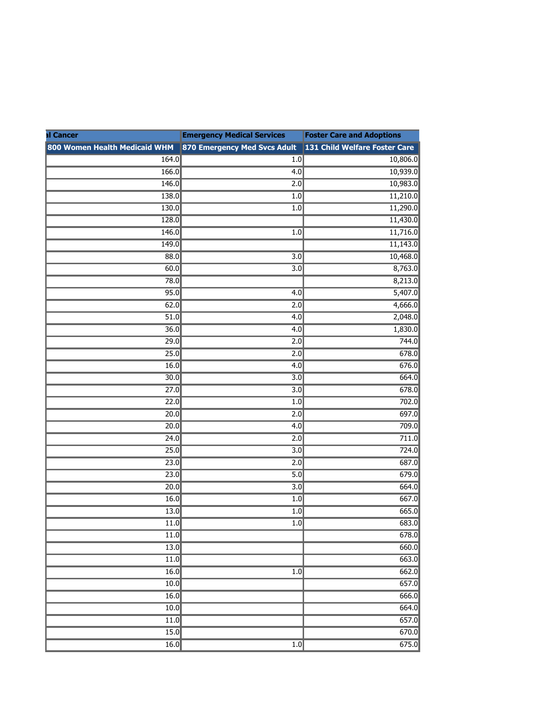| al Cancer                     | <b>Emergency Medical Services</b>                          | <b>Foster Care and Adoptions</b> |
|-------------------------------|------------------------------------------------------------|----------------------------------|
| 800 Women Health Medicaid WHM | 870 Emergency Med Svcs Adult 131 Child Welfare Foster Care |                                  |
| 164.0                         | 1.0                                                        | 10,806.0                         |
| 166.0                         | 4.0                                                        | 10,939.0                         |
| 146.0                         | 2.0                                                        | 10,983.0                         |
| 138.0                         | 1.0                                                        | 11,210.0                         |
| 130.0                         | 1.0                                                        | 11,290.0                         |
| 128.0                         |                                                            | 11,430.0                         |
| 146.0                         | 1.0                                                        | 11,716.0                         |
| 149.0                         |                                                            | 11,143.0                         |
| 88.0                          | $\overline{3.0}$                                           | 10,468.0                         |
| 60.0                          | $\overline{3.0}$                                           | 8,763.0                          |
| 78.0                          |                                                            | 8,213.0                          |
| 95.0                          | $\overline{4.0}$                                           | 5,407.0                          |
| 62.0                          | 2.0                                                        | 4,666.0                          |
| 51.0                          | 4.0                                                        | 2,048.0                          |
| $\overline{36.0}$             | $\overline{4.0}$                                           | 1,830.0                          |
| 29.0                          | 2.0                                                        | 744.0                            |
| 25.0                          | $\overline{2.0}$                                           | 678.0                            |
| 16.0                          | 4.0                                                        | 676.0                            |
| $\overline{30.0}$             | 3.0                                                        | 664.0                            |
| $\overline{27.0}$             | $\overline{3.0}$                                           | 678.0                            |
| $\overline{22.0}$             | 1.0                                                        | 702.0                            |
| 20.0                          | 2.0                                                        | 697.0                            |
| 20.0                          | 4.0                                                        | 709.0                            |
| 24.0                          | 2.0                                                        | 711.0                            |
| 25.0                          | 3.0                                                        | 724.0                            |
| 23.0                          | 2.0                                                        | 687.0                            |
| 23.0                          | 5.0                                                        | 679.0                            |
| 20.0                          | $\overline{3.0}$                                           | 664.0                            |
| 16.0                          | 1.0                                                        | 667.0                            |
| 13.0                          | 1.0                                                        | 665.0                            |
| 11.0                          | 1.0                                                        | 683.0                            |
| $\overline{11.0}$             |                                                            | 678.0                            |
| 13.0                          |                                                            | 660.0                            |
| $\overline{11.0}$             |                                                            | 663.0                            |
| 16.0                          | 1.0                                                        | 662.0                            |
| 10.0                          |                                                            | 657.0                            |
| 16.0                          |                                                            | 666.0                            |
| 10.0                          |                                                            | 664.0                            |
| 11.0                          |                                                            | 657.0                            |
| 15.0                          |                                                            | 670.0                            |
| 16.0                          | $\overline{1.0}$                                           | 675.0                            |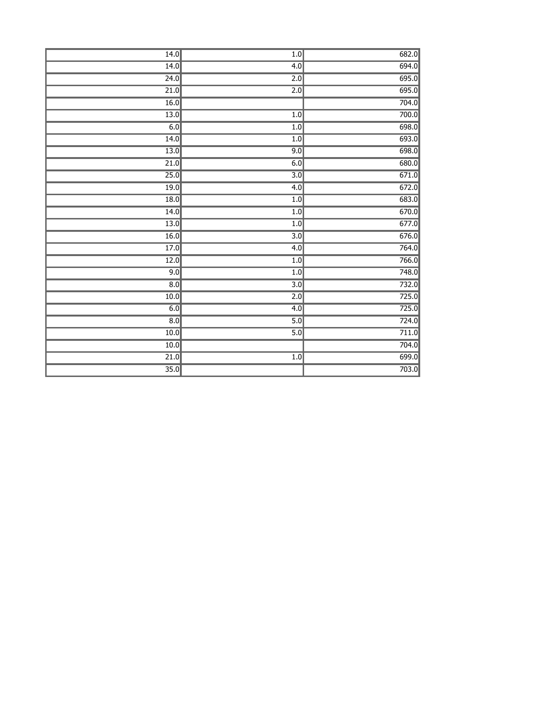| 14.0              | $\overline{1.0}$ | 682.0 |
|-------------------|------------------|-------|
| 14.0              | 4.0              | 694.0 |
| 24.0              | $\overline{2.0}$ | 695.0 |
|                   |                  | 695.0 |
| $\overline{21.0}$ | 2.0              |       |
| 16.0              |                  | 704.0 |
| 13.0              | 1.0              | 700.0 |
| 6.0               | 1.0              | 698.0 |
| 14.0              | 1.0              | 693.0 |
| $\overline{13.0}$ | 9.0              | 698.0 |
| 21.0              | 6.0              | 680.0 |
| 25.0              | $\overline{3.0}$ | 671.0 |
| 19.0              | 4.0              | 672.0 |
| 18.0              | 1.0              | 683.0 |
| 14.0              | 1.0              | 670.0 |
| $\overline{13.0}$ | 1.0              | 677.0 |
| 16.0              | $\overline{3.0}$ | 676.0 |
| 17.0              | 4.0              | 764.0 |
| 12.0              | 1.0              | 766.0 |
| 9.0               | 1.0              | 748.0 |
| 8.0               | $\overline{3.0}$ | 732.0 |
| 10.0              | 2.0              | 725.0 |
| 6.0               | 4.0              | 725.0 |
| $\overline{8.0}$  | 5.0              | 724.0 |
| 10.0              | $\overline{5.0}$ | 711.0 |
| $\overline{10.0}$ |                  | 704.0 |
| $\overline{21.0}$ | 1.0              | 699.0 |
| 35.0              |                  | 703.0 |
|                   |                  |       |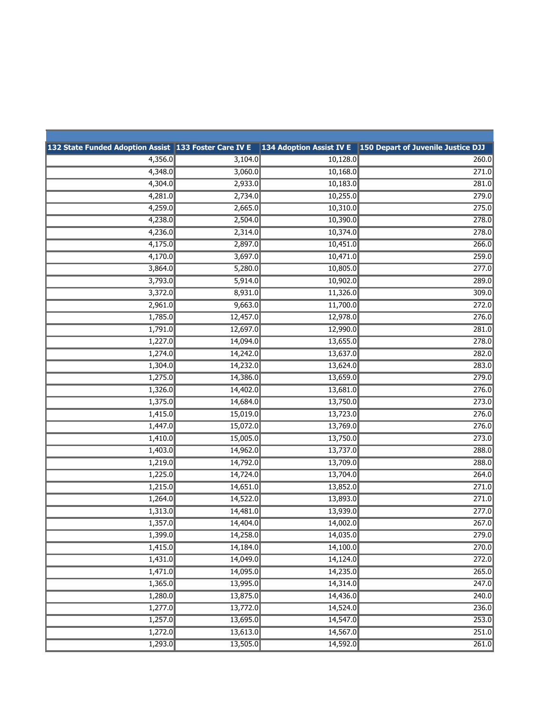| 132 State Funded Adoption Assist 133 Foster Care IV E 134 Adoption Assist IV E 150 Depart of Juvenile Justice DJJ |          |          |                    |
|-------------------------------------------------------------------------------------------------------------------|----------|----------|--------------------|
| 4,356.0                                                                                                           | 3,104.0  | 10,128.0 | 260.0              |
| 4,348.0                                                                                                           | 3,060.0  | 10,168.0 | 271.0              |
| 4,304.0                                                                                                           | 2,933.0  | 10,183.0 | 281.0              |
| 4,281.0                                                                                                           | 2,734.0  | 10,255.0 | 279.0              |
| 4,259.0                                                                                                           | 2,665.0  | 10,310.0 | 275.0              |
| 4,238.0                                                                                                           | 2,504.0  | 10,390.0 | 278.0              |
| 4,236.0                                                                                                           | 2,314.0  | 10,374.0 | 278.0              |
| 4,175.0                                                                                                           | 2,897.0  | 10,451.0 | 266.0              |
| 4,170.0                                                                                                           | 3,697.0  | 10,471.0 | 259.0              |
| 3,864.0                                                                                                           | 5,280.0  | 10,805.0 | 277.0              |
| 3,793.0                                                                                                           | 5,914.0  | 10,902.0 | 289.0              |
| 3,372.0                                                                                                           | 8,931.0  | 11,326.0 | 309.0              |
| 2,961.0                                                                                                           | 9,663.0  | 11,700.0 | 272.0              |
| 1,785.0                                                                                                           | 12,457.0 | 12,978.0 | 276.0              |
| 1,791.0                                                                                                           | 12,697.0 | 12,990.0 | $\overline{281.0}$ |
| 1,227.0                                                                                                           | 14,094.0 | 13,655.0 | 278.0              |
| 1,274.0                                                                                                           | 14,242.0 | 13,637.0 | 282.0              |
| 1,304.0                                                                                                           | 14,232.0 | 13,624.0 | 283.0              |
| 1,275.0                                                                                                           | 14,386.0 | 13,659.0 | 279.0              |
| 1,326.0                                                                                                           | 14,402.0 | 13,681.0 | 276.0              |
| 1,375.0                                                                                                           | 14,684.0 | 13,750.0 | 273.0              |
| 1,415.0                                                                                                           | 15,019.0 | 13,723.0 | 276.0              |
| 1,447.0                                                                                                           | 15,072.0 | 13,769.0 | 276.0              |
| 1,410.0                                                                                                           | 15,005.0 | 13,750.0 | 273.0              |
| 1,403.0                                                                                                           | 14,962.0 | 13,737.0 | 288.0              |
| 1,219.0                                                                                                           | 14,792.0 | 13,709.0 | 288.0              |
| 1,225.0                                                                                                           | 14,724.0 | 13,704.0 | 264.0              |
| 1,215.0                                                                                                           | 14,651.0 | 13,852.0 | $\overline{271.0}$ |
| 1,264.0                                                                                                           | 14,522.0 | 13,893.0 | 271.0              |
| 1,313.0                                                                                                           | 14,481.0 | 13,939.0 | 277.0              |
| 1,357.0                                                                                                           | 14,404.0 | 14,002.0 | 267.0              |
| 1,399.0                                                                                                           | 14,258.0 | 14,035.0 | 279.0              |
| 1,415.0                                                                                                           | 14,184.0 | 14,100.0 | 270.0              |
| 1,431.0                                                                                                           | 14,049.0 | 14,124.0 | 272.0              |
| 1,471.0                                                                                                           | 14,095.0 | 14,235.0 | 265.0              |
| 1,365.0                                                                                                           | 13,995.0 | 14,314.0 | 247.0              |
| 1,280.0                                                                                                           | 13,875.0 | 14,436.0 | 240.0              |
| 1,277.0                                                                                                           | 13,772.0 | 14,524.0 | 236.0              |
| 1,257.0                                                                                                           | 13,695.0 | 14,547.0 | 253.0              |
| 1,272.0                                                                                                           | 13,613.0 | 14,567.0 | 251.0              |
| 1,293.0                                                                                                           | 13,505.0 | 14,592.0 | 261.0              |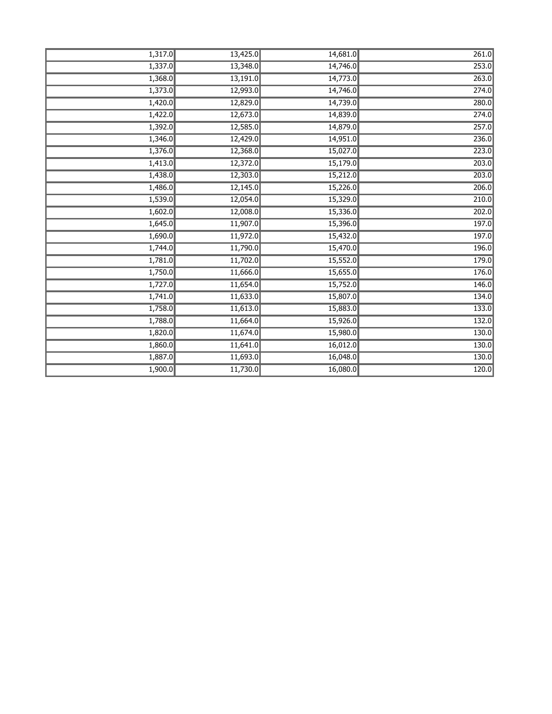| 1,317.0 | 13,425.0 | 14,681.0 | 261.0 |
|---------|----------|----------|-------|
| 1,337.0 | 13,348.0 | 14,746.0 | 253.0 |
| 1,368.0 | 13,191.0 | 14,773.0 | 263.0 |
| 1,373.0 | 12,993.0 | 14,746.0 | 274.0 |
| 1,420.0 | 12,829.0 | 14,739.0 | 280.0 |
| 1,422.0 | 12,673.0 | 14,839.0 | 274.0 |
| 1,392.0 | 12,585.0 | 14,879.0 | 257.0 |
| 1,346.0 | 12,429.0 | 14,951.0 | 236.0 |
| 1,376.0 | 12,368.0 | 15,027.0 | 223.0 |
| 1,413.0 | 12,372.0 | 15,179.0 | 203.0 |
| 1,438.0 | 12,303.0 | 15,212.0 | 203.0 |
| 1,486.0 | 12,145.0 | 15,226.0 | 206.0 |
| 1,539.0 | 12,054.0 | 15,329.0 | 210.0 |
| 1,602.0 | 12,008.0 | 15,336.0 | 202.0 |
| 1,645.0 | 11,907.0 | 15,396.0 | 197.0 |
| 1,690.0 | 11,972.0 | 15,432.0 | 197.0 |
| 1,744.0 | 11,790.0 | 15,470.0 | 196.0 |
| 1,781.0 | 11,702.0 | 15,552.0 | 179.0 |
| 1,750.0 | 11,666.0 | 15,655.0 | 176.0 |
| 1,727.0 | 11,654.0 | 15,752.0 | 146.0 |
| 1,741.0 | 11,633.0 | 15,807.0 | 134.0 |
| 1,758.0 | 11,613.0 | 15,883.0 | 133.0 |
| 1,788.0 | 11,664.0 | 15,926.0 | 132.0 |
| 1,820.0 | 11,674.0 | 15,980.0 | 130.0 |
| 1,860.0 | 11,641.0 | 16,012.0 | 130.0 |
| 1,887.0 | 11,693.0 | 16,048.0 | 130.0 |
| 1,900.0 | 11,730.0 | 16,080.0 | 120.0 |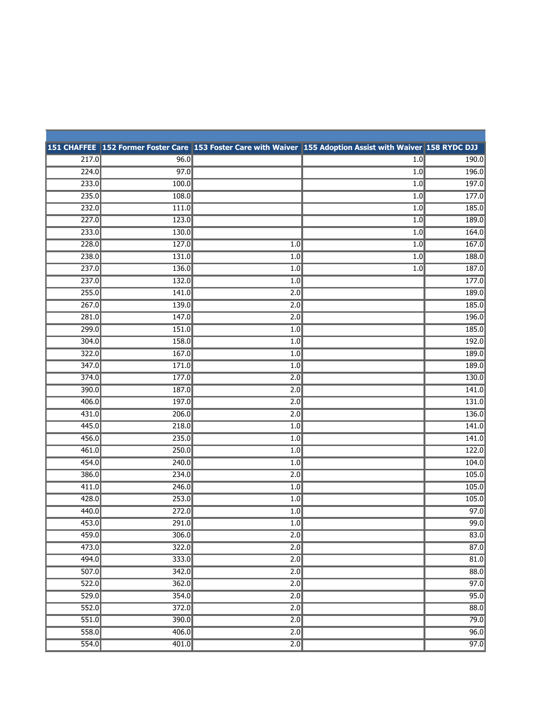|       |       |                  | 151 CHAFFEE 152 Former Foster Care 153 Foster Care with Waiver 155 Adoption Assist with Waiver 158 RYDC DJJ |       |
|-------|-------|------------------|-------------------------------------------------------------------------------------------------------------|-------|
| 217.0 | 96.0  |                  | 1.0                                                                                                         | 190.0 |
| 224.0 | 97.0  |                  | 1.0                                                                                                         | 196.0 |
| 233.0 | 100.0 |                  | 1.0                                                                                                         | 197.0 |
| 235.0 | 108.0 |                  | 1.0                                                                                                         | 177.0 |
| 232.0 | 111.0 |                  | 1.0                                                                                                         | 185.0 |
| 227.0 | 123.0 |                  | 1.0                                                                                                         | 189.0 |
| 233.0 | 130.0 |                  | 1.0                                                                                                         | 164.0 |
| 228.0 | 127.0 | 1.0              | 1.0                                                                                                         | 167.0 |
| 238.0 | 131.0 | 1.0              | 1.0                                                                                                         | 188.0 |
| 237.0 | 136.0 | 1.0              | 1.0                                                                                                         | 187.0 |
| 237.0 | 132.0 | 1.0              |                                                                                                             | 177.0 |
| 255.0 | 141.0 | 2.0              |                                                                                                             | 189.0 |
| 267.0 | 139.0 | 2.0              |                                                                                                             | 185.0 |
| 281.0 | 147.0 | 2.0              |                                                                                                             | 196.0 |
| 299.0 | 151.0 | 1.0              |                                                                                                             | 185.0 |
| 304.0 | 158.0 | 1.0              |                                                                                                             | 192.0 |
| 322.0 | 167.0 | 1.0              |                                                                                                             | 189.0 |
| 347.0 | 171.0 | 1.0              |                                                                                                             | 189.0 |
| 374.0 | 177.0 | 2.0              |                                                                                                             | 130.0 |
| 390.0 | 187.0 | 2.0              |                                                                                                             | 141.0 |
| 406.0 | 197.0 | 2.0              |                                                                                                             | 131.0 |
| 431.0 | 206.0 | 2.0              |                                                                                                             | 136.0 |
| 445.0 | 218.0 | 1.0              |                                                                                                             | 141.0 |
| 456.0 | 235.0 | 1.0              |                                                                                                             | 141.0 |
| 461.0 | 250.0 | 1.0              |                                                                                                             | 122.0 |
| 454.0 | 240.0 | 1.0              |                                                                                                             | 104.0 |
| 386.0 | 234.0 | 2.0              |                                                                                                             | 105.0 |
| 411.0 | 246.0 | 1.0              |                                                                                                             | 105.0 |
| 428.0 | 253.0 | 1.0              |                                                                                                             | 105.0 |
| 440.0 | 272.0 | 1.0              |                                                                                                             | 97.0  |
| 453.0 | 291.0 | 1.0              |                                                                                                             | 99.0  |
| 459.0 | 306.0 | 2.0              |                                                                                                             | 83.0  |
| 473.0 | 322.0 | $\overline{2.0}$ |                                                                                                             | 87.0  |
| 494.0 | 333.0 | $\overline{2.0}$ |                                                                                                             | 81.0  |
| 507.0 | 342.0 | $\overline{2.0}$ |                                                                                                             | 88.0  |
| 522.0 | 362.0 | $\overline{2.0}$ |                                                                                                             | 97.0  |
| 529.0 | 354.0 | 2.0              |                                                                                                             | 95.0  |
| 552.0 | 372.0 | 2.0              |                                                                                                             | 88.0  |
| 551.0 | 390.0 | 2.0              |                                                                                                             | 79.0  |
| 558.0 | 406.0 | $\overline{2.0}$ |                                                                                                             | 96.0  |
| 554.0 | 401.0 | $\overline{2.0}$ |                                                                                                             | 97.0  |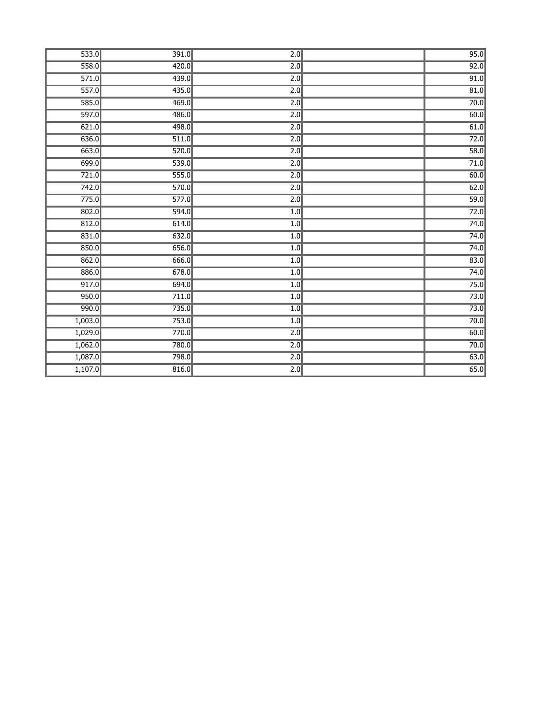| 533.0   | 391.0 | $\overline{2.0}$ | 95.0              |
|---------|-------|------------------|-------------------|
| 558.0   | 420.0 | $\overline{2.0}$ | 92.0              |
| 571.0   | 439.0 | $\overline{2.0}$ | 91.0              |
| 557.0   | 435.0 | $\overline{2.0}$ | 81.0              |
| 585.0   | 469.0 | $\overline{2.0}$ | 70.0              |
| 597.0   | 486.0 | $\overline{2.0}$ | 60.0              |
| 621.0   | 498.0 | $\overline{2.0}$ | 61.0              |
| 636.0   | 511.0 | $\overline{2.0}$ | $\overline{72.0}$ |
| 663.0   | 520.0 | $\overline{2.0}$ | 58.0              |
| 699.0   | 539.0 | $\overline{2.0}$ | 71.0              |
| 721.0   | 555.0 | $\overline{2.0}$ | 60.0              |
| 742.0   | 570.0 | 2.0              | 62.0              |
| 775.0   | 577.0 | $\overline{2.0}$ | $\overline{59.0}$ |
| 802.0   | 594.0 | 1.0              | 72.0              |
| 812.0   | 614.0 | 1.0              | 74.0              |
| 831.0   | 632.0 | 1.0              | 74.0              |
| 850.0   | 656.0 | 1.0              | 74.0              |
| 862.0   | 666.0 | 1.0              | 83.0              |
| 886.0   | 678.0 | 1.0              | 74.0              |
| 917.0   | 694.0 | 1.0              | 75.0              |
| 950.0   | 711.0 | 1.0              | 73.0              |
| 990.0   | 735.0 | 1.0              | $\overline{73.0}$ |
| 1,003.0 | 753.0 | 1.0              | $\overline{70.0}$ |
| 1,029.0 | 770.0 | 2.0              | 60.0              |
| 1,062.0 | 780.0 | $\overline{2.0}$ | 70.0              |
| 1,087.0 | 798.0 | $\overline{2.0}$ | 63.0              |
| 1,107.0 | 816.0 | $\overline{2.0}$ | 65.0              |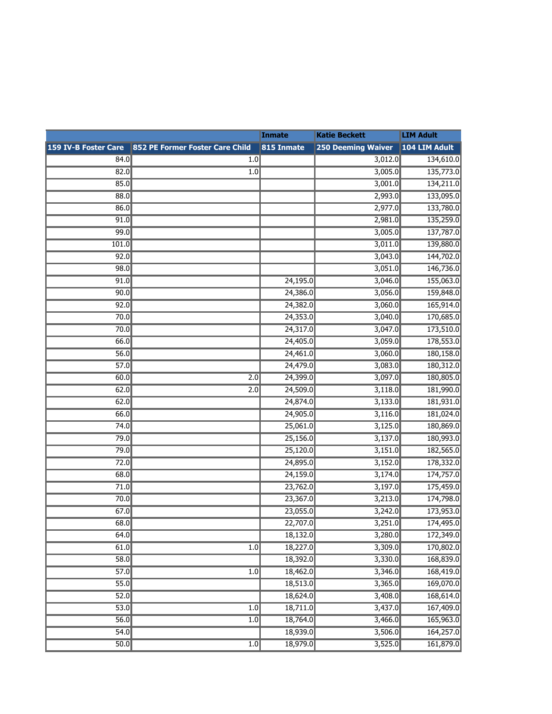| <b>LIM Adult</b> | <b>Katie Beckett</b> | Inmate   |                                                                                                  |       |
|------------------|----------------------|----------|--------------------------------------------------------------------------------------------------|-------|
|                  |                      |          | 159 IV-B Foster Care 852 PE Former Foster Care Child 815 Inmate 250 Deeming Waiver 104 LIM Adult |       |
| 134,610.0        | 3,012.0              |          | 1.0                                                                                              | 84.0  |
| 135,773.0        | 3,005.0              |          | 1.0                                                                                              | 82.0  |
| 134,211.0        | 3,001.0              |          |                                                                                                  | 85.0  |
| 133,095.0        | 2,993.0              |          |                                                                                                  | 88.0  |
| 133,780.0        | 2,977.0              |          |                                                                                                  | 86.0  |
| 135,259.0        | 2,981.0              |          |                                                                                                  | 91.0  |
| 137,787.0        | 3,005.0              |          |                                                                                                  | 99.0  |
| 139,880.0        | 3,011.0              |          |                                                                                                  | 101.0 |
| 144,702.0        | 3,043.0              |          |                                                                                                  | 92.0  |
| 146,736.0        | 3,051.0              |          |                                                                                                  | 98.0  |
| 155,063.0        | 3,046.0              | 24,195.0 |                                                                                                  | 91.0  |
| 159,848.0        | 3,056.0              | 24,386.0 |                                                                                                  | 90.0  |
| 165,914.0        | 3,060.0              | 24,382.0 |                                                                                                  | 92.0  |
| 170,685.0        | 3,040.0              | 24,353.0 |                                                                                                  | 70.0  |
| 173,510.0        | 3,047.0              | 24,317.0 |                                                                                                  | 70.0  |
| 178,553.0        | 3,059.0              | 24,405.0 |                                                                                                  | 66.0  |
| 180,158.0        | 3,060.0              | 24,461.0 |                                                                                                  | 56.0  |
| 180,312.0        | 3,083.0              | 24,479.0 |                                                                                                  | 57.0  |
| 180,805.0        | 3,097.0              | 24,399.0 | 2.0                                                                                              | 60.0  |
| 181,990.0        | 3,118.0              | 24,509.0 | $\overline{2.0}$                                                                                 | 62.0  |
| 181,931.0        | 3,133.0              | 24,874.0 |                                                                                                  | 62.0  |
| 181,024.0        | 3,116.0              | 24,905.0 |                                                                                                  | 66.0  |
| 180,869.0        | 3,125.0              | 25,061.0 |                                                                                                  | 74.0  |
| 180,993.0        | 3,137.0              | 25,156.0 |                                                                                                  | 79.0  |
| 182,565.0        | 3,151.0              | 25,120.0 |                                                                                                  | 79.0  |
| 178,332.0        | 3,152.0              | 24,895.0 |                                                                                                  | 72.0  |
| 174,757.0        | 3,174.0              | 24,159.0 |                                                                                                  | 68.0  |
| 175,459.0        | 3,197.0              | 23,762.0 |                                                                                                  | 71.0  |
| 174,798.0        | 3,213.0              | 23,367.0 |                                                                                                  | 70.0  |
| 173,953.0        | 3,242.0              | 23,055.0 |                                                                                                  | 67.0  |
| 174,495.0        | 3,251.0              | 22,707.0 |                                                                                                  | 68.0  |
| 172,349.0        | 3,280.0              | 18,132.0 |                                                                                                  | 64.0  |
| 170,802.0        | 3,309.0              | 18,227.0 | 1.0                                                                                              | 61.0  |
| 168,839.0        | 3,330.0              | 18,392.0 |                                                                                                  | 58.0  |
| 168,419.0        | 3,346.0              | 18,462.0 | 1.0                                                                                              | 57.0  |
| 169,070.0        | 3,365.0              | 18,513.0 |                                                                                                  | 55.0  |
| 168,614.0        | 3,408.0              | 18,624.0 |                                                                                                  | 52.0  |
| 167,409.0        | 3,437.0              | 18,711.0 | 1.0                                                                                              | 53.0  |
| 165,963.0        | 3,466.0              | 18,764.0 | 1.0                                                                                              | 56.0  |
| 164,257.0        | 3,506.0              | 18,939.0 |                                                                                                  | 54.0  |
| 161,879.0        | 3,525.0              | 18,979.0 | 1.0                                                                                              | 50.0  |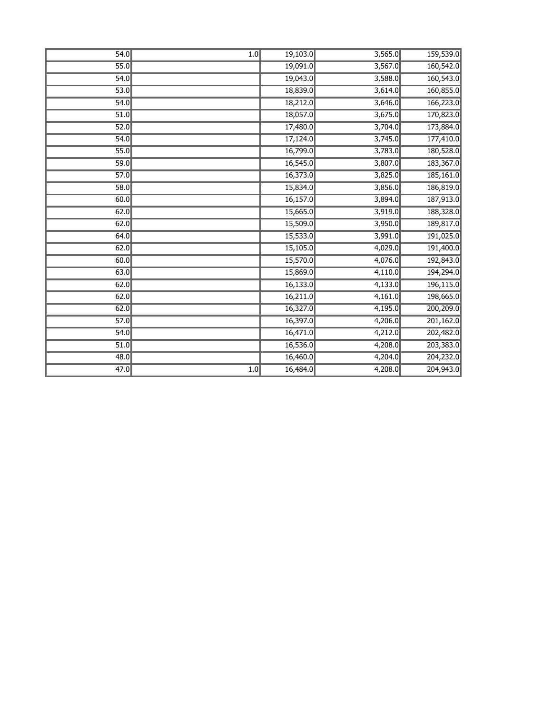| 54.0              | 1.0 | 19,103.0 | 3,565.0 | 159,539.0 |
|-------------------|-----|----------|---------|-----------|
| 55.0              |     | 19,091.0 | 3,567.0 | 160,542.0 |
| 54.0              |     | 19,043.0 | 3,588.0 | 160,543.0 |
| 53.0              |     | 18,839.0 | 3,614.0 | 160,855.0 |
| 54.0              |     | 18,212.0 | 3,646.0 | 166,223.0 |
| 51.0              |     | 18,057.0 | 3,675.0 | 170,823.0 |
| 52.0              |     | 17,480.0 | 3,704.0 | 173,884.0 |
| 54.0              |     | 17,124.0 | 3,745.0 | 177,410.0 |
| 55.0              |     | 16,799.0 | 3,783.0 | 180,528.0 |
| 59.0              |     | 16,545.0 | 3,807.0 | 183,367.0 |
| 57.0              |     | 16,373.0 | 3,825.0 | 185,161.0 |
| 58.0              |     | 15,834.0 | 3,856.0 | 186,819.0 |
| 60.0              |     | 16,157.0 | 3,894.0 | 187,913.0 |
| 62.0              |     | 15,665.0 | 3,919.0 | 188,328.0 |
| 62.0              |     | 15,509.0 | 3,950.0 | 189,817.0 |
| 64.0              |     | 15,533.0 | 3,991.0 | 191,025.0 |
| 62.0              |     | 15,105.0 | 4,029.0 | 191,400.0 |
| 60.0              |     | 15,570.0 | 4,076.0 | 192,843.0 |
| 63.0              |     | 15,869.0 | 4,110.0 | 194,294.0 |
| 62.0              |     | 16,133.0 | 4,133.0 | 196,115.0 |
| 62.0              |     | 16,211.0 | 4,161.0 | 198,665.0 |
| 62.0              |     | 16,327.0 | 4,195.0 | 200,209.0 |
| 57.0              |     | 16,397.0 | 4,206.0 | 201,162.0 |
| 54.0              |     | 16,471.0 | 4,212.0 | 202,482.0 |
| $\overline{51.0}$ |     | 16,536.0 | 4,208.0 | 203,383.0 |
| 48.0              |     | 16,460.0 | 4,204.0 | 204,232.0 |
| $\overline{47.0}$ | 1.0 | 16,484.0 | 4,208.0 | 204,943.0 |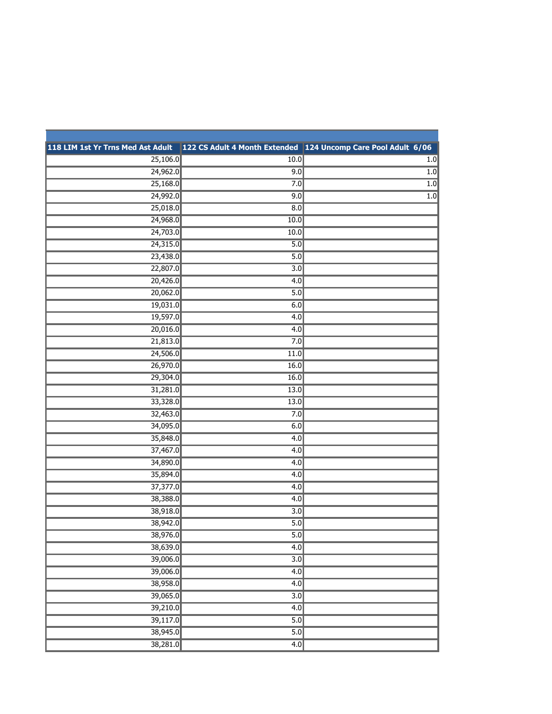| 118 LIM 1st Yr Trns Med Ast Adult |                  | 122 CS Adult 4 Month Extended 124 Uncomp Care Pool Adult 6/06 |
|-----------------------------------|------------------|---------------------------------------------------------------|
| 25,106.0                          | 10.0             | 1.0                                                           |
| 24,962.0                          | 9.0              | 1.0                                                           |
| 25,168.0                          | 7.0              | 1.0                                                           |
| 24,992.0                          | 9.0              | 1.0                                                           |
| 25,018.0                          | 8.0              |                                                               |
| 24,968.0                          | 10.0             |                                                               |
| 24,703.0                          | 10.0             |                                                               |
| 24,315.0                          | 5.0              |                                                               |
| 23,438.0                          | $\overline{5.0}$ |                                                               |
| 22,807.0                          | $\overline{3.0}$ |                                                               |
| 20,426.0                          | 4.0              |                                                               |
| 20,062.0                          | 5.0              |                                                               |
| 19,031.0                          | 6.0              |                                                               |
| 19,597.0                          | 4.0              |                                                               |
| 20,016.0                          | 4.0              |                                                               |
| 21,813.0                          | 7.0              |                                                               |
| 24,506.0                          | 11.0             |                                                               |
| 26,970.0                          | 16.0             |                                                               |
| 29,304.0                          | 16.0             |                                                               |
| 31,281.0                          | 13.0             |                                                               |
| 33,328.0                          | 13.0             |                                                               |
| 32,463.0                          | 7.0              |                                                               |
| 34,095.0                          | 6.0              |                                                               |
| 35,848.0                          | 4.0              |                                                               |
| 37,467.0                          | 4.0              |                                                               |
| 34,890.0                          | $\overline{4.0}$ |                                                               |
| 35,894.0                          | 4.0              |                                                               |
| 37,377.0                          | 4.0              |                                                               |
| 38,388.0                          | 4.0              |                                                               |
| 38,918.0                          | $\overline{3.0}$ |                                                               |
| 38,942.0                          | 5.0              |                                                               |
| 38,976.0                          | 5.0              |                                                               |
| 38,639.0                          | $\overline{4.0}$ |                                                               |
| 39,006.0                          | $\overline{3.0}$ |                                                               |
| 39,006.0                          | $\overline{4.0}$ |                                                               |
| 38,958.0                          | 4.0              |                                                               |
| 39,065.0                          | $\overline{3.0}$ |                                                               |
| 39,210.0                          | 4.0              |                                                               |
| 39,117.0                          | $\overline{5.0}$ |                                                               |
| 38,945.0                          | $\overline{5.0}$ |                                                               |
| 38,281.0                          | $\overline{4.0}$ |                                                               |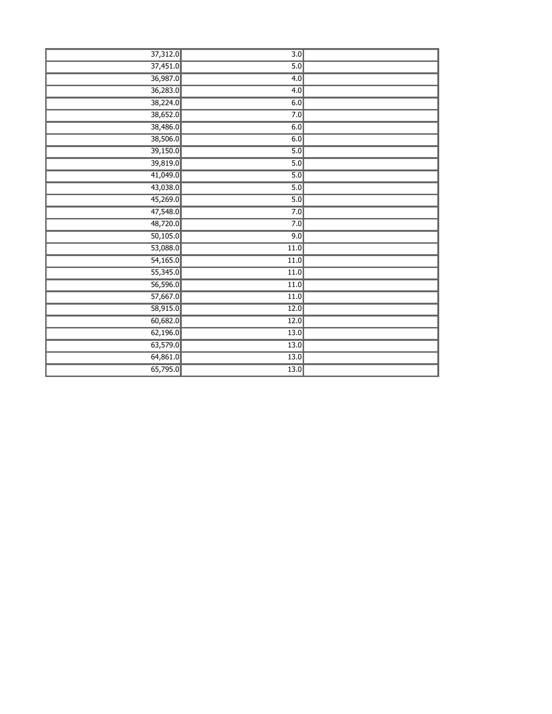| 37,312.0              | $\overline{3.0}$  |  |
|-----------------------|-------------------|--|
| 37,451.0              | 5.0               |  |
| 36,987.0              | 4.0               |  |
| 36,283.0              | 4.0               |  |
| 38,224.0              | 6.0               |  |
| 38,652.0              | 7.0               |  |
| 38,486.0              | 6.0               |  |
| 38,506.0              | 6.0               |  |
| 39,150.0              | 5.0               |  |
| 39,819.0              | $\overline{5.0}$  |  |
| 41,049.0              | 5.0               |  |
| 43,038.0              | 5.0               |  |
| 45,269.0              | 5.0               |  |
| 47,548.0              | 7.0               |  |
| 48,720.0              | 7.0               |  |
| 50,105.0              | 9.0               |  |
| 53,088.0              | 11.0              |  |
| 54,165.0              | 11.0              |  |
| 55,345.0              | $\overline{11.0}$ |  |
| 56,596.0              | 11.0              |  |
| $\overline{57,667.0}$ | $\overline{11.0}$ |  |
| 58,915.0              | $\overline{12.0}$ |  |
| 60,682.0              | 12.0              |  |
| 62,196.0              | $\boxed{13.0}$    |  |
| 63,579.0              | $\overline{13.0}$ |  |
| 64,861.0              | 13.0              |  |
| 65,795.0              | $\overline{13.0}$ |  |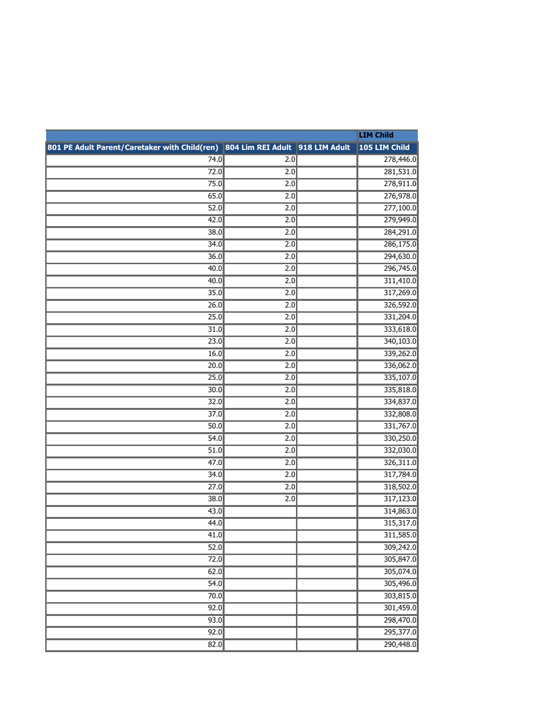|                                                                               |                  | <b>LIM Child</b>       |
|-------------------------------------------------------------------------------|------------------|------------------------|
| 801 PE Adult Parent/Caretaker with Child(ren) 804 Lim REI Adult 918 LIM Adult |                  | 105 LIM Child          |
| 74.0                                                                          | 2.0              | 278,446.0              |
| 72.0                                                                          | 2.0              | 281,531.0              |
| 75.0                                                                          | 2.0              | 278,911.0              |
| 65.0                                                                          | 2.0              | 276,978.0              |
| 52.0                                                                          | $\overline{2.0}$ | 277,100.0              |
| 42.0                                                                          | 2.0              | 279,949.0              |
| 38.0                                                                          | 2.0              | 284,291.0              |
| 34.0                                                                          | 2.0              | 286,175.0              |
| 36.0                                                                          | $\overline{2.0}$ | 294,630.0              |
| 40.0                                                                          | 2.0              | 296,745.0              |
| 40.0                                                                          | 2.0              | 311,410.0              |
| 35.0                                                                          | 2.0              | 317,269.0              |
| 26.0                                                                          | 2.0              | 326,592.0              |
| 25.0                                                                          | 2.0              | 331,204.0              |
| 31.0                                                                          | 2.0              | 333,618.0              |
| 23.0                                                                          | 2.0              | 340,103.0              |
| 16.0                                                                          | 2.0              | 339,262.0              |
| 20.0                                                                          | 2.0              | 336,062.0              |
| 25.0                                                                          | 2.0              | 335,107.0              |
| 30.0                                                                          | 2.0              | 335,818.0              |
| 32.0                                                                          | 2.0              | 334,837.0              |
| 37.0                                                                          | 2.0              | 332,808.0              |
| 50.0                                                                          | 2.0              | 331,767.0              |
| 54.0                                                                          | 2.0              | 330,250.0              |
| 51.0                                                                          | 2.0              | 332,030.0              |
| 47.0                                                                          | 2.0              | 326,311.0              |
| 34.0<br>27.0                                                                  | 2.0              | 317,784.0              |
| 38.0                                                                          | 2.0<br>2.0       | 318,502.0<br>317,123.0 |
| 43.0                                                                          |                  | 314,863.0              |
| 44.0                                                                          |                  | 315,317.0              |
| 41.0                                                                          |                  | 311,585.0              |
| 52.0                                                                          |                  | 309,242.0              |
| 72.0                                                                          |                  | 305,847.0              |
| 62.0                                                                          |                  | 305,074.0              |
| 54.0                                                                          |                  | 305,496.0              |
| 70.0                                                                          |                  | 303,815.0              |
| 92.0                                                                          |                  | 301,459.0              |
| 93.0                                                                          |                  | 298,470.0              |
| 92.0                                                                          |                  | 295,377.0              |
| 82.0                                                                          |                  | 290,448.0              |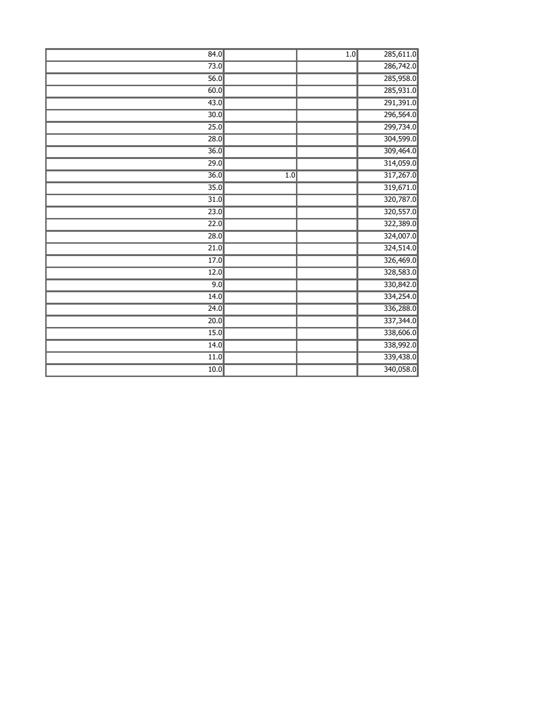| 84.0              |     | 1.0 | 285,611.0 |
|-------------------|-----|-----|-----------|
| 73.0              |     |     | 286,742.0 |
| 56.0              |     |     | 285,958.0 |
| 60.0              |     |     | 285,931.0 |
| 43.0              |     |     | 291,391.0 |
| 30.0              |     |     | 296,564.0 |
| 25.0              |     |     | 299,734.0 |
| 28.0              |     |     | 304,599.0 |
| 36.0              |     |     | 309,464.0 |
| 29.0              |     |     | 314,059.0 |
| $\overline{36.0}$ | 1.0 |     | 317,267.0 |
| $\overline{35.0}$ |     |     | 319,671.0 |
| $\overline{31.0}$ |     |     | 320,787.0 |
| 23.0              |     |     | 320,557.0 |
| 22.0              |     |     | 322,389.0 |
| 28.0              |     |     | 324,007.0 |
| 21.0              |     |     | 324,514.0 |
| 17.0              |     |     | 326,469.0 |
| 12.0              |     |     | 328,583.0 |
| 9.0               |     |     | 330,842.0 |
| 14.0              |     |     | 334,254.0 |
| 24.0              |     |     | 336,288.0 |
| 20.0              |     |     | 337,344.0 |
| 15.0              |     |     | 338,606.0 |
| 14.0              |     |     | 338,992.0 |
| 11.0              |     |     | 339,438.0 |
| 10.0              |     |     | 340,058.0 |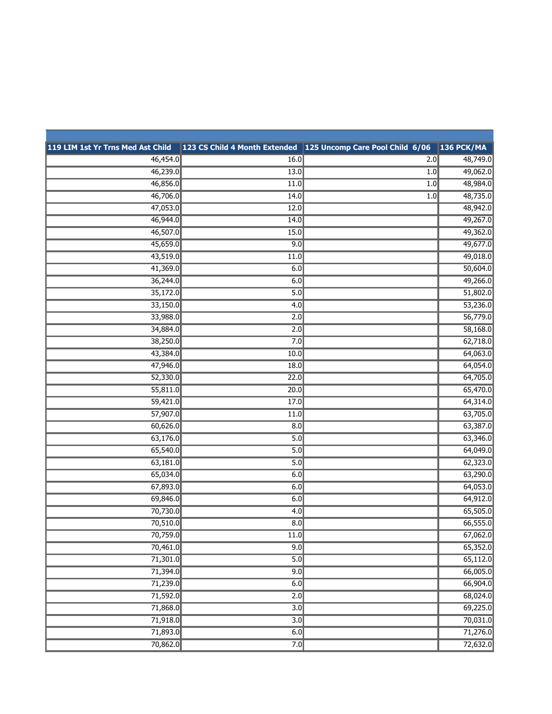| 119 LIM 1st Yr Trns Med Ast Child |                   | 123 CS Child 4 Month Extended 125 Uncomp Care Pool Child 6/06 136 PCK/MA |          |
|-----------------------------------|-------------------|--------------------------------------------------------------------------|----------|
| 46,454.0                          | 16.0              | 2.0                                                                      | 48,749.0 |
| 46,239.0                          | 13.0              | 1.0                                                                      | 49,062.0 |
| 46,856.0                          | 11.0              | 1.0                                                                      | 48,984.0 |
| 46,706.0                          | 14.0              | 1.0                                                                      | 48,735.0 |
| 47,053.0                          | 12.0              |                                                                          | 48,942.0 |
| 46,944.0                          | 14.0              |                                                                          | 49,267.0 |
| 46,507.0                          | 15.0              |                                                                          | 49,362.0 |
| 45,659.0                          | 9.0               |                                                                          | 49,677.0 |
| 43,519.0                          | 11.0              |                                                                          | 49,018.0 |
| 41,369.0                          | 6.0               |                                                                          | 50,604.0 |
| 36,244.0                          | 6.0               |                                                                          | 49,266.0 |
| 35,172.0                          | 5.0               |                                                                          | 51,802.0 |
| 33,150.0                          | $\overline{4.0}$  |                                                                          | 53,236.0 |
| 33,988.0                          | 2.0               |                                                                          | 56,779.0 |
| 34,884.0                          | 2.0               |                                                                          | 58,168.0 |
| 38,250.0                          | 7.0               |                                                                          | 62,718.0 |
| 43,384.0                          | 10.0              |                                                                          | 64,063.0 |
| 47,946.0                          | 18.0              |                                                                          | 64,054.0 |
| 52,330.0                          | 22.0              |                                                                          | 64,705.0 |
| 55,811.0                          | 20.0              |                                                                          | 65,470.0 |
| 59,421.0                          | 17.0              |                                                                          | 64,314.0 |
| 57,907.0                          | 11.0              |                                                                          | 63,705.0 |
| 60,626.0                          | 8.0               |                                                                          | 63,387.0 |
| 63,176.0                          | 5.0               |                                                                          | 63,346.0 |
| 65,540.0                          | 5.0               |                                                                          | 64,049.0 |
| 63,181.0                          | $\overline{5.0}$  |                                                                          | 62,323.0 |
| 65,034.0                          | 6.0               |                                                                          | 63,290.0 |
| 67,893.0                          | 6.0               |                                                                          | 64,053.0 |
| 69,846.0                          | 6.0               |                                                                          | 64,912.0 |
| 70,730.0                          | 4.0               |                                                                          | 65,505.0 |
| 70,510.0                          | 8.0               |                                                                          | 66,555.0 |
| 70,759.0                          | $\overline{11.0}$ |                                                                          | 67,062.0 |
| 70,461.0                          | 9.0               |                                                                          | 65,352.0 |
| 71,301.0                          | $\overline{5.0}$  |                                                                          | 65,112.0 |
| 71,394.0                          | 9.0               |                                                                          | 66,005.0 |
| 71,239.0                          | 6.0               |                                                                          | 66,904.0 |
| 71,592.0                          | 2.0               |                                                                          | 68,024.0 |
| 71,868.0                          | 3.0               |                                                                          | 69,225.0 |
| 71,918.0                          | $\overline{3.0}$  |                                                                          | 70,031.0 |
| 71,893.0                          | 6.0               |                                                                          | 71,276.0 |
| 70,862.0                          | 7.0               |                                                                          | 72,632.0 |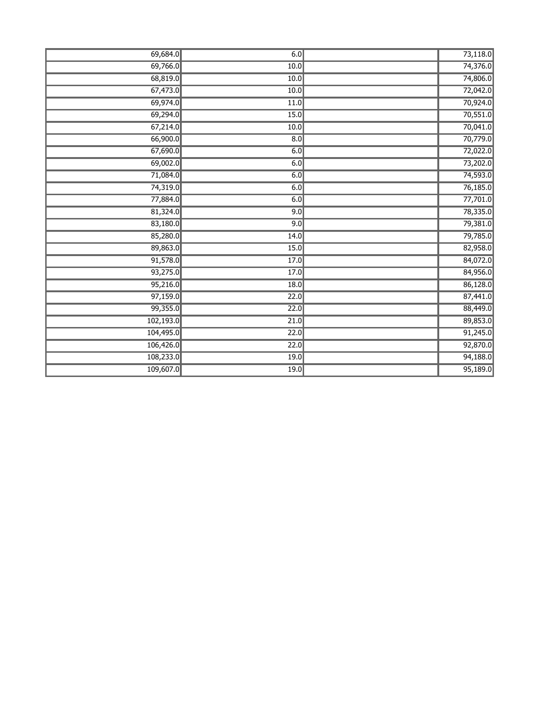| 69,684.0  | 6.0  | 73,118.0 |
|-----------|------|----------|
| 69,766.0  | 10.0 | 74,376.0 |
| 68,819.0  | 10.0 | 74,806.0 |
| 67,473.0  | 10.0 | 72,042.0 |
| 69,974.0  | 11.0 | 70,924.0 |
| 69,294.0  | 15.0 | 70,551.0 |
| 67,214.0  | 10.0 | 70,041.0 |
| 66,900.0  | 8.0  | 70,779.0 |
| 67,690.0  | 6.0  | 72,022.0 |
| 69,002.0  | 6.0  | 73,202.0 |
| 71,084.0  | 6.0  | 74,593.0 |
| 74,319.0  | 6.0  | 76,185.0 |
| 77,884.0  | 6.0  | 77,701.0 |
| 81,324.0  | 9.0  | 78,335.0 |
| 83,180.0  | 9.0  | 79,381.0 |
| 85,280.0  | 14.0 | 79,785.0 |
| 89,863.0  | 15.0 | 82,958.0 |
| 91,578.0  | 17.0 | 84,072.0 |
| 93,275.0  | 17.0 | 84,956.0 |
| 95,216.0  | 18.0 | 86,128.0 |
| 97,159.0  | 22.0 | 87,441.0 |
| 99,355.0  | 22.0 | 88,449.0 |
| 102,193.0 | 21.0 | 89,853.0 |
| 104,495.0 | 22.0 | 91,245.0 |
| 106,426.0 | 22.0 | 92,870.0 |
| 108,233.0 | 19.0 | 94,188.0 |
| 109,607.0 | 19.0 | 95,189.0 |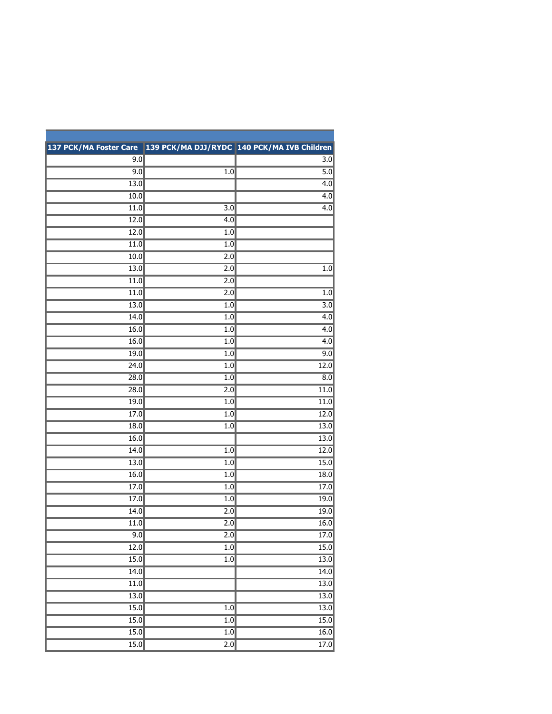| 137 PCK/MA Foster Care 139 PCK/MA DJJ/RYDC 140 PCK/MA IVB Children |                  |                  |
|--------------------------------------------------------------------|------------------|------------------|
| 9.0                                                                |                  | 3.0              |
| 9.0                                                                | 1.0              | $\overline{5.0}$ |
| 13.0                                                               |                  | $\overline{4.0}$ |
| 10.0                                                               |                  | 4.0              |
| 11.0                                                               | $\overline{3.0}$ | $\overline{4.0}$ |
| 12.0                                                               | 4.0              |                  |
| 12.0                                                               | 1.0              |                  |
| 11.0                                                               | 1.0              |                  |
| 10.0                                                               | 2.0              |                  |
| 13.0                                                               | $\overline{2.0}$ | 1.0              |
| 11.0                                                               | 2.0              |                  |
| 11.0                                                               | 2.0              | 1.0              |
| 13.0                                                               | 1.0              | $\overline{3.0}$ |
| 14.0                                                               | 1.0              | 4.0              |
| 16.0                                                               | $1.0$            | 4.0              |
| 16.0                                                               | 1.0              | $\overline{4.0}$ |
| 19.0                                                               | 1.0              | 9.0              |
| 24.0                                                               | 1.0              | 12.0             |
| 28.0                                                               | $1.0$            | 8.0              |
| 28.0                                                               | 2.0              | 11.0             |
| 19.0                                                               | 1.0              | 11.0             |
| 17.0                                                               | 1.0              | 12.0             |
| 18.0                                                               | 1.0              | 13.0             |
| 16.0                                                               |                  | 13.0             |
| 14.0                                                               | 1.0              | 12.0             |
| 13.0                                                               | 1.0              | 15.0             |
| 16.0                                                               | 1.0              | 18.0             |
| 17.0                                                               | 1.0              | 17.0             |
| 17.0                                                               | 1.0              | 19.0             |
| 14.0                                                               | 2.0              | 19.0             |
| 11.0                                                               | 2.0              | 16.0             |
| 9.0                                                                | 2.0              | 17.0             |
| 12.0                                                               | $\overline{1.0}$ | 15.0             |
| 15.0                                                               | $\overline{1.0}$ | 13.0             |
| 14.0                                                               |                  | 14.0             |
| $\overline{11.0}$                                                  |                  | 13.0             |
| 13.0                                                               |                  | 13.0             |
| 15.0                                                               | $\overline{1.0}$ | 13.0             |
| 15.0                                                               | $\overline{1.0}$ | 15.0             |
| 15.0                                                               | 1.0              | 16.0             |
| 15.0                                                               | $\overline{2.0}$ | 17.0             |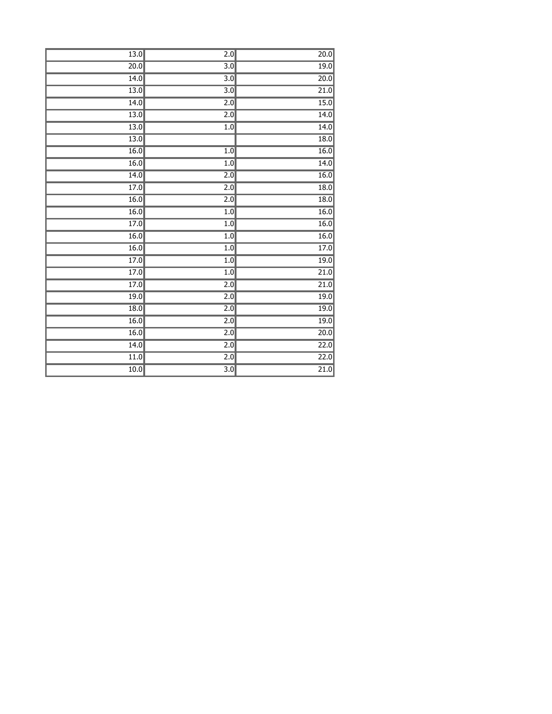| 13.0              | $\overline{2.0}$ | 20.0              |
|-------------------|------------------|-------------------|
| 20.0              | $\overline{3.0}$ | 19.0              |
| 14.0              | $\overline{3.0}$ | 20.0              |
| 13.0              | $\overline{3.0}$ | 21.0              |
| 14.0              | $\overline{2.0}$ | 15.0              |
| 13.0              | $\overline{2.0}$ | 14.0              |
| 13.0              | 1.0              | 14.0              |
| $\overline{13.0}$ |                  | 18.0              |
| 16.0              | 1.0              | 16.0              |
| 16.0              | 1.0              | 14.0              |
| 14.0              | $\overline{2.0}$ | 16.0              |
| 17.0              | $\overline{2.0}$ | 18.0              |
| 16.0              | $\overline{2.0}$ | 18.0              |
| 16.0              | 1.0              | 16.0              |
| 17.0              | 1.0              | 16.0              |
| 16.0              | 1.0              | 16.0              |
| 16.0              | 1.0              | 17.0              |
| 17.0              | 1.0              | 19.0              |
| 17.0              | 1.0              | 21.0              |
| 17.0              | 2.0              | 21.0              |
| 19.0              | $\overline{2.0}$ | 19.0              |
| 18.0              | $\overline{2.0}$ | 19.0              |
| 16.0              | $\overline{2.0}$ | 19.0              |
| 16.0              | 2.0              | 20.0              |
| $\overline{14.0}$ | $\overline{2.0}$ | 22.0              |
| 11.0              | $\overline{2.0}$ | $\overline{22.0}$ |
| 10.0              | $\overline{3.0}$ | $\overline{21.0}$ |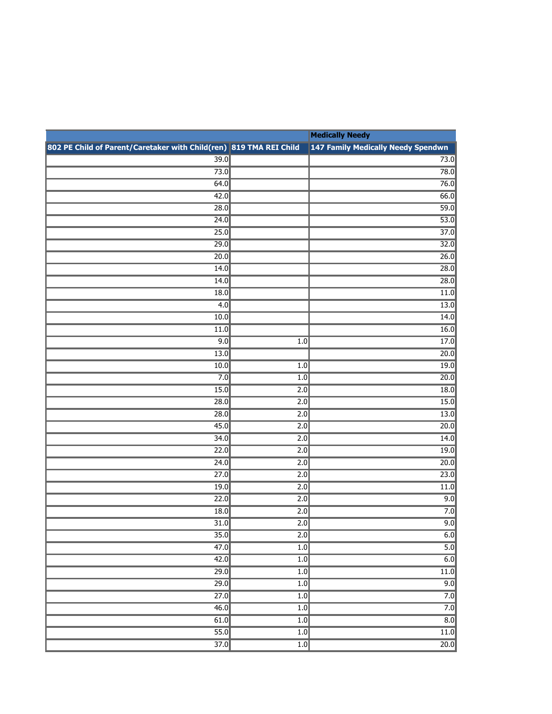|                                                                    |                  | <b>Medically Needy</b>             |
|--------------------------------------------------------------------|------------------|------------------------------------|
| 802 PE Child of Parent/Caretaker with Child(ren) 819 TMA REI Child |                  | 147 Family Medically Needy Spendwn |
| $\overline{39.0}$                                                  |                  | 73.0                               |
| 73.0                                                               |                  | 78.0                               |
| 64.0                                                               |                  | 76.0                               |
| 42.0                                                               |                  | 66.0                               |
| 28.0                                                               |                  | 59.0                               |
| 24.0                                                               |                  | 53.0                               |
| 25.0                                                               |                  | 37.0                               |
| 29.0                                                               |                  | 32.0                               |
| 20.0                                                               |                  | 26.0                               |
| 14.0                                                               |                  | 28.0                               |
| 14.0                                                               |                  | 28.0                               |
| 18.0                                                               |                  | 11.0                               |
| 4.0                                                                |                  | 13.0                               |
| 10.0                                                               |                  | 14.0                               |
| 11.0                                                               |                  | 16.0                               |
| 9.0                                                                | $\overline{1.0}$ | 17.0                               |
| 13.0                                                               |                  | 20.0                               |
| 10.0                                                               | 1.0              | 19.0                               |
| 7.0                                                                | 1.0              | 20.0                               |
| 15.0                                                               | 2.0              | 18.0                               |
| 28.0                                                               | $\overline{2.0}$ | 15.0                               |
| 28.0                                                               | 2.0              | 13.0                               |
| 45.0                                                               | 2.0              | 20.0                               |
| 34.0                                                               | 2.0              | 14.0                               |
| 22.0                                                               | $\overline{2.0}$ | 19.0                               |
| 24.0                                                               | 2.0              | 20.0                               |
| 27.0                                                               | 2.0              | 23.0                               |
| 19.0                                                               | 2.0              | 11.0                               |
| 22.0                                                               | $\overline{2.0}$ | 9.0                                |
| 18.0                                                               | 2.0              | 7.0                                |
| 31.0                                                               | 2.0              | 9.0                                |
| $\overline{35.0}$                                                  | 2.0              | 6.0                                |
| 47.0                                                               | $\overline{1.0}$ | $\overline{5.0}$                   |
| 42.0                                                               | $\overline{1.0}$ | 6.0                                |
| 29.0                                                               | 1.0              | $\overline{11.0}$                  |
| $\overline{29.0}$                                                  | 1.0              | 9.0                                |
| $\overline{27.0}$                                                  | $\overline{1.0}$ | 7.0                                |
| 46.0                                                               | $\overline{1.0}$ | 7.0                                |
| 61.0                                                               | 1.0              | $\overline{8.0}$                   |
| 55.0                                                               | 1.0              | 11.0                               |
| 37.0                                                               | $\overline{1.0}$ | $\overline{20.0}$                  |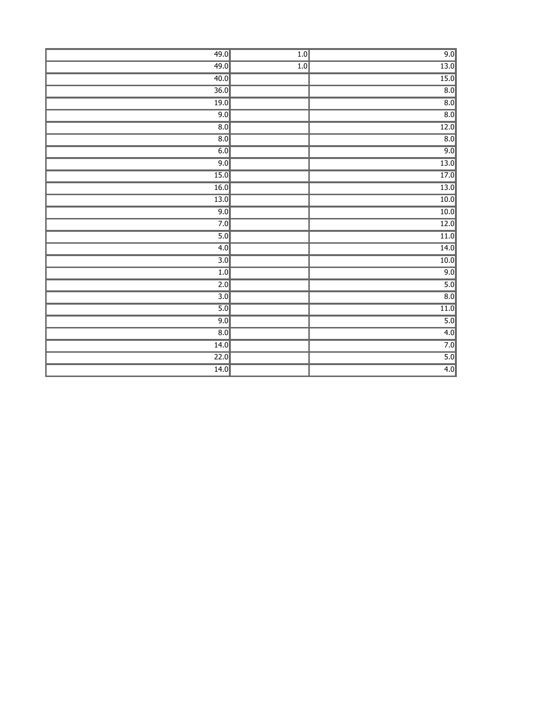| 49.0             | 1.0              | 9.0              |
|------------------|------------------|------------------|
| 49.0             | $\overline{1.0}$ | $\boxed{13.0}$   |
| 40.0             |                  | 15.0             |
| 36.0             |                  | $\overline{8.0}$ |
| 19.0             |                  | $\overline{8.0}$ |
| 9.0              |                  | $\overline{8.0}$ |
| 8.0              |                  | 12.0             |
| $\overline{8.0}$ |                  | $\overline{8.0}$ |
| 6.0              |                  | 9.0              |
| 9.0              |                  | 13.0             |
| 15.0             |                  | 17.0             |
| 16.0             |                  | $\boxed{13.0}$   |
| $\boxed{13.0}$   |                  | 10.0             |
| 9.0              |                  | 10.0             |
| 7.0              |                  | 12.0             |
| 5.0              |                  | $\boxed{11.0}$   |
| 4.0              |                  | 14.0             |
| 3.0              |                  | 10.0             |
| 1.0              |                  | 9.0              |
| $\overline{2.0}$ |                  | 5.0              |
| $\overline{3.0}$ |                  | $\overline{8.0}$ |
| 5.0              |                  | 11.0             |
| 9.0              |                  | 5.0              |
| 8.0              |                  | 4.0              |
| 14.0             |                  | 7.0              |
| 22.0             |                  | 5.0              |
| 14.0             |                  | 4.0              |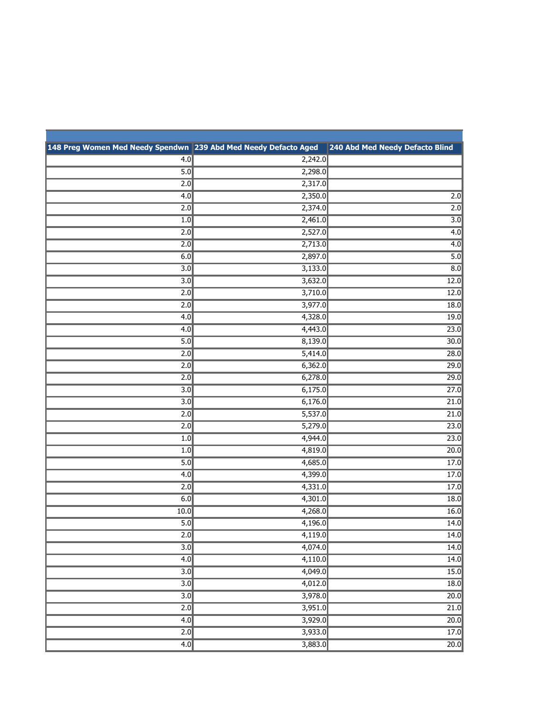| 148 Preg Women Med Needy Spendwn 239 Abd Med Needy Defacto Aged |         | 240 Abd Med Needy Defacto Blind |
|-----------------------------------------------------------------|---------|---------------------------------|
| 4.0                                                             | 2,242.0 |                                 |
| 5.0                                                             | 2,298.0 |                                 |
| $\overline{2.0}$                                                | 2,317.0 |                                 |
| 4.0                                                             | 2,350.0 | $\overline{2.0}$                |
| 2.0                                                             | 2,374.0 | 2.0                             |
| 1.0                                                             | 2,461.0 | $\overline{3.0}$                |
| $\overline{2.0}$                                                | 2,527.0 | $\overline{4.0}$                |
| 2.0                                                             | 2,713.0 | 4.0                             |
| 6.0                                                             | 2,897.0 | $\overline{5.0}$                |
| $\overline{3.0}$                                                | 3,133.0 | $\overline{8.0}$                |
| $\overline{3.0}$                                                | 3,632.0 | 12.0                            |
| 2.0                                                             | 3,710.0 | 12.0                            |
| 2.0                                                             | 3,977.0 | 18.0                            |
| 4.0                                                             | 4,328.0 | 19.0                            |
| 4.0                                                             | 4,443.0 | 23.0                            |
| 5.0                                                             | 8,139.0 | 30.0                            |
| 2.0                                                             | 5,414.0 | 28.0                            |
| 2.0                                                             | 6,362.0 | 29.0                            |
| $\overline{2.0}$                                                | 6,278.0 | 29.0                            |
| 3.0                                                             | 6,175.0 | 27.0                            |
| 3.0                                                             | 6,176.0 | 21.0                            |
| $\overline{2.0}$                                                | 5,537.0 | 21.0                            |
| $\overline{2.0}$                                                | 5,279.0 | 23.0                            |
| 1.0                                                             | 4,944.0 | 23.0                            |
| 1.0                                                             | 4,819.0 | 20.0                            |
| 5.0                                                             | 4,685.0 | 17.0                            |
| 4.0                                                             | 4,399.0 | 17.0                            |
| 2.0                                                             | 4,331.0 | 17.0                            |
| 6.0                                                             | 4,301.0 | 18.0                            |
| 10.0                                                            | 4,268.0 | 16.0                            |
| 5.0                                                             | 4,196.0 | 14.0                            |
| $\overline{2.0}$                                                | 4,119.0 | 14.0                            |
| $\overline{3.0}$                                                | 4,074.0 | 14.0                            |
| 4.0                                                             | 4,110.0 | 14.0                            |
| $\overline{3.0}$                                                | 4,049.0 | 15.0                            |
| $\overline{3.0}$                                                | 4,012.0 | 18.0                            |
| $\overline{3.0}$                                                | 3,978.0 | $\overline{20.0}$               |
| $\overline{2.0}$                                                | 3,951.0 | 21.0                            |
| 4.0                                                             | 3,929.0 | 20.0                            |
| $\overline{2.0}$                                                | 3,933.0 | 17.0                            |
| 4.0                                                             | 3,883.0 | $\overline{20.0}$               |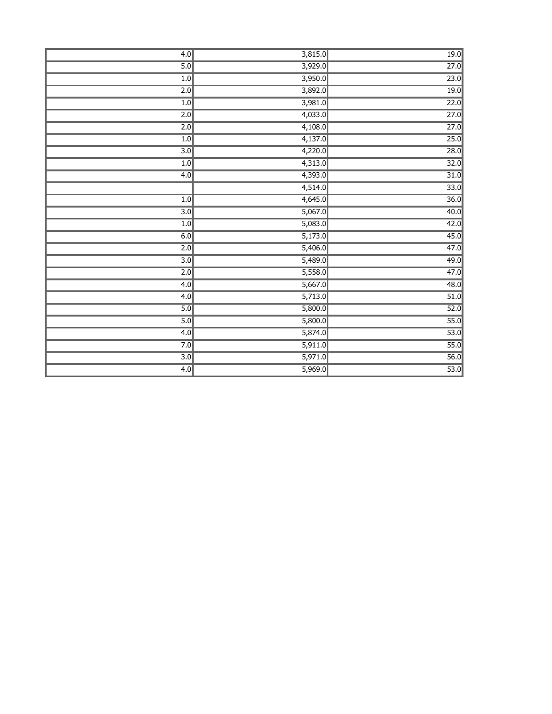| 4.0              | 3,815.0              | 19.0 |
|------------------|----------------------|------|
| 5.0              | 3,929.0              | 27.0 |
| 1.0              | 3,950.0              | 23.0 |
| $\overline{2.0}$ | 3,892.0              | 19.0 |
| 1.0              | 3,981.0              | 22.0 |
| $\overline{2.0}$ | $\overline{4,033.0}$ | 27.0 |
| $\overline{2.0}$ | 4,108.0              | 27.0 |
| 1.0              | 4,137.0              | 25.0 |
| $\overline{3.0}$ | 4,220.0              | 28.0 |
| 1.0              | 4,313.0              | 32.0 |
| 4.0              | 4,393.0              | 31.0 |
|                  | 4,514.0              | 33.0 |
| 1.0              | 4,645.0              | 36.0 |
| $\overline{3.0}$ | 5,067.0              | 40.0 |
| 1.0              | 5,083.0              | 42.0 |
| 6.0              | 5,173.0              | 45.0 |
| $\overline{2.0}$ | 5,406.0              | 47.0 |
| 3.0              | 5,489.0              | 49.0 |
| $\overline{2.0}$ | 5,558.0              | 47.0 |
| 4.0              | 5,667.0              | 48.0 |
| 4.0              | 5,713.0              | 51.0 |
| 5.0              | 5,800.0              | 52.0 |
| 5.0              | 5,800.0              | 55.0 |
| 4.0              | 5,874.0              | 53.0 |
| 7.0              | 5,911.0              | 55.0 |
| $\overline{3.0}$ | 5,971.0              | 56.0 |
| 4.0              | 5,969.0              | 53.0 |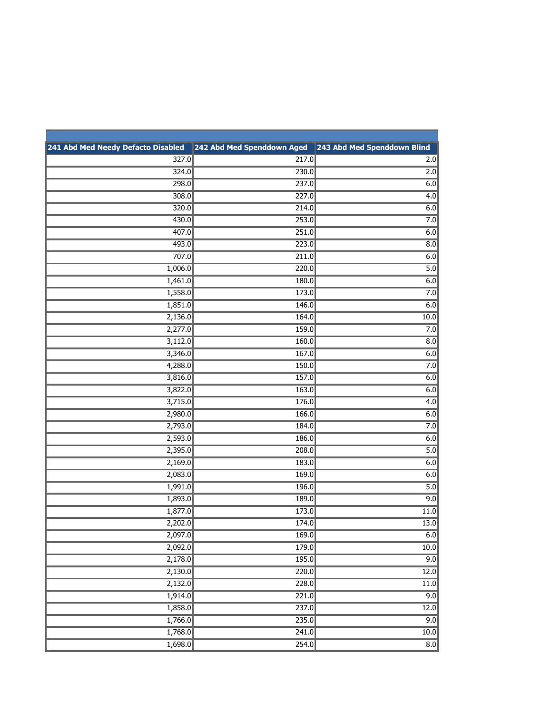| 241 Abd Med Needy Defacto Disabled | 242 Abd Med Spenddown Aged | 243 Abd Med Spenddown Blind |
|------------------------------------|----------------------------|-----------------------------|
| 327.0                              | 217.0                      | 2.0                         |
| 324.0                              | 230.0                      | 2.0                         |
| 298.0                              | 237.0                      | 6.0                         |
| 308.0                              | 227.0                      | $\overline{4.0}$            |
| 320.0                              | 214.0                      | 6.0                         |
| 430.0                              | 253.0                      | 7.0                         |
| 407.0                              | 251.0                      | 6.0                         |
| 493.0                              | 223.0                      | 8.0                         |
| 707.0                              | 211.0                      | 6.0                         |
| 1,006.0                            | 220.0                      | 5.0                         |
| 1,461.0                            | 180.0                      | 6.0                         |
| 1,558.0                            | 173.0                      | 7.0                         |
| 1,851.0                            | 146.0                      | 6.0                         |
| 2,136.0                            | 164.0                      | 10.0                        |
| 2,277.0                            | 159.0                      | 7.0                         |
| 3,112.0                            | 160.0                      | 8.0                         |
| 3,346.0                            | 167.0                      | 6.0                         |
| 4,288.0                            | 150.0                      | 7.0                         |
| 3,816.0                            | 157.0                      | 6.0                         |
| 3,822.0                            | 163.0                      | 6.0                         |
| 3,715.0                            | 176.0                      | 4.0                         |
| 2,980.0                            | 166.0                      | 6.0                         |
| 2,793.0                            | 184.0                      | 7.0                         |
| 2,593.0                            | 186.0                      | 6.0                         |
| 2,395.0                            | 208.0                      | $\overline{5.0}$            |
| 2,169.0                            | 183.0                      | 6.0                         |
| 2,083.0                            | 169.0                      | 6.0                         |
| 1,991.0                            | 196.0                      | 5.0                         |
| 1,893.0                            | 189.0                      | 9.0                         |
| 1,877.0                            | 173.0                      | 11.0                        |
| 2,202.0                            | 174.0                      | 13.0                        |
| 2,097.0                            | 169.0                      | 6.0                         |
| 2,092.0                            | 179.0                      | 10.0                        |
| 2,178.0                            | 195.0                      | 9.0                         |
| 2,130.0                            | $\overline{220.0}$         | $\overline{12.0}$           |
| 2,132.0                            | $\overline{228.0}$         | 11.0                        |
| 1,914.0                            | 221.0                      | 9.0                         |
| 1,858.0                            | 237.0                      | 12.0                        |
| 1,766.0                            | 235.0                      | 9.0                         |
| 1,768.0                            | 241.0                      | 10.0                        |
| 1,698.0                            | 254.0                      | $\overline{8.0}$            |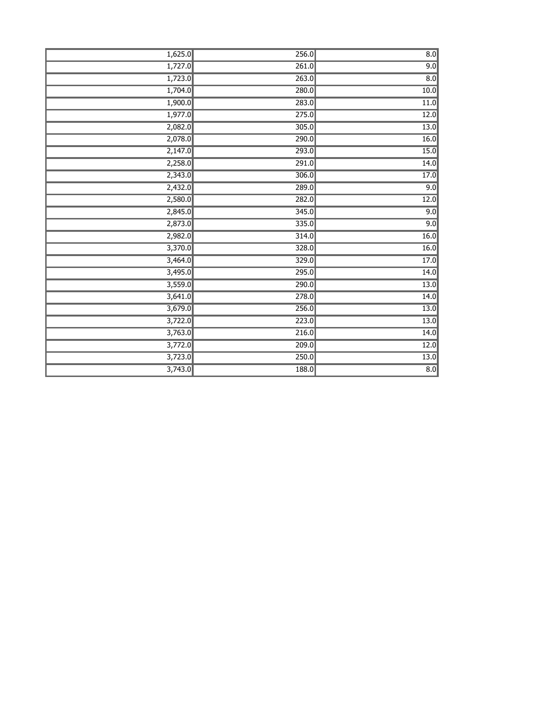| 1,625.0 | 256.0 | $\overline{8.0}$ |
|---------|-------|------------------|
| 1,727.0 | 261.0 | 9.0              |
| 1,723.0 | 263.0 | $\overline{8.0}$ |
| 1,704.0 | 280.0 | 10.0             |
| 1,900.0 | 283.0 | 11.0             |
| 1,977.0 | 275.0 | 12.0             |
| 2,082.0 | 305.0 | 13.0             |
| 2,078.0 | 290.0 | 16.0             |
| 2,147.0 | 293.0 | 15.0             |
| 2,258.0 | 291.0 | 14.0             |
| 2,343.0 | 306.0 | 17.0             |
| 2,432.0 | 289.0 | 9.0              |
| 2,580.0 | 282.0 | 12.0             |
| 2,845.0 | 345.0 | 9.0              |
| 2,873.0 | 335.0 | 9.0              |
| 2,982.0 | 314.0 | 16.0             |
| 3,370.0 | 328.0 | 16.0             |
| 3,464.0 | 329.0 | 17.0             |
| 3,495.0 | 295.0 | 14.0             |
| 3,559.0 | 290.0 | 13.0             |
| 3,641.0 | 278.0 | 14.0             |
| 3,679.0 | 256.0 | 13.0             |
| 3,722.0 | 223.0 | 13.0             |
| 3,763.0 | 216.0 | 14.0             |
| 3,772.0 | 209.0 | 12.0             |
| 3,723.0 | 250.0 | 13.0             |
| 3,743.0 | 188.0 | $\overline{8.0}$ |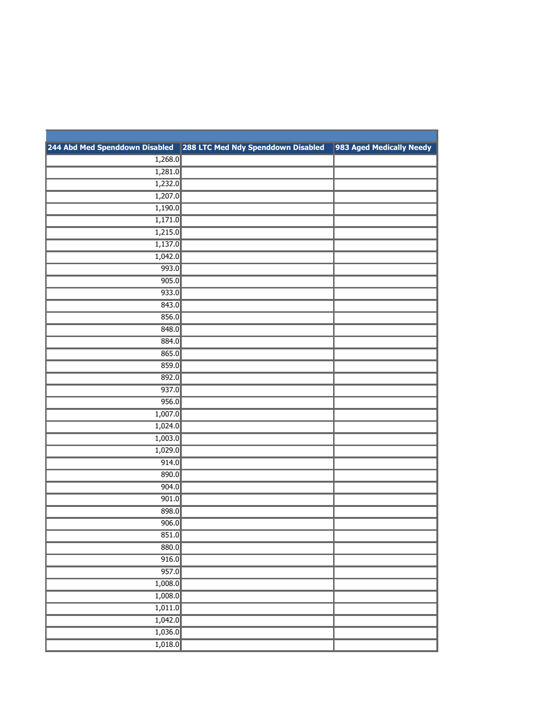| 244 Abd Med Spenddown Disabled | 288 LTC Med Ndy Spenddown Disabled | 983 Aged Medically Needy |
|--------------------------------|------------------------------------|--------------------------|
| 1,268.0                        |                                    |                          |
| 1,281.0                        |                                    |                          |
| 1,232.0                        |                                    |                          |
| 1,207.0                        |                                    |                          |
| 1,190.0                        |                                    |                          |
| 1,171.0                        |                                    |                          |
| 1,215.0                        |                                    |                          |
| 1,137.0                        |                                    |                          |
| 1,042.0                        |                                    |                          |
| 993.0                          |                                    |                          |
| 905.0                          |                                    |                          |
| 933.0                          |                                    |                          |
| 843.0                          |                                    |                          |
| 856.0                          |                                    |                          |
| 848.0                          |                                    |                          |
| 884.0                          |                                    |                          |
| 865.0                          |                                    |                          |
| 859.0                          |                                    |                          |
| 892.0                          |                                    |                          |
| 937.0                          |                                    |                          |
| 956.0                          |                                    |                          |
| 1,007.0                        |                                    |                          |
| 1,024.0                        |                                    |                          |
| 1,003.0                        |                                    |                          |
| 1,029.0                        |                                    |                          |
| 914.0                          |                                    |                          |
| 890.0                          |                                    |                          |
| 904.0                          |                                    |                          |
| 901.0                          |                                    |                          |
| 898.0                          |                                    |                          |
| 906.0                          |                                    |                          |
| 851.0                          |                                    |                          |
| 880.0                          |                                    |                          |
| 916.0                          |                                    |                          |
| 957.0                          |                                    |                          |
| 1,008.0                        |                                    |                          |
| 1,008.0                        |                                    |                          |
| 1,011.0                        |                                    |                          |
| 1,042.0                        |                                    |                          |
| 1,036.0                        |                                    |                          |
| 1,018.0                        |                                    |                          |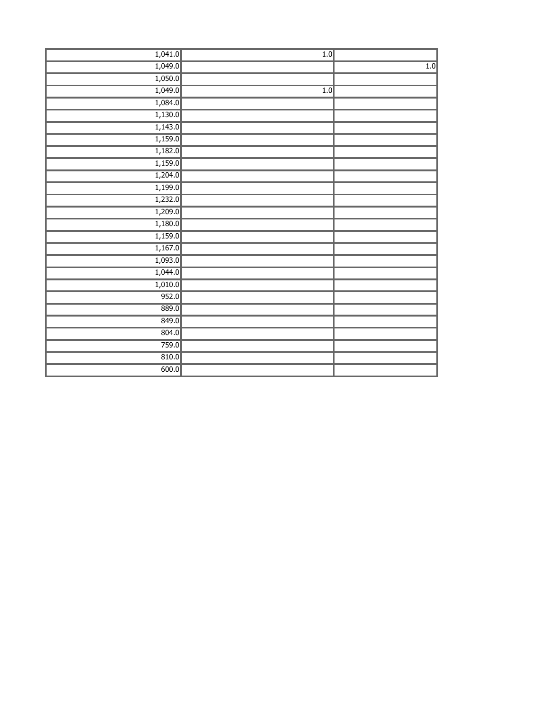| 1,041.0 | 1.0 |     |
|---------|-----|-----|
| 1,049.0 |     | 1.0 |
| 1,050.0 |     |     |
| 1,049.0 | 1.0 |     |
| 1,084.0 |     |     |
| 1,130.0 |     |     |
| 1,143.0 |     |     |
| 1,159.0 |     |     |
| 1,182.0 |     |     |
| 1,159.0 |     |     |
| 1,204.0 |     |     |
| 1,199.0 |     |     |
| 1,232.0 |     |     |
| 1,209.0 |     |     |
| 1,180.0 |     |     |
| 1,159.0 |     |     |
| 1,167.0 |     |     |
| 1,093.0 |     |     |
| 1,044.0 |     |     |
| 1,010.0 |     |     |
| 952.0   |     |     |
| 889.0   |     |     |
| 849.0   |     |     |
| 804.0   |     |     |
| 759.0   |     |     |
| 810.0   |     |     |
| 600.0   |     |     |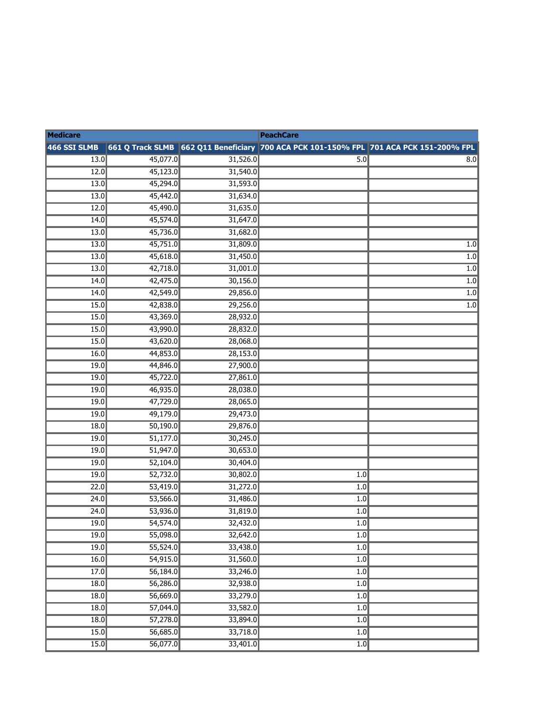| <b>Medicare</b>   |                      |                      | <b>PeachCare</b>                                                                       |                  |
|-------------------|----------------------|----------------------|----------------------------------------------------------------------------------------|------------------|
| 466 SSI SLMB      |                      |                      | 661 Q Track SLMB 662 Q11 Beneficiary 700 ACA PCK 101-150% FPL 701 ACA PCK 151-200% FPL |                  |
| 13.0              | 45,077.0             | 31,526.0             | 5.0                                                                                    | 8.0              |
| 12.0              | 45,123.0             | 31,540.0             |                                                                                        |                  |
| 13.0              | 45,294.0             | 31,593.0             |                                                                                        |                  |
| 13.0              | 45,442.0             | 31,634.0             |                                                                                        |                  |
| 12.0              | 45,490.0             | 31,635.0             |                                                                                        |                  |
| 14.0              | 45,574.0             | 31,647.0             |                                                                                        |                  |
| 13.0              | 45,736.0             | 31,682.0             |                                                                                        |                  |
| 13.0              | 45,751.0             | 31,809.0             |                                                                                        | $\overline{1.0}$ |
| 13.0              | 45,618.0             | 31,450.0             |                                                                                        | $\overline{1.0}$ |
| 13.0              | 42,718.0             | 31,001.0             |                                                                                        | 1.0              |
| 14.0              | 42,475.0             | 30,156.0             |                                                                                        | $\overline{1.0}$ |
| 14.0              | 42,549.0             | 29,856.0             |                                                                                        | $\overline{1.0}$ |
| 15.0              | 42,838.0             | 29,256.0             |                                                                                        | 1.0              |
| 15.0              | 43,369.0             | 28,932.0             |                                                                                        |                  |
| 15.0              | 43,990.0             | 28,832.0             |                                                                                        |                  |
| 15.0              | 43,620.0             | 28,068.0             |                                                                                        |                  |
| 16.0              | 44,853.0             | 28,153.0             |                                                                                        |                  |
| 19.0              | 44,846.0             | 27,900.0             |                                                                                        |                  |
| 19.0              | 45,722.0             | 27,861.0             |                                                                                        |                  |
| 19.0              | 46,935.0             | 28,038.0             |                                                                                        |                  |
| 19.0              | 47,729.0             | 28,065.0             |                                                                                        |                  |
| 19.0              | 49,179.0             | 29,473.0             |                                                                                        |                  |
| 18.0              | 50,190.0             | 29,876.0             |                                                                                        |                  |
| 19.0              | 51,177.0             | 30,245.0             |                                                                                        |                  |
| 19.0              | 51,947.0             | 30,653.0             |                                                                                        |                  |
| 19.0              | 52,104.0             | 30,404.0             |                                                                                        |                  |
| 19.0              | 52,732.0             | 30,802.0             | 1.0                                                                                    |                  |
| 22.0              | 53,419.0             | 31,272.0             | 1.0                                                                                    |                  |
| 24.0              | 53,566.0             | 31,486.0             | 1.0                                                                                    |                  |
| 24.0              | 53,936.0             | 31,819.0             | 1.0                                                                                    |                  |
| 19.0              | 54,574.0             | 32,432.0             | 1.0                                                                                    |                  |
| 19.0              | 55,098.0             | 32,642.0             | 1.0                                                                                    |                  |
| $\overline{19.0}$ | 55,524.0             | 33,438.0             | $\overline{1.0}$                                                                       |                  |
| 16.0              | 54,915.0             | 31,560.0             | 1.0                                                                                    |                  |
| 17.0              | 56,184.0             | 33,246.0             | 1.0                                                                                    |                  |
| 18.0              | 56,286.0             | 32,938.0             | 1.0<br>1.0                                                                             |                  |
| 18.0<br>18.0      | 56,669.0<br>57,044.0 | 33,279.0<br>33,582.0 | 1.0                                                                                    |                  |
|                   |                      | 33,894.0             |                                                                                        |                  |
| 18.0<br>15.0      | 57,278.0<br>56,685.0 | 33,718.0             | 1.0<br>1.0                                                                             |                  |
| 15.0              | 56,077.0             | 33,401.0             | 1.0                                                                                    |                  |
|                   |                      |                      |                                                                                        |                  |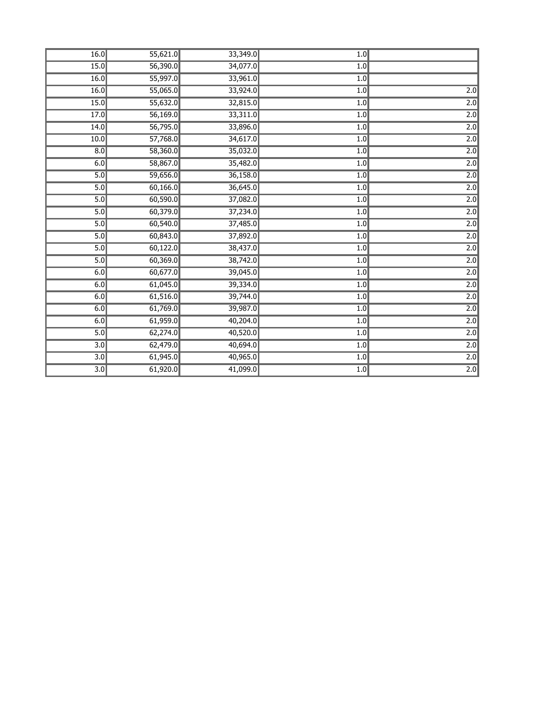| 16.0              | 55,621.0 | 33,349.0 | 1.0              |                  |
|-------------------|----------|----------|------------------|------------------|
| 15.0              | 56,390.0 | 34,077.0 | 1.0              |                  |
| 16.0              | 55,997.0 | 33,961.0 | 1.0              |                  |
| 16.0              | 55,065.0 | 33,924.0 | 1.0              | $\overline{2.0}$ |
| 15.0              | 55,632.0 | 32,815.0 | 1.0              | $\overline{2.0}$ |
| 17.0              | 56,169.0 | 33,311.0 | 1.0              | $\overline{2.0}$ |
| 14.0              | 56,795.0 | 33,896.0 | 1.0              | $\overline{2.0}$ |
| $\overline{10.0}$ | 57,768.0 | 34,617.0 | 1.0              | $\overline{2.0}$ |
| $\overline{8.0}$  | 58,360.0 | 35,032.0 | 1.0              | 2.0              |
| 6.0               | 58,867.0 | 35,482.0 | 1.0              | 2.0              |
| $\overline{5.0}$  | 59,656.0 | 36,158.0 | 1.0              | $\overline{2.0}$ |
| 5.0               | 60,166.0 | 36,645.0 | 1.0              | $\overline{2.0}$ |
| 5.0               | 60,590.0 | 37,082.0 | 1.0              | $\overline{2.0}$ |
| 5.0               | 60,379.0 | 37,234.0 | 1.0              | 2.0              |
| 5.0               | 60,540.0 | 37,485.0 | 1.0              | $\overline{2.0}$ |
| 5.0               | 60,843.0 | 37,892.0 | 1.0              | $\overline{2.0}$ |
| 5.0               | 60,122.0 | 38,437.0 | 1.0              | $\overline{2.0}$ |
| 5.0               | 60,369.0 | 38,742.0 | 1.0              | 2.0              |
| 6.0               | 60,677.0 | 39,045.0 | 1.0              | $\overline{2.0}$ |
| 6.0               | 61,045.0 | 39,334.0 | 1.0              | $\overline{2.0}$ |
| 6.0               | 61,516.0 | 39,744.0 | 1.0              | $\overline{2.0}$ |
| 6.0               | 61,769.0 | 39,987.0 | 1.0              | 2.0              |
| 6.0               | 61,959.0 | 40,204.0 | 1.0              | $\overline{2.0}$ |
| 5.0               | 62,274.0 | 40,520.0 | $\overline{1.0}$ | $\overline{2.0}$ |
| $\overline{3.0}$  | 62,479.0 | 40,694.0 | 1.0              | $\overline{2.0}$ |
| $\overline{3.0}$  | 61,945.0 | 40,965.0 | 1.0              | $\overline{2.0}$ |
| $\overline{3.0}$  | 61,920.0 | 41,099.0 | 1.0              | $\overline{2.0}$ |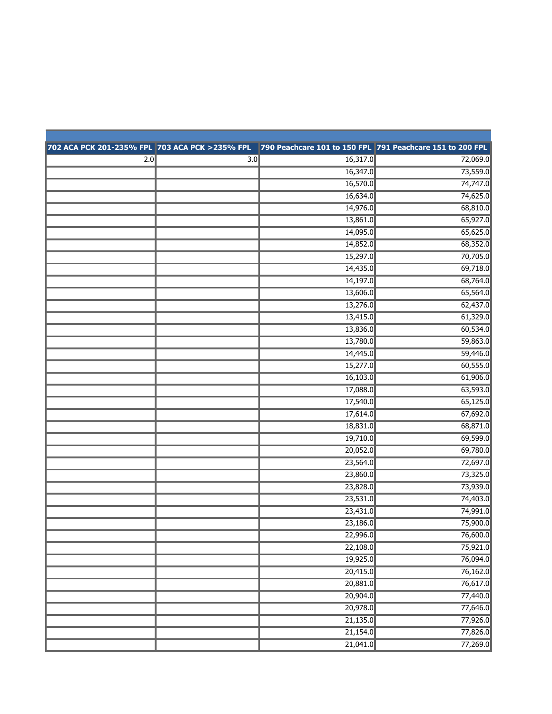|     |                  | 702 ACA PCK 201-235% FPL 703 ACA PCK >235% FPL 790 Peachcare 101 to 150 FPL 791 Peachcare 151 to 200 FPL |          |
|-----|------------------|----------------------------------------------------------------------------------------------------------|----------|
| 2.0 | $\overline{3.0}$ | 16,317.0                                                                                                 | 72,069.0 |
|     |                  | 16,347.0                                                                                                 | 73,559.0 |
|     |                  | 16,570.0                                                                                                 | 74,747.0 |
|     |                  | 16,634.0                                                                                                 | 74,625.0 |
|     |                  | 14,976.0                                                                                                 | 68,810.0 |
|     |                  | 13,861.0                                                                                                 | 65,927.0 |
|     |                  | 14,095.0                                                                                                 | 65,625.0 |
|     |                  | 14,852.0                                                                                                 | 68,352.0 |
|     |                  | 15,297.0                                                                                                 | 70,705.0 |
|     |                  | 14,435.0                                                                                                 | 69,718.0 |
|     |                  | 14,197.0                                                                                                 | 68,764.0 |
|     |                  | 13,606.0                                                                                                 | 65,564.0 |
|     |                  | 13,276.0                                                                                                 | 62,437.0 |
|     |                  | 13,415.0                                                                                                 | 61,329.0 |
|     |                  | 13,836.0                                                                                                 | 60,534.0 |
|     |                  | 13,780.0                                                                                                 | 59,863.0 |
|     |                  | 14,445.0                                                                                                 | 59,446.0 |
|     |                  | 15,277.0                                                                                                 | 60,555.0 |
|     |                  | 16,103.0                                                                                                 | 61,906.0 |
|     |                  | 17,088.0                                                                                                 | 63,593.0 |
|     |                  | 17,540.0                                                                                                 | 65,125.0 |
|     |                  | 17,614.0                                                                                                 | 67,692.0 |
|     |                  | 18,831.0                                                                                                 | 68,871.0 |
|     |                  | 19,710.0                                                                                                 | 69,599.0 |
|     |                  | 20,052.0                                                                                                 | 69,780.0 |
|     |                  | 23,564.0                                                                                                 | 72,697.0 |
|     |                  | 23,860.0                                                                                                 | 73,325.0 |
|     |                  | 23,828.0                                                                                                 | 73,939.0 |
|     |                  | 23,531.0                                                                                                 | 74,403.0 |
|     |                  | 23,431.0                                                                                                 | 74,991.0 |
|     |                  | 23,186.0                                                                                                 | 75,900.0 |
|     |                  | 22,996.0                                                                                                 | 76,600.0 |
|     |                  | 22,108.0                                                                                                 | 75,921.0 |
|     |                  | 19,925.0                                                                                                 | 76,094.0 |
|     |                  | 20,415.0                                                                                                 | 76,162.0 |
|     |                  | 20,881.0                                                                                                 | 76,617.0 |
|     |                  | 20,904.0                                                                                                 | 77,440.0 |
|     |                  | 20,978.0                                                                                                 | 77,646.0 |
|     |                  | 21,135.0                                                                                                 | 77,926.0 |
|     |                  | 21,154.0                                                                                                 | 77,826.0 |
|     |                  | 21,041.0                                                                                                 | 77,269.0 |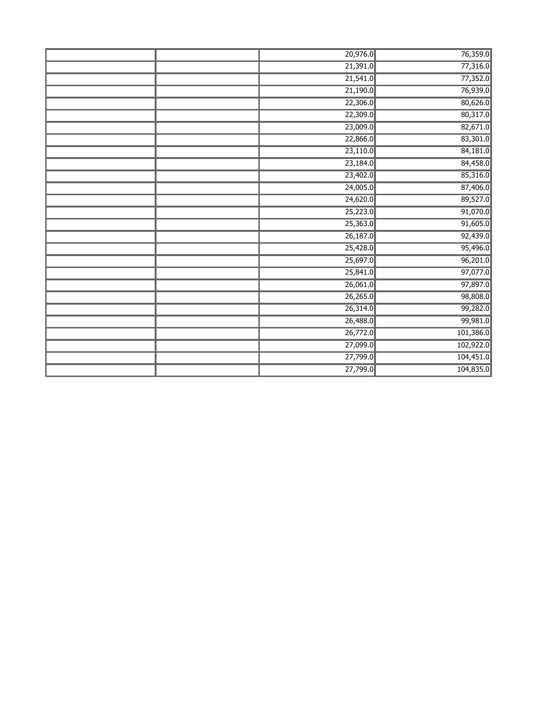| 20,976.0 | 76,359.0  |
|----------|-----------|
| 21,391.0 | 77,316.0  |
| 21,541.0 | 77,352.0  |
| 21,190.0 | 76,939.0  |
| 22,306.0 | 80,626.0  |
| 22,309.0 | 80,317.0  |
| 23,009.0 | 82,671.0  |
| 22,866.0 | 83,301.0  |
| 23,110.0 | 84,181.0  |
| 23,184.0 | 84,458.0  |
| 23,402.0 | 85,316.0  |
| 24,005.0 | 87,406.0  |
| 24,620.0 | 89,527.0  |
| 25,223.0 | 91,070.0  |
| 25,363.0 | 91,605.0  |
| 26,187.0 | 92,439.0  |
| 25,428.0 | 95,496.0  |
| 25,697.0 | 96,201.0  |
| 25,841.0 | 97,077.0  |
| 26,061.0 | 97,897.0  |
| 26,265.0 | 98,808.0  |
| 26,314.0 | 99,282.0  |
| 26,488.0 | 99,981.0  |
| 26,772.0 | 101,386.0 |
| 27,099.0 | 102,922.0 |
| 27,799.0 | 104,451.0 |
| 27,799.0 | 104,835.0 |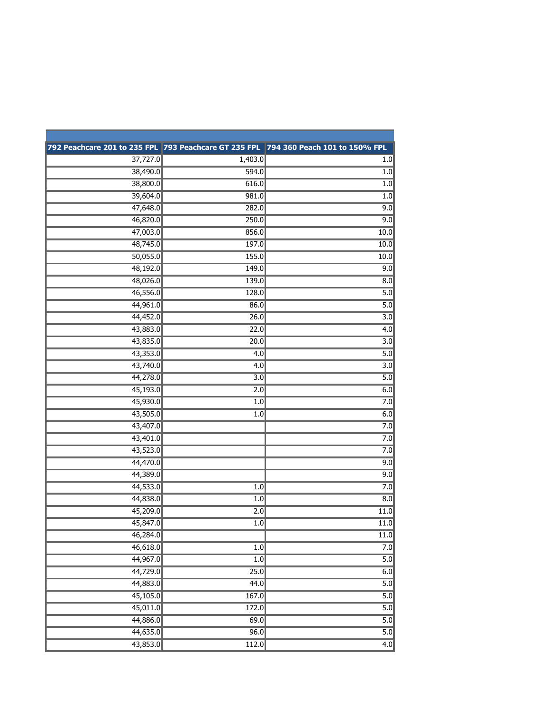|          |                  | 792 Peachcare 201 to 235 FPL 793 Peachcare GT 235 FPL 794 360 Peach 101 to 150% FPL |
|----------|------------------|-------------------------------------------------------------------------------------|
| 37,727.0 | 1,403.0          | 1.0                                                                                 |
| 38,490.0 | 594.0            | 1.0                                                                                 |
| 38,800.0 | 616.0            | 1.0                                                                                 |
| 39,604.0 | 981.0            | 1.0                                                                                 |
| 47,648.0 | 282.0            | 9.0                                                                                 |
| 46,820.0 | 250.0            | 9.0                                                                                 |
| 47,003.0 | 856.0            | 10.0                                                                                |
| 48,745.0 | 197.0            | 10.0                                                                                |
| 50,055.0 | 155.0            | 10.0                                                                                |
| 48,192.0 | 149.0            | 9.0                                                                                 |
| 48,026.0 | 139.0            | 8.0                                                                                 |
| 46,556.0 | 128.0            | 5.0                                                                                 |
| 44,961.0 | 86.0             | 5.0                                                                                 |
| 44,452.0 | 26.0             | 3.0                                                                                 |
| 43,883.0 | 22.0             | 4.0                                                                                 |
| 43,835.0 | 20.0             | $\overline{3.0}$                                                                    |
| 43,353.0 | 4.0              | 5.0                                                                                 |
| 43,740.0 | 4.0              | 3.0                                                                                 |
| 44,278.0 | $\overline{3.0}$ | 5.0                                                                                 |
| 45,193.0 | 2.0              | 6.0                                                                                 |
| 45,930.0 | 1.0              | 7.0                                                                                 |
| 43,505.0 | 1.0              | 6.0                                                                                 |
| 43,407.0 |                  | 7.0                                                                                 |
| 43,401.0 |                  | 7.0                                                                                 |
| 43,523.0 |                  | 7.0                                                                                 |
| 44,470.0 |                  | 9.0                                                                                 |
| 44,389.0 |                  | 9.0                                                                                 |
| 44,533.0 | 1.0              | 7.0                                                                                 |
| 44,838.0 | 1.0              | $\overline{8.0}$                                                                    |
| 45,209.0 | 2.0              | 11.0                                                                                |
| 45,847.0 | $\overline{1.0}$ | 11.0                                                                                |
| 46,284.0 |                  | 11.0                                                                                |
| 46,618.0 | 1.0              | 7.0                                                                                 |
| 44,967.0 | 1.0              | 5.0                                                                                 |
| 44,729.0 | 25.0             | 6.0                                                                                 |
| 44,883.0 | 44.0             | 5.0                                                                                 |
| 45,105.0 | 167.0            | 5.0                                                                                 |
| 45,011.0 | 172.0            | 5.0                                                                                 |
| 44,886.0 | 69.0             | 5.0                                                                                 |
| 44,635.0 | 96.0             | 5.0                                                                                 |
| 43,853.0 | 112.0            | 4.0                                                                                 |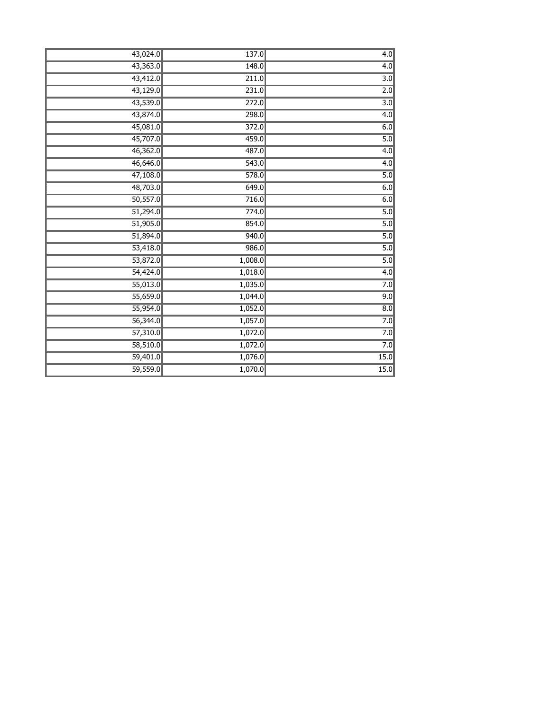| 43,024.0 | 137.0   | $\overline{4.0}$ |
|----------|---------|------------------|
| 43,363.0 | 148.0   | 4.0              |
| 43,412.0 | 211.0   | $\overline{3.0}$ |
| 43,129.0 | 231.0   | 2.0              |
| 43,539.0 | 272.0   | $\overline{3.0}$ |
| 43,874.0 | 298.0   | 4.0              |
| 45,081.0 | 372.0   | 6.0              |
| 45,707.0 | 459.0   | 5.0              |
| 46,362.0 | 487.0   | 4.0              |
| 46,646.0 | 543.0   | 4.0              |
| 47,108.0 | 578.0   | 5.0              |
| 48,703.0 | 649.0   | 6.0              |
| 50,557.0 | 716.0   | 6.0              |
| 51,294.0 | 774.0   | $\overline{5.0}$ |
| 51,905.0 | 854.0   | 5.0              |
| 51,894.0 | 940.0   | $\overline{5.0}$ |
| 53,418.0 | 986.0   | $\overline{5.0}$ |
| 53,872.0 | 1,008.0 | 5.0              |
| 54,424.0 | 1,018.0 | 4.0              |
| 55,013.0 | 1,035.0 | 7.0              |
| 55,659.0 | 1,044.0 | 9.0              |
| 55,954.0 | 1,052.0 | 8.0              |
| 56,344.0 | 1,057.0 | 7.0              |
| 57,310.0 | 1,072.0 | 7.0              |
| 58,510.0 | 1,072.0 | 7.0              |
| 59,401.0 | 1,076.0 | 15.0             |
| 59,559.0 | 1,070.0 | 15.0             |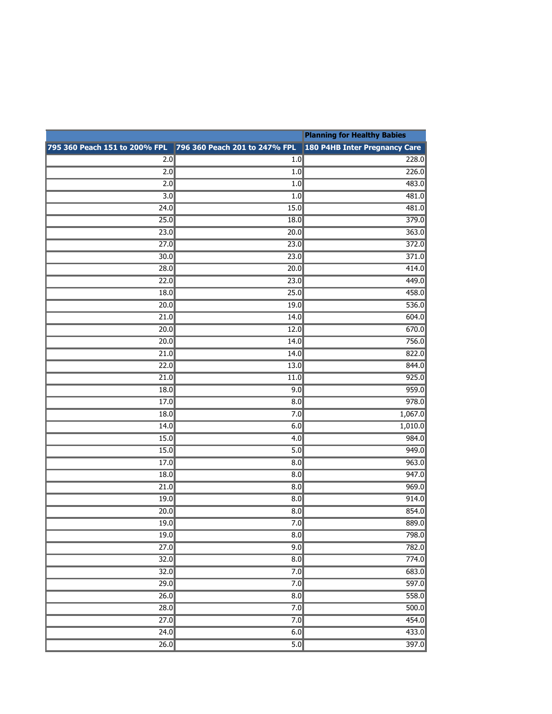|                                                             |                  | <b>Planning for Healthy Babies</b>   |
|-------------------------------------------------------------|------------------|--------------------------------------|
| 795 360 Peach 151 to 200% FPL 796 360 Peach 201 to 247% FPL |                  | <b>180 P4HB Inter Pregnancy Care</b> |
| 2.0                                                         | 1.0              | 228.0                                |
| 2.0                                                         | 1.0              | $\overline{226.0}$                   |
| 2.0                                                         | 1.0              | 483.0                                |
| 3.0                                                         | 1.0              | 481.0                                |
| 24.0                                                        | 15.0             | 481.0                                |
| 25.0                                                        | 18.0             | 379.0                                |
| 23.0                                                        | 20.0             | 363.0                                |
| $\overline{27.0}$                                           | 23.0             | 372.0                                |
| 30.0                                                        | 23.0             | 371.0                                |
| 28.0                                                        | 20.0             | 414.0                                |
| 22.0                                                        | 23.0             | 449.0                                |
| 18.0                                                        | 25.0             | 458.0                                |
| 20.0                                                        | 19.0             | 536.0                                |
| 21.0                                                        | 14.0             | 604.0                                |
| 20.0                                                        | 12.0             | 670.0                                |
| 20.0                                                        | 14.0             | 756.0                                |
| $\overline{21.0}$                                           | 14.0             | 822.0                                |
| 22.0                                                        | 13.0             | 844.0                                |
| 21.0                                                        | 11.0             | 925.0                                |
| 18.0                                                        | 9.0              | 959.0                                |
| 17.0                                                        | 8.0              | 978.0                                |
| 18.0                                                        | 7.0              | 1,067.0                              |
| 14.0                                                        | 6.0              | 1,010.0                              |
| 15.0                                                        | 4.0              | 984.0                                |
| 15.0                                                        | $\overline{5.0}$ | 949.0                                |
| 17.0                                                        | 8.0              | 963.0                                |
| 18.0<br>$\overline{21.0}$                                   | 8.0<br>8.0       | 947.0                                |
| 19.0                                                        | 8.0              | 969.0<br>914.0                       |
| 20.0                                                        | 8.0              | 854.0                                |
| 19.0                                                        | 7.0              | 889.0                                |
| 19.0                                                        | 8.0              | 798.0                                |
| $\overline{27.0}$                                           | 9.0              | 782.0                                |
| 32.0                                                        | $\overline{8.0}$ | 774.0                                |
| 32.0                                                        | 7.0              | 683.0                                |
| 29.0                                                        | 7.0              | 597.0                                |
| $\overline{26.0}$                                           | $\overline{8.0}$ | 558.0                                |
| 28.0                                                        | 7.0              | 500.0                                |
| $\overline{27.0}$                                           | 7.0              | 454.0                                |
| 24.0                                                        | 6.0              | 433.0                                |
| $\overline{26.0}$                                           | $\overline{5.0}$ | 397.0                                |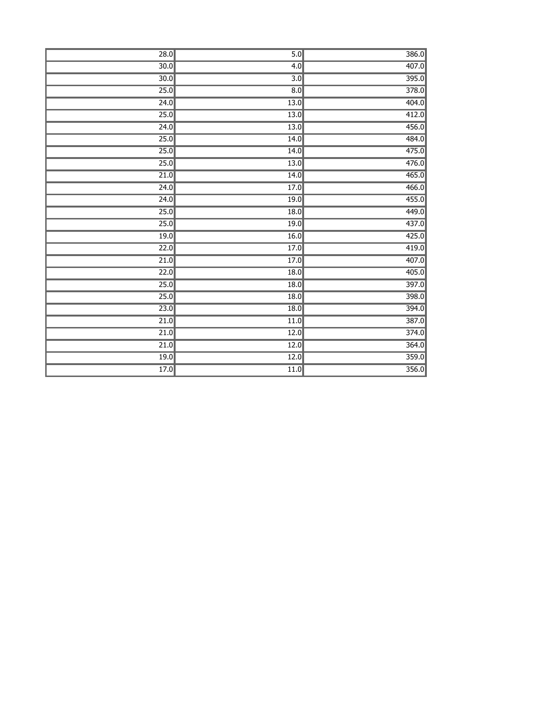| 28.0              | 5.0               | 386.0 |
|-------------------|-------------------|-------|
| 30.0              | 4.0               | 407.0 |
| 30.0              | $\overline{3.0}$  | 395.0 |
| 25.0              | $\overline{8.0}$  | 378.0 |
| 24.0              | 13.0              | 404.0 |
| 25.0              | 13.0              | 412.0 |
| 24.0              | 13.0              | 456.0 |
| 25.0              | 14.0              | 484.0 |
| 25.0              | 14.0              | 475.0 |
| 25.0              | $\overline{13.0}$ | 476.0 |
| 21.0              | 14.0              | 465.0 |
| 24.0              | 17.0              | 466.0 |
| 24.0              | 19.0              | 455.0 |
| 25.0              | 18.0              | 449.0 |
| 25.0              | 19.0              | 437.0 |
| 19.0              | 16.0              | 425.0 |
| 22.0              | 17.0              | 419.0 |
| 21.0              | 17.0              | 407.0 |
| 22.0              | 18.0              | 405.0 |
| 25.0              | 18.0              | 397.0 |
| 25.0              | $\overline{18.0}$ | 398.0 |
| $\overline{23.0}$ | $\overline{18.0}$ | 394.0 |
| 21.0              | 11.0              | 387.0 |
| 21.0              | 12.0              | 374.0 |
| $\overline{21.0}$ | $\overline{12.0}$ | 364.0 |
| 19.0              | $\overline{12.0}$ | 359.0 |
| 17.0              | 11.0              | 356.0 |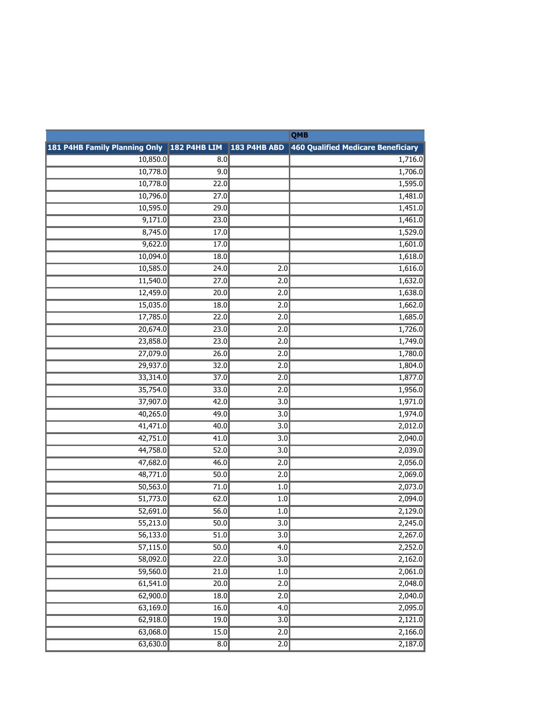|          |      |                  | QMB                                                                                        |
|----------|------|------------------|--------------------------------------------------------------------------------------------|
|          |      |                  | 181 P4HB Family Planning Only 182 P4HB LIM 183 P4HB ABD 460 Qualified Medicare Beneficiary |
| 10,850.0 | 8.0  |                  | 1,716.0                                                                                    |
| 10,778.0 | 9.0  |                  | 1,706.0                                                                                    |
| 10,778.0 | 22.0 |                  | 1,595.0                                                                                    |
| 10,796.0 | 27.0 |                  | 1,481.0                                                                                    |
| 10,595.0 | 29.0 |                  | 1,451.0                                                                                    |
| 9,171.0  | 23.0 |                  | 1,461.0                                                                                    |
| 8,745.0  | 17.0 |                  | 1,529.0                                                                                    |
| 9,622.0  | 17.0 |                  | 1,601.0                                                                                    |
| 10,094.0 | 18.0 |                  | 1,618.0                                                                                    |
| 10,585.0 | 24.0 | 2.0              | 1,616.0                                                                                    |
| 11,540.0 | 27.0 | 2.0              | 1,632.0                                                                                    |
| 12,459.0 | 20.0 | 2.0              | 1,638.0                                                                                    |
| 15,035.0 | 18.0 | 2.0              | 1,662.0                                                                                    |
| 17,785.0 | 22.0 | 2.0              | 1,685.0                                                                                    |
| 20,674.0 | 23.0 | 2.0              | 1,726.0                                                                                    |
| 23,858.0 | 23.0 | 2.0              | 1,749.0                                                                                    |
| 27,079.0 | 26.0 | 2.0              | 1,780.0                                                                                    |
| 29,937.0 | 32.0 | 2.0              | 1,804.0                                                                                    |
| 33,314.0 | 37.0 | 2.0              | 1,877.0                                                                                    |
| 35,754.0 | 33.0 | 2.0              | 1,956.0                                                                                    |
| 37,907.0 | 42.0 | $\overline{3.0}$ | 1,971.0                                                                                    |
| 40,265.0 | 49.0 | $\overline{3.0}$ | 1,974.0                                                                                    |
| 41,471.0 | 40.0 | $\overline{3.0}$ | 2,012.0                                                                                    |
| 42,751.0 | 41.0 | $\overline{3.0}$ | 2,040.0                                                                                    |
| 44,758.0 | 52.0 | $\overline{3.0}$ | 2,039.0                                                                                    |
| 47,682.0 | 46.0 | 2.0              | 2,056.0                                                                                    |
| 48,771.0 | 50.0 | 2.0              | 2,069.0                                                                                    |
| 50,563.0 | 71.0 | 1.0              | 2,073.0                                                                                    |
| 51,773.0 | 62.0 | 1.0              | 2,094.0                                                                                    |
| 52,691.0 | 56.0 | 1.0              | 2,129.0                                                                                    |
| 55,213.0 | 50.0 | $\overline{3.0}$ | 2,245.0                                                                                    |
| 56,133.0 | 51.0 | $\overline{3.0}$ | 2,267.0                                                                                    |
| 57,115.0 | 50.0 | $\overline{4.0}$ | 2,252.0                                                                                    |
| 58,092.0 | 22.0 | $\overline{3.0}$ | 2,162.0                                                                                    |
| 59,560.0 | 21.0 | $\overline{1.0}$ | 2,061.0                                                                                    |
| 61,541.0 | 20.0 | $\overline{2.0}$ | 2,048.0                                                                                    |
| 62,900.0 | 18.0 | 2.0              | 2,040.0                                                                                    |
| 63,169.0 | 16.0 | $\overline{4.0}$ | 2,095.0                                                                                    |
| 62,918.0 | 19.0 | $\overline{3.0}$ | 2,121.0                                                                                    |
| 63,068.0 | 15.0 | 2.0              | 2,166.0                                                                                    |
| 63,630.0 | 8.0  | 2.0              | 2,187.0                                                                                    |
|          |      |                  |                                                                                            |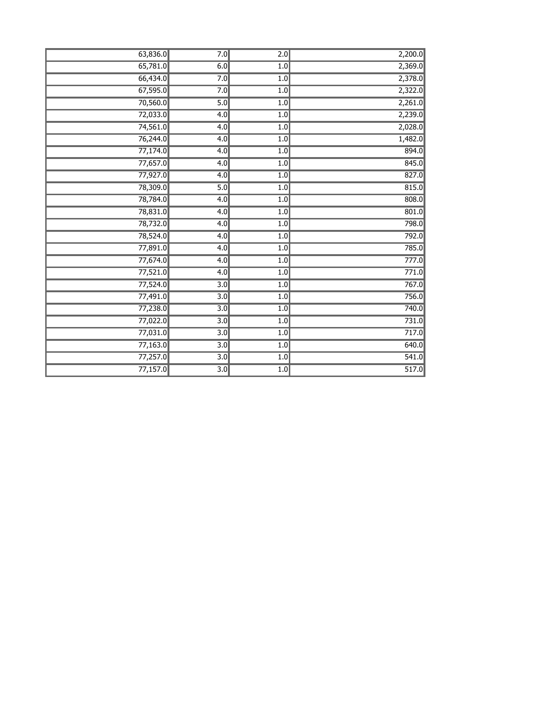| 63,836.0 | 7.0              | $\overline{2.0}$ | 2,200.0 |
|----------|------------------|------------------|---------|
| 65,781.0 | 6.0              | 1.0              | 2,369.0 |
| 66,434.0 | 7.0              | 1.0              | 2,378.0 |
| 67,595.0 | 7.0              | 1.0              | 2,322.0 |
| 70,560.0 | 5.0              | 1.0              | 2,261.0 |
| 72,033.0 | 4.0              | $\overline{1.0}$ | 2,239.0 |
| 74,561.0 | 4.0              | 1.0              | 2,028.0 |
| 76,244.0 | 4.0              | 1.0              | 1,482.0 |
| 77,174.0 | 4.0              | 1.0              | 894.0   |
| 77,657.0 | $\overline{4.0}$ | 1.0              | 845.0   |
| 77,927.0 | 4.0              | 1.0              | 827.0   |
| 78,309.0 | 5.0              | 1.0              | 815.0   |
| 78,784.0 | 4.0              | 1.0              | 808.0   |
| 78,831.0 | $\overline{4.0}$ | 1.0              | 801.0   |
| 78,732.0 | 4.0              | 1.0              | 798.0   |
| 78,524.0 | 4.0              | 1.0              | 792.0   |
| 77,891.0 | 4.0              | 1.0              | 785.0   |
| 77,674.0 | 4.0              | 1.0              | 777.0   |
| 77,521.0 | 4.0              | 1.0              | 771.0   |
| 77,524.0 | $\overline{3.0}$ | 1.0              | 767.0   |
| 77,491.0 | $\overline{3.0}$ | 1.0              | 756.0   |
| 77,238.0 | $\overline{3.0}$ | 1.0              | 740.0   |
| 77,022.0 | 3.0              | 1.0              | 731.0   |
| 77,031.0 | $\overline{3.0}$ | 1.0              | 717.0   |
| 77,163.0 | $\overline{3.0}$ | 1.0              | 640.0   |
| 77,257.0 | $\overline{3.0}$ | 1.0              | 541.0   |
| 77,157.0 | $\overline{3.0}$ | 1.0              | 517.0   |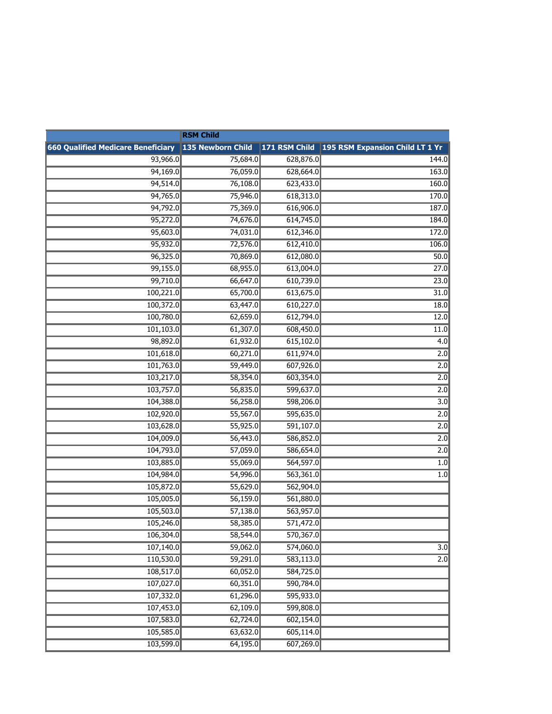| <b>RSM Child</b>                          |                   |           |                                               |
|-------------------------------------------|-------------------|-----------|-----------------------------------------------|
| <b>660 Qualified Medicare Beneficiary</b> | 135 Newborn Child |           | 171 RSM Child 195 RSM Expansion Child LT 1 Yr |
| 93,966.0                                  | 75,684.0          | 628,876.0 | 144.0                                         |
| 94,169.0                                  | 76,059.0          | 628,664.0 | 163.0                                         |
| 94,514.0                                  | 76,108.0          | 623,433.0 | 160.0                                         |
| 94,765.0                                  | 75,946.0          | 618,313.0 | 170.0                                         |
| 94,792.0                                  | 75,369.0          | 616,906.0 | 187.0                                         |
| 95,272.0                                  | 74,676.0          | 614,745.0 | 184.0                                         |
| 95,603.0                                  | 74,031.0          | 612,346.0 | 172.0                                         |
| 95,932.0                                  | 72,576.0          | 612,410.0 | 106.0                                         |
| 96,325.0                                  | 70,869.0          | 612,080.0 | 50.0                                          |
| 99,155.0                                  | 68,955.0          | 613,004.0 | $\overline{27.0}$                             |
| 99,710.0                                  | 66,647.0          | 610,739.0 | 23.0                                          |
| 100,221.0                                 | 65,700.0          | 613,675.0 | 31.0                                          |
| 100,372.0                                 | 63,447.0          | 610,227.0 | 18.0                                          |
| 100,780.0                                 | 62,659.0          | 612,794.0 | 12.0                                          |
| 101,103.0                                 | 61,307.0          | 608,450.0 | 11.0                                          |
| 98,892.0                                  | 61,932.0          | 615,102.0 | 4.0                                           |
| 101,618.0                                 | 60,271.0          | 611,974.0 | 2.0                                           |
| 101,763.0                                 | 59,449.0          | 607,926.0 | 2.0                                           |
| 103,217.0                                 | 58,354.0          | 603,354.0 | 2.0                                           |
| 103,757.0                                 | 56,835.0          | 599,637.0 | 2.0                                           |
| 104,388.0                                 | 56,258.0          | 598,206.0 | 3.0                                           |
| 102,920.0                                 | 55,567.0          | 595,635.0 | 2.0                                           |
| 103,628.0                                 | 55,925.0          | 591,107.0 | 2.0                                           |
| 104,009.0                                 | 56,443.0          | 586,852.0 | 2.0                                           |
| 104,793.0                                 | 57,059.0          | 586,654.0 | 2.0                                           |
| 103,885.0                                 | 55,069.0          | 564,597.0 | 1.0                                           |
| 104,984.0                                 | 54,996.0          | 563,361.0 | 1.0                                           |
| 105,872.0                                 | 55,629.0          | 562,904.0 |                                               |
| 105,005.0                                 | 56,159.0          | 561,880.0 |                                               |
| 105,503.0                                 | 57,138.0          | 563,957.0 |                                               |
| 105,246.0                                 | 58,385.0          | 571,472.0 |                                               |
| 106,304.0                                 | 58,544.0          | 570,367.0 |                                               |
| 107,140.0                                 | 59,062.0          | 574,060.0 | 3.0                                           |
| 110,530.0                                 | 59,291.0          | 583,113.0 | 2.0                                           |
| 108,517.0                                 | 60,052.0          | 584,725.0 |                                               |
| 107,027.0                                 | 60,351.0          | 590,784.0 |                                               |
| 107,332.0                                 | 61,296.0          | 595,933.0 |                                               |
| 107,453.0                                 | 62,109.0          | 599,808.0 |                                               |
| 107,583.0                                 | 62,724.0          | 602,154.0 |                                               |
| 105,585.0                                 | 63,632.0          | 605,114.0 |                                               |
| 103,599.0                                 | 64,195.0          | 607,269.0 |                                               |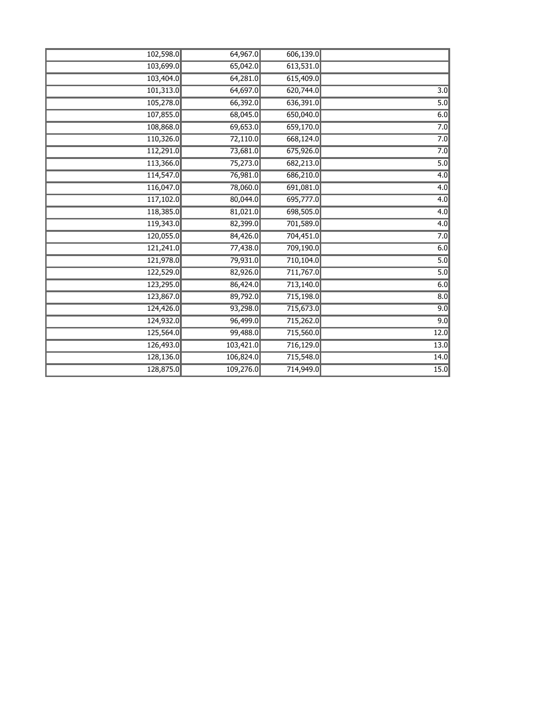| 102,598.0 | 64,967.0  | 606,139.0 |                  |
|-----------|-----------|-----------|------------------|
| 103,699.0 | 65,042.0  | 613,531.0 |                  |
| 103,404.0 | 64,281.0  | 615,409.0 |                  |
| 101,313.0 | 64,697.0  | 620,744.0 | $\overline{3.0}$ |
| 105,278.0 | 66,392.0  | 636,391.0 | 5.0              |
| 107,855.0 | 68,045.0  | 650,040.0 | 6.0              |
| 108,868.0 | 69,653.0  | 659,170.0 | 7.0              |
| 110,326.0 | 72,110.0  | 668,124.0 | 7.0              |
| 112,291.0 | 73,681.0  | 675,926.0 | 7.0              |
| 113,366.0 | 75,273.0  | 682,213.0 | $\overline{5.0}$ |
| 114,547.0 | 76,981.0  | 686,210.0 | 4.0              |
| 116,047.0 | 78,060.0  | 691,081.0 | 4.0              |
| 117,102.0 | 80,044.0  | 695,777.0 | 4.0              |
| 118,385.0 | 81,021.0  | 698,505.0 | 4.0              |
| 119,343.0 | 82,399.0  | 701,589.0 | 4.0              |
| 120,055.0 | 84,426.0  | 704,451.0 | 7.0              |
| 121,241.0 | 77,438.0  | 709,190.0 | 6.0              |
| 121,978.0 | 79,931.0  | 710,104.0 | 5.0              |
| 122,529.0 | 82,926.0  | 711,767.0 | 5.0              |
| 123,295.0 | 86,424.0  | 713,140.0 | 6.0              |
| 123,867.0 | 89,792.0  | 715,198.0 | $\overline{8.0}$ |
| 124,426.0 | 93,298.0  | 715,673.0 | 9.0              |
| 124,932.0 | 96,499.0  | 715,262.0 | 9.0              |
| 125,564.0 | 99,488.0  | 715,560.0 | 12.0             |
| 126,493.0 | 103,421.0 | 716,129.0 | 13.0             |
| 128,136.0 | 106,824.0 | 715,548.0 | 14.0             |
| 128,875.0 | 109,276.0 | 714,949.0 | 15.0             |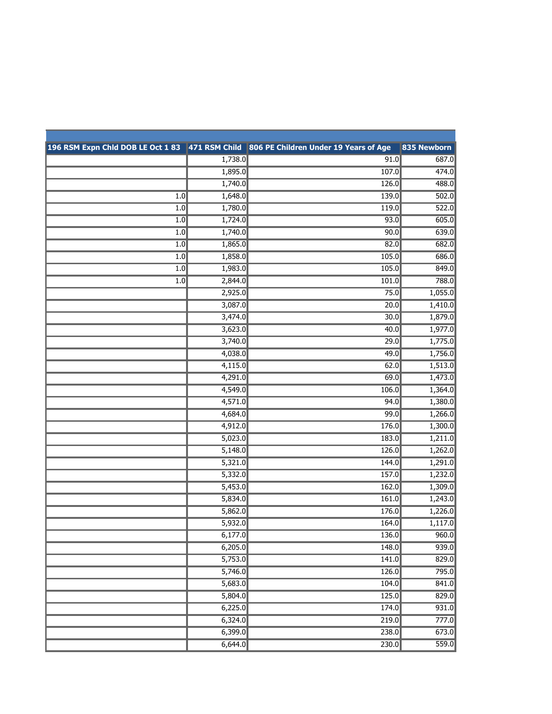|                  |         | 196 RSM Expn Chld DOB LE Oct 1 83 471 RSM Child 806 PE Children Under 19 Years of Age | 835 Newborn |
|------------------|---------|---------------------------------------------------------------------------------------|-------------|
|                  | 1,738.0 | 91.0                                                                                  | 687.0       |
|                  | 1,895.0 | 107.0                                                                                 | 474.0       |
|                  | 1,740.0 | 126.0                                                                                 | 488.0       |
| $\overline{1.0}$ | 1,648.0 | 139.0                                                                                 | 502.0       |
| $\overline{1.0}$ | 1,780.0 | 119.0                                                                                 | 522.0       |
| 1.0              | 1,724.0 | 93.0                                                                                  | 605.0       |
| 1.0              | 1,740.0 | 90.0                                                                                  | 639.0       |
| 1.0              | 1,865.0 | 82.0                                                                                  | 682.0       |
| $\overline{1.0}$ | 1,858.0 | 105.0                                                                                 | 686.0       |
| 1.0              | 1,983.0 | 105.0                                                                                 | 849.0       |
| 1.0              | 2,844.0 | 101.0                                                                                 | 788.0       |
|                  | 2,925.0 | 75.0                                                                                  | 1,055.0     |
|                  | 3,087.0 | 20.0                                                                                  | 1,410.0     |
|                  | 3,474.0 | 30.0                                                                                  | 1,879.0     |
|                  | 3,623.0 | 40.0                                                                                  | 1,977.0     |
|                  | 3,740.0 | 29.0                                                                                  | 1,775.0     |
|                  | 4,038.0 | 49.0                                                                                  | 1,756.0     |
|                  | 4,115.0 | 62.0                                                                                  | 1,513.0     |
|                  | 4,291.0 | 69.0                                                                                  | 1,473.0     |
|                  | 4,549.0 | 106.0                                                                                 | 1,364.0     |
|                  | 4,571.0 | 94.0                                                                                  | 1,380.0     |
|                  | 4,684.0 | 99.0                                                                                  | 1,266.0     |
|                  | 4,912.0 | 176.0                                                                                 | 1,300.0     |
|                  | 5,023.0 | 183.0                                                                                 | 1,211.0     |
|                  | 5,148.0 | 126.0                                                                                 | 1,262.0     |
|                  | 5,321.0 | 144.0                                                                                 | 1,291.0     |
|                  | 5,332.0 | 157.0                                                                                 | 1,232.0     |
|                  | 5,453.0 | 162.0                                                                                 | 1,309.0     |
|                  | 5,834.0 | 161.0                                                                                 | 1,243.0     |
|                  | 5,862.0 | 176.0                                                                                 | 1,226.0     |
|                  | 5,932.0 | 164.0                                                                                 | 1,117.0     |
|                  | 6,177.0 | 136.0                                                                                 | 960.0       |
|                  | 6,205.0 | 148.0                                                                                 | 939.0       |
|                  | 5,753.0 | 141.0                                                                                 | 829.0       |
|                  | 5,746.0 | 126.0                                                                                 | 795.0       |
|                  | 5,683.0 | 104.0                                                                                 | 841.0       |
|                  | 5,804.0 | 125.0                                                                                 | 829.0       |
|                  | 6,225.0 | 174.0                                                                                 | 931.0       |
|                  | 6,324.0 | 219.0                                                                                 | 777.0       |
|                  | 6,399.0 | 238.0                                                                                 | 673.0       |
|                  | 6,644.0 | 230.0                                                                                 | 559.0       |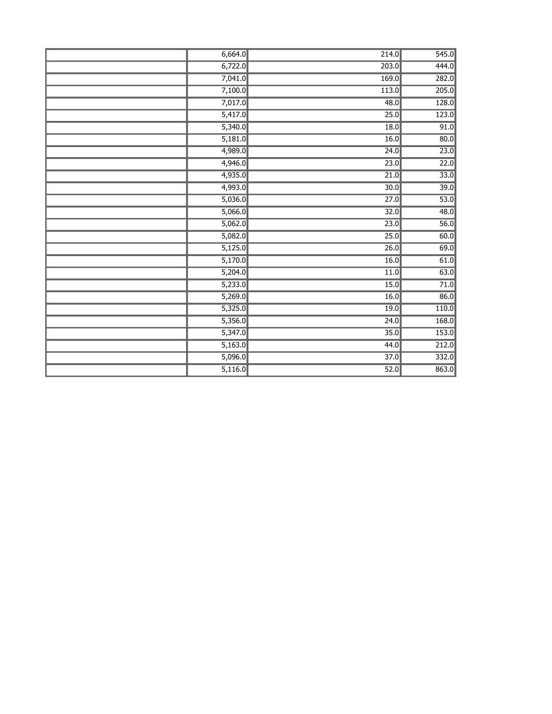| 6,664.0 | 214.0             | 545.0 |
|---------|-------------------|-------|
| 6,722.0 | 203.0             | 444.0 |
| 7,041.0 | 169.0             | 282.0 |
| 7,100.0 | 113.0             | 205.0 |
| 7,017.0 | 48.0              | 128.0 |
| 5,417.0 | 25.0              | 123.0 |
| 5,340.0 | 18.0              | 91.0  |
| 5,181.0 | 16.0              | 80.0  |
| 4,989.0 | 24.0              | 23.0  |
| 4,946.0 | 23.0              | 22.0  |
| 4,935.0 | 21.0              | 33.0  |
| 4,993.0 | $\overline{30.0}$ | 39.0  |
| 5,036.0 | $\overline{27.0}$ | 53.0  |
| 5,066.0 | 32.0              | 48.0  |
| 5,062.0 | 23.0              | 56.0  |
| 5,082.0 | 25.0              | 60.0  |
| 5,125.0 | 26.0              | 69.0  |
| 5,170.0 | 16.0              | 61.0  |
| 5,204.0 | 11.0              | 63.0  |
| 5,233.0 | 15.0              | 71.0  |
| 5,269.0 | 16.0              | 86.0  |
| 5,325.0 | 19.0              | 110.0 |
| 5,356.0 | 24.0              | 168.0 |
| 5,347.0 | 35.0              | 153.0 |
| 5,163.0 | 44.0              | 212.0 |
| 5,096.0 | 37.0              | 332.0 |
| 5,116.0 | 52.0              | 863.0 |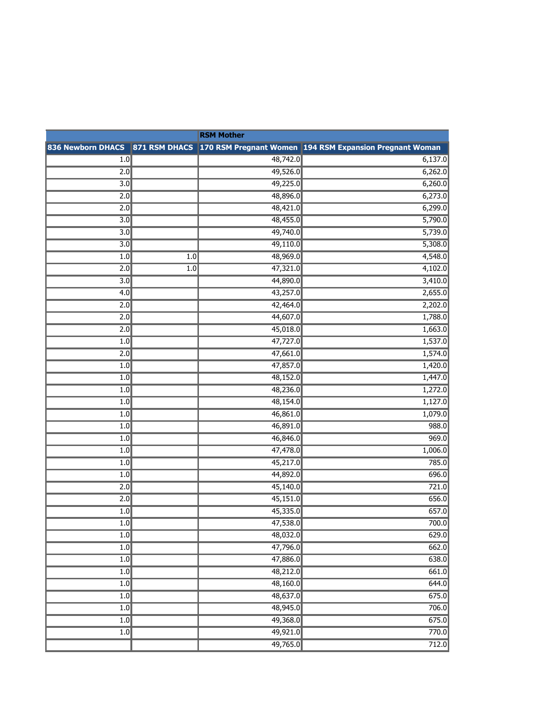| <b>RSM Mother</b> |                  |          |                                                                                         |
|-------------------|------------------|----------|-----------------------------------------------------------------------------------------|
|                   |                  |          | 836 Newborn DHACS 871 RSM DHACS 170 RSM Pregnant Women 194 RSM Expansion Pregnant Woman |
| 1.0               |                  | 48,742.0 | 6,137.0                                                                                 |
| 2.0               |                  | 49,526.0 | 6,262.0                                                                                 |
| $\overline{3.0}$  |                  | 49,225.0 | 6,260.0                                                                                 |
| 2.0               |                  | 48,896.0 | 6,273.0                                                                                 |
| 2.0               |                  | 48,421.0 | 6,299.0                                                                                 |
| $\overline{3.0}$  |                  | 48,455.0 | 5,790.0                                                                                 |
| 3.0               |                  | 49,740.0 | 5,739.0                                                                                 |
| 3.0               |                  | 49,110.0 | 5,308.0                                                                                 |
| 1.0               | $\overline{1.0}$ | 48,969.0 | 4,548.0                                                                                 |
| $\overline{2.0}$  | 1.0              | 47,321.0 | 4,102.0                                                                                 |
| 3.0               |                  | 44,890.0 | 3,410.0                                                                                 |
| 4.0               |                  | 43,257.0 | 2,655.0                                                                                 |
| 2.0               |                  | 42,464.0 | 2,202.0                                                                                 |
| $\overline{2.0}$  |                  | 44,607.0 | 1,788.0                                                                                 |
| 2.0               |                  | 45,018.0 | 1,663.0                                                                                 |
| 1.0               |                  | 47,727.0 | 1,537.0                                                                                 |
| 2.0               |                  | 47,661.0 | 1,574.0                                                                                 |
| 1.0               |                  | 47,857.0 | 1,420.0                                                                                 |
| 1.0               |                  | 48,152.0 | 1,447.0                                                                                 |
| 1.0               |                  | 48,236.0 | 1,272.0                                                                                 |
| 1.0               |                  | 48,154.0 | 1,127.0                                                                                 |
| 1.0               |                  | 46,861.0 | 1,079.0                                                                                 |
| 1.0               |                  | 46,891.0 | 988.0                                                                                   |
| 1.0               |                  | 46,846.0 | 969.0                                                                                   |
| 1.0               |                  | 47,478.0 | 1,006.0                                                                                 |
| 1.0               |                  | 45,217.0 | 785.0                                                                                   |
| 1.0               |                  | 44,892.0 | 696.0                                                                                   |
| $\overline{2.0}$  |                  | 45,140.0 | 721.0                                                                                   |
| 2.0               |                  | 45,151.0 | 656.0                                                                                   |
| 1.0               |                  | 45,335.0 | 657.0                                                                                   |
| 1.0               |                  | 47,538.0 | 700.0                                                                                   |
| 1.0               |                  | 48,032.0 | 629.0                                                                                   |
| 1.0               |                  | 47,796.0 | 662.0                                                                                   |
| 1.0               |                  | 47,886.0 | 638.0                                                                                   |
| $\overline{1.0}$  |                  | 48,212.0 | 661.0                                                                                   |
| 1.0               |                  | 48,160.0 | 644.0                                                                                   |
| 1.0               |                  | 48,637.0 | 675.0                                                                                   |
| 1.0               |                  | 48,945.0 | 706.0                                                                                   |
| $\overline{1.0}$  |                  | 49,368.0 | 675.0                                                                                   |
| 1.0               |                  | 49,921.0 | 770.0                                                                                   |
|                   |                  | 49,765.0 | 712.0                                                                                   |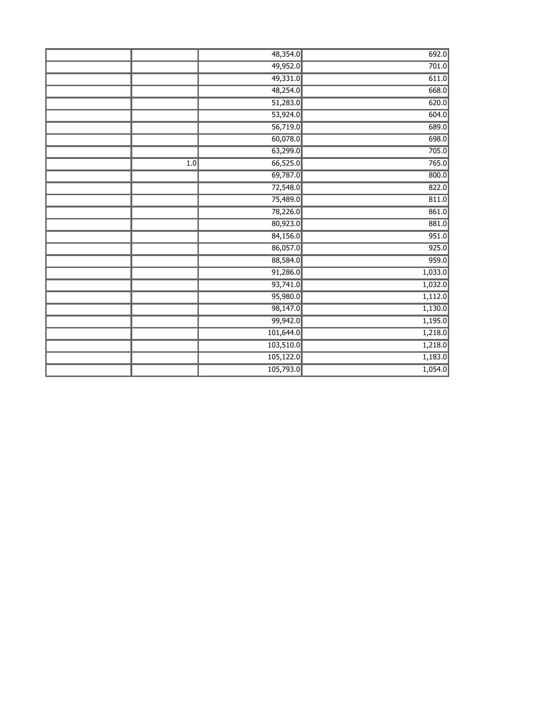|     | 48,354.0  | 692.0   |
|-----|-----------|---------|
|     | 49,952.0  | 701.0   |
|     | 49,331.0  | 611.0   |
|     | 48,254.0  | 668.0   |
|     | 51,283.0  | 620.0   |
|     | 53,924.0  | 604.0   |
|     | 56,719.0  | 689.0   |
|     | 60,078.0  | 698.0   |
|     | 63,299.0  | 705.0   |
| 1.0 | 66,525.0  | 765.0   |
|     | 69,787.0  | 800.0   |
|     | 72,548.0  | 822.0   |
|     | 75,489.0  | 811.0   |
|     | 78,226.0  | 861.0   |
|     | 80,923.0  | 881.0   |
|     | 84,156.0  | 951.0   |
|     | 86,057.0  | 925.0   |
|     | 88,584.0  | 959.0   |
|     | 91,286.0  | 1,033.0 |
|     | 93,741.0  | 1,032.0 |
|     | 95,980.0  | 1,112.0 |
|     | 98,147.0  | 1,130.0 |
|     | 99,942.0  | 1,195.0 |
|     | 101,644.0 | 1,218.0 |
|     | 103,510.0 | 1,218.0 |
|     | 105,122.0 | 1,183.0 |
|     | 105,793.0 | 1,054.0 |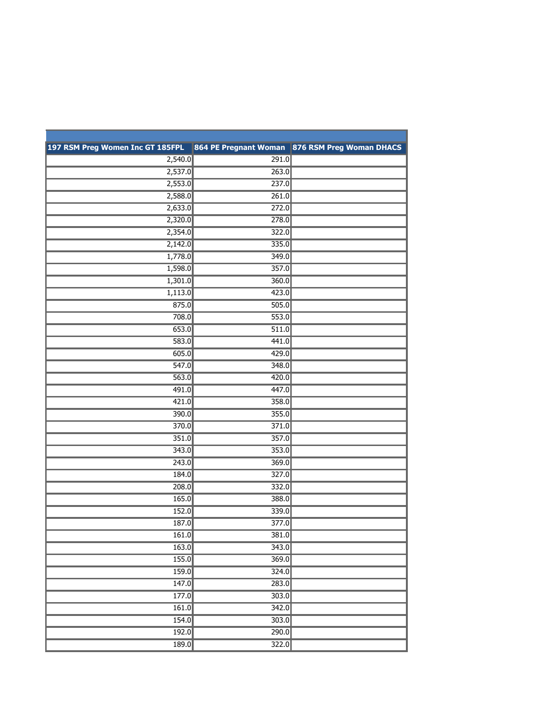| 197 RSM Preg Women Inc GT 185FPL |                    | 864 PE Pregnant Woman 876 RSM Preg Woman DHACS |
|----------------------------------|--------------------|------------------------------------------------|
| 2,540.0                          | 291.0              |                                                |
| 2,537.0                          | 263.0              |                                                |
| 2,553.0                          | 237.0              |                                                |
| 2,588.0                          | 261.0              |                                                |
| 2,633.0                          | 272.0              |                                                |
| 2,320.0                          | 278.0              |                                                |
| 2,354.0                          | 322.0              |                                                |
| 2,142.0                          | 335.0              |                                                |
| 1,778.0                          | 349.0              |                                                |
| 1,598.0                          | 357.0              |                                                |
| 1,301.0                          | 360.0              |                                                |
| 1,113.0                          | 423.0              |                                                |
| 875.0                            | 505.0              |                                                |
| 708.0                            | 553.0              |                                                |
| 653.0                            | $\overline{511.0}$ |                                                |
| 583.0                            | 441.0              |                                                |
| 605.0                            | 429.0              |                                                |
| 547.0                            | 348.0              |                                                |
| 563.0                            | 420.0              |                                                |
| 491.0                            | 447.0              |                                                |
| 421.0                            | 358.0              |                                                |
| 390.0                            | 355.0              |                                                |
| 370.0                            | 371.0              |                                                |
| 351.0                            | 357.0              |                                                |
| 343.0                            | 353.0              |                                                |
| 243.0                            | 369.0              |                                                |
| 184.0                            | 327.0              |                                                |
| 208.0                            | 332.0              |                                                |
| 165.0                            | 388.0              |                                                |
| 152.0                            | 339.0              |                                                |
| 187.0                            | 377.0              |                                                |
| 161.0                            | 381.0              |                                                |
| 163.0                            | 343.0              |                                                |
| 155.0                            | 369.0              |                                                |
| 159.0                            | 324.0              |                                                |
| 147.0                            | 283.0              |                                                |
| 177.0                            | 303.0              |                                                |
| 161.0                            | 342.0              |                                                |
| 154.0                            | 303.0              |                                                |
| 192.0                            | 290.0              |                                                |
| 189.0                            | 322.0              |                                                |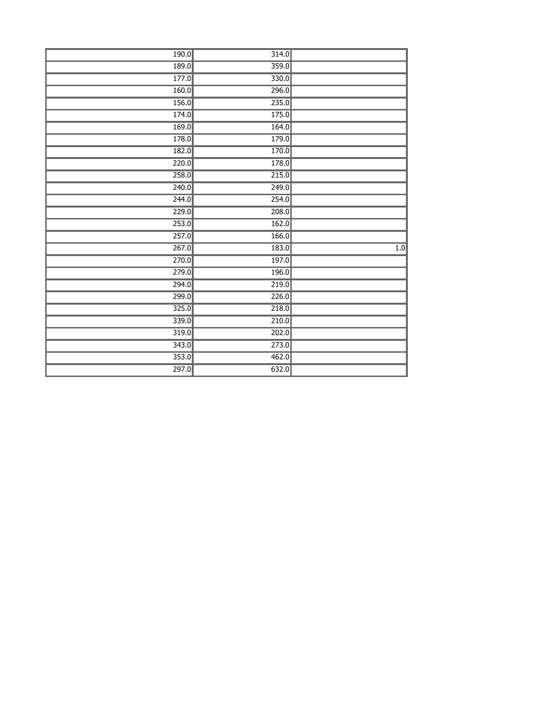|                  | 314.0              | 190.0 |
|------------------|--------------------|-------|
|                  | 359.0              | 189.0 |
|                  | 330.0              | 177.0 |
|                  | 296.0              | 160.0 |
|                  | 235.0              | 156.0 |
|                  | 175.0              | 174.0 |
|                  | 164.0              | 169.0 |
|                  | 179.0              | 178.0 |
|                  | 170.0              | 182.0 |
|                  | 178.0              | 220.0 |
|                  | 215.0              | 258.0 |
|                  | $\overline{249.0}$ | 240.0 |
|                  | 254.0              | 244.0 |
|                  | 208.0              | 229.0 |
|                  | 162.0              | 253.0 |
|                  | 166.0              | 257.0 |
| $\overline{1.0}$ | 183.0              | 267.0 |
|                  | 197.0              | 270.0 |
|                  | 196.0              | 279.0 |
|                  | 219.0              | 294.0 |
|                  | 226.0              | 299.0 |
|                  | 218.0              | 325.0 |
|                  | 210.0              | 339.0 |
|                  | 202.0              | 319.0 |
|                  | 273.0              | 343.0 |
|                  | 462.0              | 353.0 |
|                  | 632.0              | 297.0 |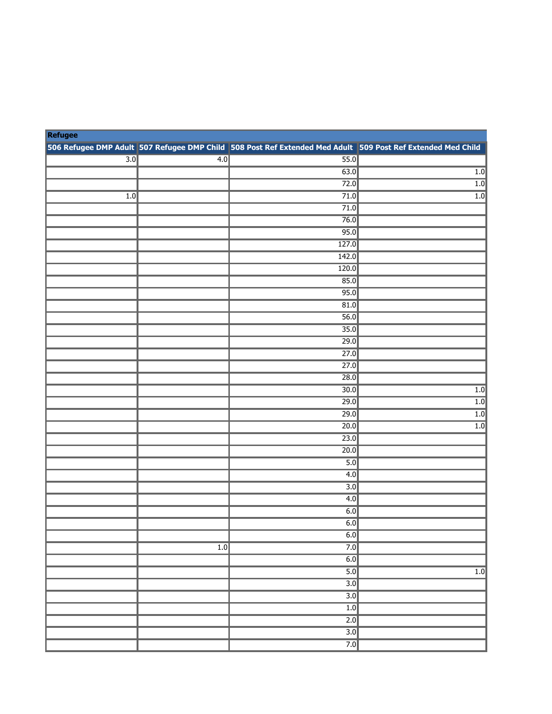| Refugee |     |                                                                                                             |                  |
|---------|-----|-------------------------------------------------------------------------------------------------------------|------------------|
|         |     | 506 Refugee DMP Adult 507 Refugee DMP Child 508 Post Ref Extended Med Adult 509 Post Ref Extended Med Child |                  |
| 3.0     | 4.0 | $\overline{55.0}$                                                                                           |                  |
|         |     | 63.0                                                                                                        | $\overline{1.0}$ |
|         |     | 72.0                                                                                                        | $\overline{1.0}$ |
| 1.0     |     | 71.0                                                                                                        | $\overline{1.0}$ |
|         |     | 71.0                                                                                                        |                  |
|         |     | 76.0                                                                                                        |                  |
|         |     | 95.0                                                                                                        |                  |
|         |     | 127.0                                                                                                       |                  |
|         |     | 142.0                                                                                                       |                  |
|         |     | 120.0                                                                                                       |                  |
|         |     | 85.0                                                                                                        |                  |
|         |     | 95.0                                                                                                        |                  |
|         |     | 81.0                                                                                                        |                  |
|         |     | 56.0                                                                                                        |                  |
|         |     | 35.0                                                                                                        |                  |
|         |     | 29.0                                                                                                        |                  |
|         |     | 27.0                                                                                                        |                  |
|         |     | 27.0                                                                                                        |                  |
|         |     | 28.0                                                                                                        |                  |
|         |     | $\overline{30.0}$                                                                                           | $\overline{1.0}$ |
|         |     | 29.0                                                                                                        | $\overline{1.0}$ |
|         |     | 29.0                                                                                                        | 1.0              |
|         |     | $\overline{20.0}$                                                                                           | $\overline{1.0}$ |
|         |     | 23.0                                                                                                        |                  |
|         |     | 20.0                                                                                                        |                  |
|         |     | 5.0                                                                                                         |                  |
|         |     | 4.0                                                                                                         |                  |
|         |     | $\overline{3.0}$                                                                                            |                  |
|         |     | 4.0                                                                                                         |                  |
|         |     | 6.0                                                                                                         |                  |
|         |     | 6.0                                                                                                         |                  |
|         |     | 6.0                                                                                                         |                  |
|         | 1.0 | 7.0                                                                                                         |                  |
|         |     | 6.0                                                                                                         |                  |
|         |     | 5.0                                                                                                         | 1.0              |
|         |     | $\overline{3.0}$                                                                                            |                  |
|         |     | $\overline{3.0}$                                                                                            |                  |
|         |     | 1.0                                                                                                         |                  |
|         |     | $\overline{2.0}$                                                                                            |                  |
|         |     | $\overline{3.0}$                                                                                            |                  |
|         |     | 7.0                                                                                                         |                  |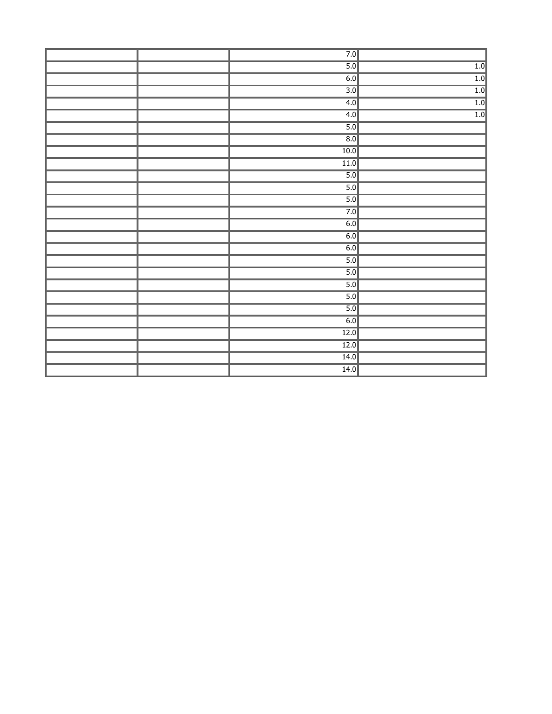|  | 7.0              |     |
|--|------------------|-----|
|  | 5.0              | 1.0 |
|  | 6.0              | 1.0 |
|  | 3.0              | 1.0 |
|  | 4.0              | 1.0 |
|  | 4.0              | 1.0 |
|  | 5.0              |     |
|  | $\overline{8.0}$ |     |
|  | 10.0             |     |
|  | $\boxed{11.0}$   |     |
|  | 5.0              |     |
|  | 5.0              |     |
|  | 5.0              |     |
|  | 7.0              |     |
|  | 6.0              |     |
|  | 6.0              |     |
|  | 6.0              |     |
|  | 5.0              |     |
|  | 5.0              |     |
|  | 5.0              |     |
|  | 5.0              |     |
|  | 5.0              |     |
|  | 6.0              |     |
|  | $\boxed{12.0}$   |     |
|  | 12.0             |     |
|  | $\boxed{14.0}$   |     |
|  | $\boxed{14.0}$   |     |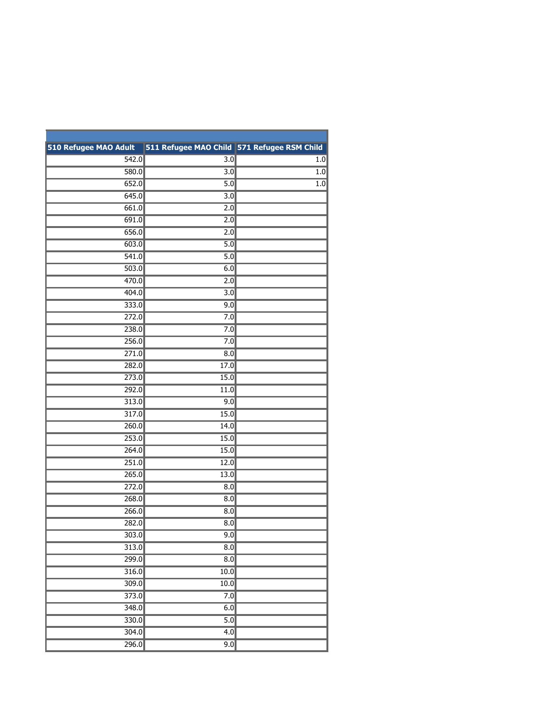| 510 Refugee MAO Adult | 511 Refugee MAO Child 571 Refugee RSM Child |     |
|-----------------------|---------------------------------------------|-----|
| 542.0                 | $\overline{3.0}$                            | 1.0 |
| 580.0                 | $\overline{3.0}$                            | 1.0 |
| 652.0                 | $\overline{5.0}$                            | 1.0 |
| 645.0                 | $\overline{3.0}$                            |     |
| 661.0                 | $\overline{2.0}$                            |     |
| 691.0                 | 2.0                                         |     |
| 656.0                 | 2.0                                         |     |
| 603.0                 | $\overline{5.0}$                            |     |
| 541.0                 | $\overline{5.0}$                            |     |
| 503.0                 | 6.0                                         |     |
| 470.0                 | 2.0                                         |     |
| 404.0                 | $\overline{3.0}$                            |     |
| 333.0                 | 9.0                                         |     |
| 272.0                 | 7.0                                         |     |
| 238.0                 | 7.0                                         |     |
| 256.0                 | 7.0                                         |     |
| 271.0                 | 8.0                                         |     |
| 282.0                 | 17.0                                        |     |
| 273.0                 | 15.0                                        |     |
| 292.0                 | 11.0                                        |     |
| 313.0                 | 9.0                                         |     |
| 317.0                 | 15.0                                        |     |
| 260.0                 | 14.0                                        |     |
| 253.0                 | 15.0                                        |     |
| 264.0                 | 15.0                                        |     |
| 251.0                 | 12.0                                        |     |
| 265.0                 | 13.0                                        |     |
| 272.0                 | 8.0                                         |     |
| 268.0                 | 8.0                                         |     |
| 266.0                 | 8.0                                         |     |
| 282.0                 | 8.0                                         |     |
| 303.0                 | 9.0                                         |     |
| 313.0                 | $\overline{8.0}$                            |     |
| 299.0                 | $\overline{8.0}$                            |     |
| 316.0                 | 10.0                                        |     |
| 309.0                 | 10.0                                        |     |
| 373.0                 | 7.0                                         |     |
| 348.0                 | 6.0                                         |     |
| 330.0                 | $\overline{5.0}$                            |     |
| 304.0                 | 4.0                                         |     |
| 296.0                 | 9.0                                         |     |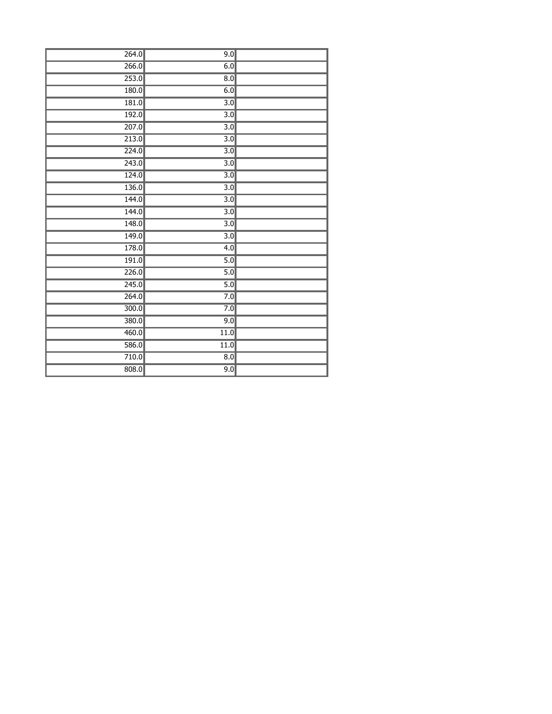| 264.0 | 9.0              |  |
|-------|------------------|--|
| 266.0 | 6.0              |  |
| 253.0 | $\overline{8.0}$ |  |
| 180.0 | 6.0              |  |
| 181.0 | $\overline{3.0}$ |  |
| 192.0 | $\overline{3.0}$ |  |
| 207.0 | $\overline{3.0}$ |  |
| 213.0 | $\overline{3.0}$ |  |
| 224.0 | $\overline{3.0}$ |  |
| 243.0 | $\overline{3.0}$ |  |
| 124.0 | $\overline{3.0}$ |  |
| 136.0 | $\overline{3.0}$ |  |
| 144.0 | $\overline{3.0}$ |  |
| 144.0 | $\overline{3.0}$ |  |
| 148.0 | $\overline{3.0}$ |  |
| 149.0 | $\overline{3.0}$ |  |
| 178.0 | 4.0              |  |
| 191.0 | 5.0              |  |
| 226.0 | 5.0              |  |
| 245.0 | 5.0              |  |
| 264.0 | 7.0              |  |
| 300.0 | 7.0              |  |
| 380.0 | 9.0              |  |
| 460.0 | 11.0             |  |
| 586.0 | 11.0             |  |
| 710.0 | $\overline{8.0}$ |  |
| 808.0 | 9.0              |  |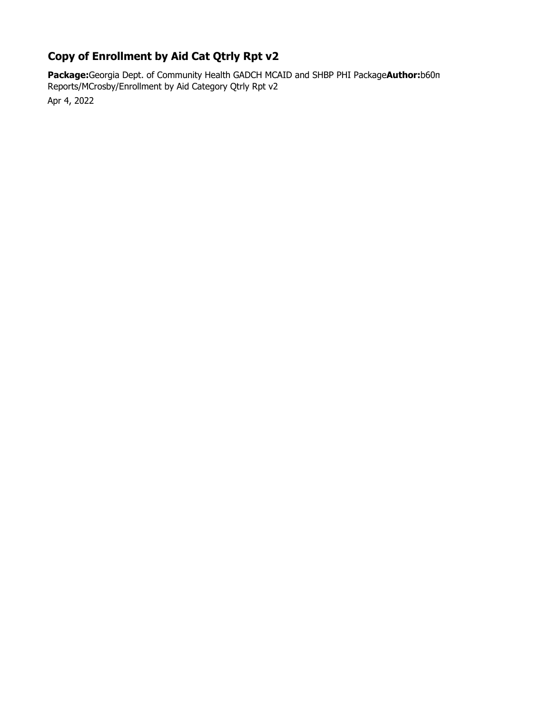## **Copy of Enrollment by Aid Cat Qtrly Rpt v2**

**Package:**Georgia Dept. of Community Health GADCH MCAID and SHBP PHI Package**Author:**b60m Reports/MCrosby/Enrollment by Aid Category Qtrly Rpt v2

Apr 4, 2022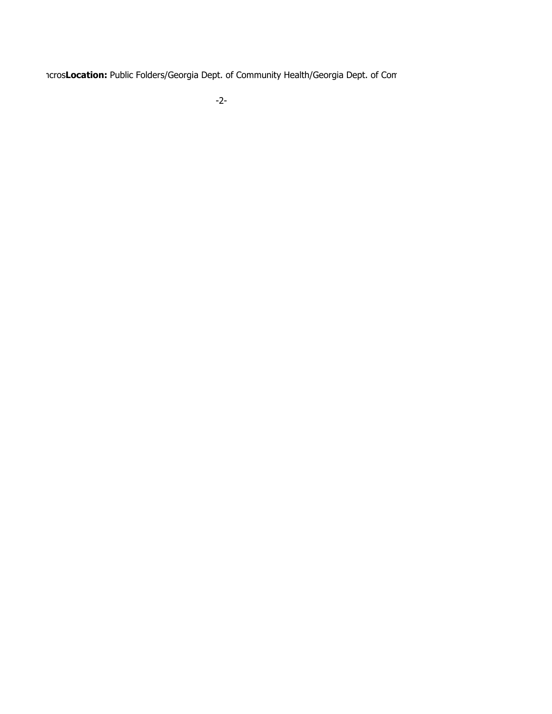mcros**Location:** Public Folders/Georgia Dept. of Community Health/Georgia Dept. of Com